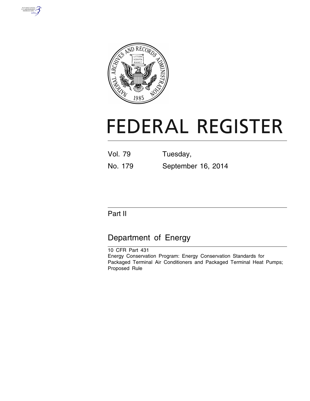



# **FEDERAL REGISTER**

| Vol. 79 |  | Tuesday, |  |
|---------|--|----------|--|
|         |  |          |  |

No. 179 September 16, 2014

## Part II

# Department of Energy

10 CFR Part 431 Energy Conservation Program: Energy Conservation Standards for Packaged Terminal Air Conditioners and Packaged Terminal Heat Pumps; Proposed Rule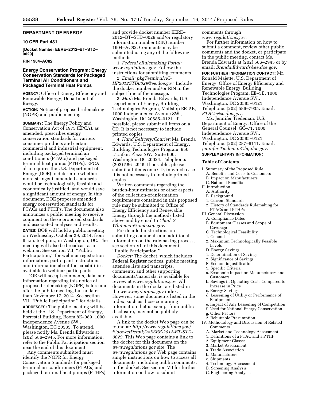## **DEPARTMENT OF ENERGY**

## **10 CFR Part 431**

**[Docket Number EERE–2012–BT–STD– 0029]** 

#### **RIN 1904–AC82**

## **Energy Conservation Program: Energy Conservation Standards for Packaged Terminal Air Conditioners and Packaged Terminal Heat Pumps**

**AGENCY:** Office of Energy Efficiency and Renewable Energy, Department of Energy.

**ACTION:** Notice of proposed rulemaking (NOPR) and public meeting.

**SUMMARY:** The Energy Policy and Conservation Act of 1975 (EPCA), as amended, prescribes energy conservation standards for various consumer products and certain commercial and industrial equipment, including packaged terminal air conditioners (PTACs) and packaged terminal heat pumps (PTHPs). EPCA also requires the U.S. Department of Energy (DOE) to determine whether more-stringent, amended standards would be technologically feasible and economically justified, and would save a significant amount of energy. In this document, DOE proposes amended energy conservation standards for PTACs and PTHPs. The document also announces a public meeting to receive comment on these proposed standards and associated analyses and results.

**DATES:** DOE will hold a public meeting on Wednesday, October 29, 2014, from 9 a.m. to 4 p.m., in Washington, DC. The meeting will also be broadcast as a webinar. See section VII, ''Public Participation,'' for webinar registration information, participant instructions, and information about the capabilities available to webinar participants.

DOE will accept comments, data, and information regarding this notice of proposed rulemaking (NOPR) before and after the public meeting, but no later than November 17, 2014. See section VII, ''Public Participation'' for details. **ADDRESSES:** The public meeting will be held at the U.S. Department of Energy, Forrestal Building, Room 8E–089, 1000 Independence Avenue SW., Washington, DC 20585. To attend, please notify Ms. Brenda Edwards at (202) 586–2945. For more information, refer to the Public Participation section near the end of this document.

Any comments submitted must identify the NOPR for Energy Conservation Standards for packaged terminal air conditioners (PTACs) and packaged terminal heat pumps (PTHPs), and provide docket number EERE– 2012–BT–STD–0029 and/or regulatory information number (RIN) number 1904–AC82. Comments may be submitted using any of the following methods:

1. *Federal eRulemaking Portal: [www.regulations.gov.](http://www.regulations.gov)* Follow the instructions for submitting comments.

2. *Email: [pkgTerminalAC-](mailto:pkgTerminalAC-HP2012STD0029@ee.doe.gov)[HP2012STD0029@ee.doe.gov.](mailto:pkgTerminalAC-HP2012STD0029@ee.doe.gov)* Include the docket number and/or RIN in the subject line of the message.

3. *Mail:* Ms. Brenda Edwards, U.S. Department of Energy, Building Technologies Program, Mailstop EE–5B, 1000 Independence Avenue SW., Washington, DC 20585–0121. If possible, please submit all items on a CD. It is not necessary to include printed copies.

4. *Hand Delivery/Courier:* Ms. Brenda Edwards, U.S. Department of Energy, Building Technologies Program, 950 L'Enfant Plaza SW., Suite 600, Washington, DC 20024. Telephone: (202) 586–2945. If possible, please submit all items on a CD, in which case it is not necessary to include printed copies.

Written comments regarding the burden-hour estimates or other aspects of the collection-of-information requirements contained in this proposed rule may be submitted to Office of Energy Efficiency and Renewable Energy through the methods listed above and by email to *[Chad](mailto:Chad_S_Whiteman@omb.eop.gov)*\_*S*\_ *[Whiteman@omb.eop.gov.](mailto:Chad_S_Whiteman@omb.eop.gov)* 

For detailed instructions on submitting comments and additional information on the rulemaking process, see section VII of this document, ''Public Participation.''

*Docket:* The docket, which includes **Federal Register** notices, public meeting attendee lists and transcripts, comments, and other supporting documents/materials, is available for review at *[www.regulations.gov.](http://www.regulations.gov)* All documents in the docket are listed in the *[www.regulations.gov](http://www.regulations.gov)* index. However, some documents listed in the index, such as those containing information that is exempt from public disclosure, may not be publicly available.

A link to the docket Web page can be found at: *[http://www.regulations.gov/](http://www.regulations.gov/#!docketDetail;D=EERE-2012-BT-STD-0029) [#!docketDetail;D=EERE-2012-BT-STD-](http://www.regulations.gov/#!docketDetail;D=EERE-2012-BT-STD-0029)[0029.](http://www.regulations.gov/#!docketDetail;D=EERE-2012-BT-STD-0029)* This Web page contains a link to the docket for this document on the *[www.regulations.gov](http://www.regulations.gov)* site. The *[www.regulations.gov](http://www.regulations.gov)* Web page contains simple instructions on how to access all documents, including public comments, in the docket. See section VII for further information on how to submit

comments through

*[www.regulations.gov.](http://www.regulations.gov)*  For further information on how to submit a comment, review other public comments and the docket, or participate in the public meeting, contact Ms. Brenda Edwards at (202) 586–2945 or by email: *[Brenda.Edwards@ee.doe.gov.](mailto:Brenda.Edwards@ee.doe.gov)* 

**FOR FURTHER INFORMATION CONTACT:** Mr. Ronald Majette, U.S. Department of Energy, Office of Energy Efficiency and Renewable Energy, Building Technologies Program, EE–5B, 1000 Independence Avenue SW., Washington, DC 20585–0121. Telephone: (202) 586–7935. Email: *[PTACs@ee.doe.gov.](mailto:PTACs@ee.doe.gov)* 

Ms. Jennifer Tiedeman, U.S. Department of Energy, Office of the General Counsel, GC–71, 1000 Independence Avenue SW., Washington, DC 20585–0121. Telephone: (202) 287–6111. Email: *[Jennifer.Tiedeman@hq.doe.gov.](mailto:Jennifer.Tiedeman@hq.doe.gov)*  **SUPPLEMENTARY INFORMATION:** 

#### **Table of Contents**

- I. Summary of the Proposed Rule
- A. Benefits and Costs to Customers
- B. Impact on Manufacturers
- C. National Benefits
- II. Introduction
- A. Authority B. Background
- 1. Current Standards
- 
- 2. History of Standards Rulemaking for PTACs and PTHPs
- III. General Discussion
	- A. Compliance Dates
	- B. Equipment Classes and Scope of Coverage
	- C. Technological Feasibility
	- 1. General
	- 2. Maximum Technologically Feasible
	- Levels D. Energy Savings
	-
	- 1. Determination of Savings
	- 2. Significance of Savings
	- E. Economic Justification
	- 1. Specific Criteria
	- a. Economic Impact on Manufacturers and Customers
	- b. Savings in Operating Costs Compared to Increase in Price
- c. Energy Savings
- d. Lessening of Utility or Performance of Equipment
- e. Impact of Any Lessening of Competition
- f. Need for National Energy Conservation
- g. Other Factors
- 2. Rebuttable Presumption
- IV. Methodology and Discussion of Related Comments
	- A. Market and Technology Assessment
	- 1. Definitions of a PTAC and a PTHP
	- 2. Equipment Classes
	- 3. Market Assessment
	- a. Trade Association
	- b. Manufacturers
	- c. Shipments
	- 4. Technology Assessment
	- B. Screening Analysis
	- C. Engineering Analysis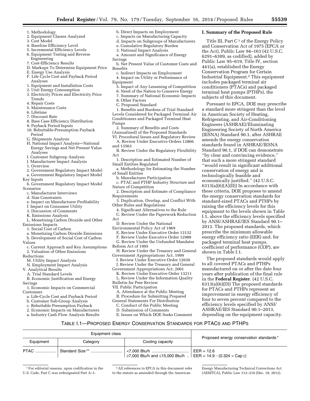**I. Summary of the Proposed Rule** 

includes packaged terminal air conditioners (PTACs) and packaged terminal heat pumps (PTHPs), the subjects of this document.

conservation of energy and is technologically feasible and economically justified.'' (42 U.S.C.  $6313(a)(6)(A)(II)$  In accordance with these criteria, DOE proposes to amend the energy conservation standards for standard-sized PTACs and PTHPs by raising the efficiency levels for this equipment to the levels shown in Table I.1, above the efficiency levels specified by ANSI/ASHRAE/IES Standard 90.1– 2013. The proposed standards, which prescribe the minimum allowable energy efficiency ratio (EER) and, for packaged terminal heat pumps, coefficient of performance (COP), are

shown in Table I.1.

The proposed standards would apply

to all covered PTACs and PTHPs manufactured on or after the date four years after publication of the final rule in the **Federal Register**. (42 U.S.C. 6313(a)(6)(D)) The proposed standards for PTACs and PTHPs represent an improvement in energy efficiency of four to seven percent compared to the efficiency levels specified by ANSI/ ASHRAE/IES Standard 90.1–2013, depending on the equipment capacity.

Title III, Part  $C<sup>1</sup>$  of the Energy Policy and Conservation Act of 1975 (EPCA or the Act), Public Law 94–163 (42 U.S.C. 6291–6309, as codified), added by Public Law 95–619, Title IV, section 441(a), established the Energy Conservation Program for Certain Industrial Equipment.2 This equipment

Pursuant to EPCA, DOE may prescribe a standard more stringent than the level in American Society of Heating, Refrigerating, and Air-Conditioning Engineers (ASHRAE)/Illuminating Engineering Society of North America (IESNA) Standard 90.1, after ASHRAE amends the energy conservation standards found in ASHRAE/IESNA Standard 90.1, if DOE can demonstrate ''by clear and convincing evidence,'' that such a more stringent standard ''would result in significant additional

- 1. Methodology
- 2. Equipment Classes Analyzed
- 3. Cost Model
- 4. Baseline Efficiency Level
- 5. Incremental Efficiency Levels
- 6. Equipment Testing and Reverse
- Engineering
- 7. Cost-Efficiency Results
- D. Markups To Determine Equipment Price
- E. Energy Use Analysis
- F. Life Cycle Cost and Payback Period Analyses
- 1. Equipment and Installation Costs
- 2. Unit Energy Consumption
- 3. Electricity Prices and Electricity Price Trends
- 4. Repair Costs
- 5. Maintenance Costs
- 6. Lifetime
- 7. Discount Rate
- 8. Base Case Efficiency Distribution
- 9. Payback Period Inputs
- 10. Rebuttable-Presumption Payback
- Period
- G. Shipments Analysis
- H. National Impact Analysis—National Energy Savings and Net Present Value Analyses
- I. Customer Subgroup Analysis
- J. Manufacturer Impact Analysis
- 1. Overview
- 2. Government Regulatory Impact Model
- a. Government Regulatory Impact Model
- Key Inputs
- b. Government Regulatory Impact Model Scenarios
- c. Manufacturer Interviews
- d. Size Constraints
- e. Impact on Manufacturer Profitability
- f. Impact on Consumer Utility
- 3. Discussion of Comments
- K. Emissions Analysis
- L. Monetizing Carbon Dioxide and Other Emissions Impacts
- 1. Social Cost of Carbon
- a. Monetizing Carbon Dioxide Emissions
- b. Development of Social Cost of Carbon
- Values
- c. Current Approach and Key Assumptions 2. Valuation of Other Emissions
- Reductions
	- M. Utility Impact Analysis
- N. Employment Impact Analysis
- V. Analytical Results

A. Trial Standard Levels

- B. Economic Justification and Energy Savings
- 1. Economic Impacts on Commercial Customers
- a. Life-Cycle Cost and Payback Period
- b. Customer Sub-Group Analysis
- c. Rebuttable Presumption Payback
- 2. Economic Impacts on Manufacturers
- 
- a. Industry Cash Flow Analysis Results

1For editorial reasons, upon codification in the U.S. Code, Part C was redesignated Part A–1.

- b. Direct Impacts on Employment
- c. Impacts on Manufacturing Capacity
- d. Impacts on Subgroups of Manufacturers e. Cumulative Regulatory Burden
- 3. National Impact Analysis
- a. Amount and Significance of Energy
- Savings
- b. Net Present Value of Customer Costs and **Benefits**
- c. Indirect Impacts on Employment
- 4. Impact on Utility or Performance of
- Equipment
- 5. Impact of Any Lessening of Competition
- 6. Need of the Nation to Conserve Energy
- 7. Summary of National Economic Impacts
- 8. Other Factors
- C. Proposed Standard
- 1. Benefits and Burdens of Trial Standard Levels Considered for Packaged Terminal Air Conditioners and Packaged Terminal Heat Pumps
- 2. Summary of Benefits and Costs (Annualized) of the Proposed Standards
- VI. Procedural Issues and Regulatory Review
- A. Review Under Executive Orders 12866 and 13563
- B. Review Under the Regulatory Flexibility Act
- 1. Description and Estimated Number of Small Entities Regulated
- a. Methodology for Estimating the Number of Small Entities
- b. Manufacturer Participation
- c. PTAC and PTHP Industry Structure and Nature of Competition
- 2. Description and Estimate of Compliance Requirements
- 3. Duplication, Overlap, and Conflict With Other Rules and Regulations
- 4. Significant Alternatives to the Rule
- C. Review Under the Paperwork Reduction Act
- D. Review Under the National
- Environmental Policy Act of 1969
	- E. Review Under Executive Order 13132
	- F. Review Under Executive Order 12988
	- G. Review Under the Unfunded Mandates
- Reform Act of 1995
- H. Review Under the Treasury and General Government Appropriations Act, 1999
	- I. Review Under Executive Order 12630
	- J. Review Under the Treasury and General
- Government Appropriations Act, 2001 K. Review Under Executive Order 13211
- L. Review Under the Information Quality Bulletin for Peer Review

E. Issues on Which DOE Seeks Comment

TABLE I.1—PROPOSED ENERGY CONSERVATION STANDARDS FOR PTACS AND PTHPS

2All references to EPCA in this document refer to the statute as amended through the American

≥7,000 Btu/h and ≤15,000 Btu/h .. EER = 14.9 – (0.324  $\times$  Cap ‡)

Energy Manufacturing Technical Corrections Act (AEMTCA), Public Law 112–210 (Dec. 18, 2012).

Proposed energy conservation standards \*

VII. Public Participation

Equipment class

PTAC .................. Standard Size \*\* ............................ <7,000 Btu/h ................................. EER = 12.6

Equipment | Category | Cooling capacity

A. Attendance at the Public Meeting

B. Procedure for Submitting Prepared General Statements For Distribution C. Conduct of the Public Meeting

D. Submission of Comments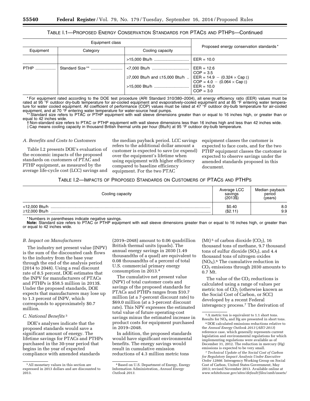## TABLE I.1—PROPOSED ENERGY CONSERVATION STANDARDS FOR PTACS AND PTHPS—Continued

| Equipment class                           |  |                                                                               |                                           |  |
|-------------------------------------------|--|-------------------------------------------------------------------------------|-------------------------------------------|--|
| Cooling capacity<br>Equipment<br>Category |  |                                                                               | Proposed energy conservation standards*   |  |
|                                           |  |                                                                               | $EER = 10.0$                              |  |
| <b>PTHP</b><br>.                          |  |                                                                               | $EER = 12.6$<br>$COP = 3.5$               |  |
|                                           |  | ≥7,000 Btu/h and ≤15,000 Btu/h  EER = 14.9 – (0.324 $\times$ Cap $\ddagger$ ) | $COP = 4.0 - (0.064 \times Cap \ddagger)$ |  |
|                                           |  | >15,000 Btu/h                                                                 | $EER = 10.0$<br>$COP = 3.0$               |  |

\* For equipment rated according to the DOE test procedure (ARI Standard 310/380–2004), all energy efficiency ratio (EER) values must be rated at 95 °F outdoor dry-bulb temperature for air-cooled equipment and evaporatively-cooled equipment and at 85 °F entering water temperature for water cooled equipment. All coefficient of performance (COP) values must be rated at 47 °F outdoor dry-bulb temperature for air-cooled equipment, and at 70 °F entering water temperature for water-source heat pumps.

Standard size refers to PTAC or PTHP equipment with wall sleeve dimensions greater than or equal to 16 inches high, or greater than or equal to 42 inches wide.

† Non-standard size refers to PTAC or PTHP equipment with wall sleeve dimensions less than 16 inches high and less than 42 inches wide. ‡ Cap means cooling capacity in thousand British thermal units per hour (Btu/h) at 95 °F outdoor dry-bulb temperature.

#### *A. Benefits and Costs to Customers*

Table I.2 presents DOE's evaluation of the economic impacts of the proposed standards on customers of PTAC and PTHP equipment, as measured by the average life-cycle cost (LCC) savings and

the median payback period. LCC savings refers to the additional dollar amount a customer is expected to save (or expend) over the equipment's lifetime when using equipment with higher efficiency compared to baseline efficiency equipment. For the two PTAC

equipment classes the customer is expected to face costs, and for the two PTHP equipment classes the customer is expected to observe savings under the amended standards proposed in this document.

#### TABLE I.2—IMPACTS OF PROPOSED STANDARDS ON CUSTOMERS OF PTACS AND PTHPS

| Cooling capacity | Average LCC<br>savings<br>$(2013\$ | Median payback<br>period<br>(vears) |
|------------------|------------------------------------|-------------------------------------|
| ≥12,000 Btu/h    | \$0.40<br>(\$2.11)                 | 8.0<br>9.9                          |

\* Numbers in parentheses indicate negative savings.

Note: Standard size refers to PTAC or PTHP equipment with wall sleeve dimensions greater than or equal to 16 inches high, or greater than or equal to 42 inches wide.

#### *B. Impact on Manufacturers*

The industry net present value (INPV) is the sum of the discounted cash flows to the industry from the base year through the end of the analysis period (2014 to 2048). Using a real discount rate of 8.5 percent, DOE estimates that the INPV for manufacturers of PTACs and PTHPs is \$58.5 million in 2013\$. Under the proposed standards, DOE expects that manufacturers may lose up to 1.3 percent of INPV, which corresponds to approximately \$0.7 million.

#### *C. National Benefits* 3

DOE's analyses indicate that the proposed standards would save a significant amount of energy. The lifetime savings for PTACs and PTHPs purchased in the 30-year period that begins in the year of expected compliance with amended standards

(2019–2048) amount to 0.06 quadrillion British thermal units (quads). The annual energy savings in 2030 (1.49 thousandths of a quad) are equivalent to 0.08 thousandths of a percent of total U.S. commercial primary energy consumption in 2013.4

The cumulative net present value (NPV) of total customer costs and savings of the proposed standards for PTACs and PTHPs ranges from \$10.7 million (at a 7-percent discount rate) to \$69.0 million (at a 3-percent discount rate). This NPV expresses the estimated total value of future operating-cost savings minus the estimated increase in product costs for equipment purchased in 2019–2048.

In addition, the proposed standards would have significant environmental benefits. The energy savings would result in cumulative emission reductions of 4.3 million metric tons

(Mt)<sup>5</sup> of carbon dioxide  $(CO<sub>2</sub>)$ , 16 thousand tons of methane, 9.7 thousand tons of sulfur dioxide  $(SO<sub>2</sub>)$ , and 4.4 thousand tons of nitrogen oxides  $(NO<sub>X</sub>)$ .<sup>6</sup> The cumulative reduction in  $CO<sub>2</sub>$  emissions through 2030 amounts to 0.7 Mt.

The value of the  $CO<sub>2</sub>$  reductions is calculated using a range of values per metric ton of  $CO<sub>2</sub>$  (otherwise known as the Social Cost of Carbon, or SCC) developed by a recent Federal interagency process.7 The derivation of

<sup>3</sup>All monetary values in this section are expressed in 2013 dollars and are discounted to 2013.

<sup>4</sup>Based on U.S. Department of Energy, Energy Information Administration, *Annual Energy Outlook 2013.* 

<sup>5</sup>A metric ton is equivalent to 1.1 short tons. Results for  $NO<sub>x</sub>$  and Hg are presented in short tons.

<sup>6</sup> DOE calculated emissions reductions relative to the *Annual Energy Outlook 2013* (*AEO 2013*) reference case, which generally represents current legislation and environmental regulations for which implementing regulations were available as of December 31, 2012. The reduction in mercury (Hg) emissions is expected to be very small.

<sup>7</sup>*Technical Update of the Social Cost of Carbon for Regulatory Impact Analysis Under Executive Order 12866.* Interagency Working Group on Social Cost of Carbon, United States Government, May 2013; revised November 2013. Available online at *[www.whitehouse.gov/sites/default/files/omb/assets/](http://www.whitehouse.gov/sites/default/files/omb/assets/)*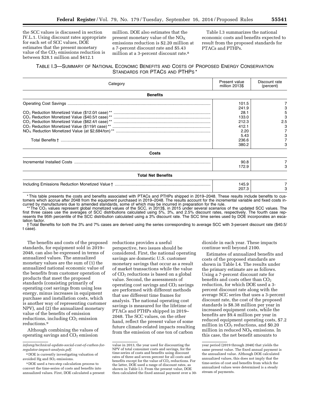the SCC values is discussed in section IV.L.1. Using discount rates appropriate for each set of SCC values, DOE estimates that the present monetary value of the  $CO<sub>2</sub>$  emissions reduction is between \$28.1 million and \$412.1

million. DOE also estimates that the present monetary value of the  $NO<sub>x</sub>$ emissions reduction is \$2.20 million at a 7-percent discount rate and \$5.43 million at a 3-percent discount rate.8

Table I.3 summarizes the national economic costs and benefits expected to result from the proposed standards for PTACs and PTHPs.

## TABLE I.3—SUMMARY OF NATIONAL ECONOMIC BENEFITS AND COSTS OF PROPOSED ENERGY CONSERVATION STANDARDS FOR PTACS AND PTHPS \*

| Category                  | Present value<br>million 2013\$                                   | Discount rate<br>(percent) |
|---------------------------|-------------------------------------------------------------------|----------------------------|
| <b>Benefits</b>           |                                                                   |                            |
|                           | 101.5<br>241.9                                                    |                            |
|                           | 28.1<br>133.0<br>212.3<br>412.1<br>2.20<br>5.43<br>236.6<br>380.2 | 5<br>2.5<br>3<br>3         |
| Costs                     |                                                                   |                            |
|                           | 90.8<br>172.9                                                     |                            |
| <b>Total Net Benefits</b> |                                                                   |                            |
|                           | 145.9<br>207.3                                                    |                            |
|                           |                                                                   |                            |

\* This table presents the costs and benefits associated with PTACs and PTHPs shipped in 2019–2048. These results include benefits to customers which accrue after 2048 from the equipment purchased in 2019–2048. The results account for the incremental variable and fixed costs incurred by manufacturers due to amended standards, some of which may be incurred in preparation for the rule.

\*\* The CO<sub>2</sub> values represent global monetized values of the SCC, in 2013\$, in 2015 under several scenarios of the updated SCC values. The fourth case rep-<br>first three cases use the averages of SCC distributions calculate resents the 95th percentile of the SCC distribution calculated using a 3% discount rate. The SCC time series used by DOE incorporates an escalation factor.

† Total Benefits for both the 3% and 7% cases are derived using the series corresponding to average SCC with 3-percent discount rate (\$40.5/ t case).

The benefits and costs of the proposed standards, for equipment sold in 2019– 2048, can also be expressed in terms of annualized values. The annualized monetary values are the sum of (1) the annualized national economic value of the benefits from customer operation of products that meet the proposed standards (consisting primarily of operating cost savings from using less energy, minus increases in equipment purchase and installation costs, which is another way of representing customer NPV), and (2) the annualized monetary value of the benefits of emission  $reductions, including  $CO<sub>2</sub>$  emission$ reductions.9

Although combining the values of operating savings and  $CO<sub>2</sub>$  emission

reductions provides a useful perspective, two issues should be considered. First, the national operating savings are domestic U.S. customer monetary savings that occur as a result of market transactions while the value of CO2 reductions is based on a global value. Second, the assessments of operating cost savings and  $CO<sub>2</sub>$  savings are performed with different methods that use different time frames for analysis. The national operating cost savings is measured for the lifetime of PTACs and PTHPs shipped in 2019– 2048. The SCC values, on the other hand, reflect the present value of some future climate-related impacts resulting from the emission of one ton of carbon

dioxide in each year. These impacts continue well beyond 2100.

Estimates of annualized benefits and costs of the proposed standards are shown in Table I.4. The results under the primary estimate are as follows. Using a 7-percent discount rate for benefits and costs other than  $CO<sub>2</sub>$ reduction, for which DOE used a 3 percent discount rate along with the average SCC series that uses a 3-percent discount rate, the cost of the proposed standards is \$8.38 million per year in increased equipment costs, while the benefits are \$9.4 million per year in reduced equipment operating costs, \$7.2 million in  $\overline{CO}_2$  reductions, and \$0.20 million in reduced  $NO<sub>x</sub>$  emissions. In this case, the net benefit amounts to

*inforeg/technical-update-social-cost-of-carbon-forregulator-impact-analysis.pdf*.

<sup>8</sup> DOE is currently investigating valuation of avoided Hg and SO<sub>2</sub> emissions.

<sup>9</sup> DOE used a two-step calculation process to convert the time-series of costs and benefits into annualized values. First, DOE calculated a present

value in 2013, the year used for discounting the NPV of total consumer costs and savings, for the time-series of costs and benefits using discount rates of three and seven percent for all costs and benefits except for the value of  $CO<sub>2</sub>$  reductions. For the latter, DOE used a range of discount rates, as shown in Table I.3. From the present value, DOE then calculated the fixed annual payment over a 30-

year period (2019 through 2048) that yields the same present value. The fixed annual payment is the annualized value. Although DOE calculated annualized values, this does not imply that the time-series of cost and benefits from which the annualized values were determined is a steady stream of payments.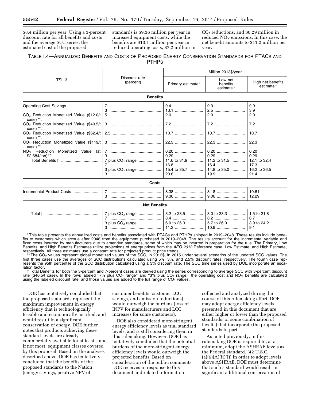\$8.4 million per year. Using a 3-percent discount rate for all benefits and costs and the average SCC series, the estimated cost of the proposed

standards is \$9.36 million per year in increased equipment costs, while the benefits are \$13.1 million per year in reduced operating costs, \$7.2 million in CO2 reductions, and \$0.29 million in reduced  $NO<sub>X</sub>$  emissions. In this case, the net benefit amounts to \$11.2 million per year.

## TABLE I.4—ANNUALIZED BENEFITS AND COSTS OF PROPOSED ENERGY CONSERVATION STANDARDS FOR PTACS AND PTHPS

|                                                                  |                                                    | Million 2013\$/year                                  |                                                  |                                                              |
|------------------------------------------------------------------|----------------------------------------------------|------------------------------------------------------|--------------------------------------------------|--------------------------------------------------------------|
| TSL <sub>3</sub>                                                 | Discount rate<br>(percent)                         | Primary estimate*                                    | Low net<br>benefits<br>estimate*                 | High net benefits<br>estimate*                               |
|                                                                  | <b>Benefits</b>                                    |                                                      |                                                  |                                                              |
| CO <sub>2</sub> Reduction Monetized Value (\$12.0/t              |                                                    | 9.4                                                  | 2.5                                              | 9.9<br>3.9<br>2.0                                            |
| case) **.<br>$case)$ **.                                         |                                                    |                                                      |                                                  | 7.2                                                          |
| case) **.                                                        |                                                    |                                                      |                                                  | 10.7                                                         |
| $CO2$ Reduction Monetized Value (\$119/t  <br>case) **.          |                                                    |                                                      | 22.3                                             | 22.3                                                         |
| Monetized Value<br>$NO_x$ Reduction<br>(at l<br>\$2,684/ton) **. | 7 plus CO <sub>2</sub> range<br>3 plus $CO2$ range | 0.20<br>0.29<br>11.6 to 31.9<br>15.4 to 35.7<br>20.6 | 0.20<br>11.2 to $31.5$<br>16.4<br>14.8 to $35.0$ | 0.20<br>0.29<br>12.1 to 32.4<br>17.3<br>16.2 to 36.5<br>21.4 |
|                                                                  | Costs                                              |                                                      |                                                  |                                                              |
| Incremental Product Costs                                        |                                                    | 8.38                                                 | 8.18                                             | 10.61<br>12.29                                               |
|                                                                  | <b>Net Benefits</b>                                |                                                      |                                                  |                                                              |
|                                                                  | 7 plus CO <sub>2</sub> range                       | 3.2 to 23.5                                          | 3.0 to 23.3<br>8.2                               | 1.5 to 21.8<br>6.7                                           |

\* This table presents the annualized costs and benefits associated with PTACs and PTHPs shipped in 2019–2048. These results include benefits to customers which accrue after 2048 from the equipment purchased in 2019–2048. The results account for the incremental variable and fixed costs incurred by manufacturers due to amended standards, some of which may be incurred in preparation for the rule. The Primary, Low Benefits, and High Benefits Estimates utilize projections of energy prices from the *AEO 2013* Reference case, Low Estimate, and High Estimate, respectively. All three estimates use a constant rate for projected product price trends.

\*\* The CO<sub>2</sub> values represent global monetized values of the SCC, in 2013\$, in 2015 under several scenarios of the updated SCC values. The fourth case rep-<br>first three cases use the averages of SCC distributions calculate resents the 95th percentile of the SCC distribution calculated using a 3% discount rate. The SCC time series used by DOE incorporate an escalation factor.

† Total Benefits for both the 3-percent and 7-percent cases are derived using the series corresponding to average SCC with 3-percent discount rate (\$40.5/t case). In the rows labeled "7% plus  $CO<sub>2</sub>$  range" and "3% plus  $CO<sub>2</sub>$  range," the operating cost and NO<sub>X</sub> benefits are calculated using the labeled discount rate, and those values are added to the full range of  $CO<sub>2</sub>$  values.

DOE has tentatively concluded that the proposed standards represent the maximum improvement in energy efficiency that is technologically feasible and economically justified, and would result in a significant conservation of energy. DOE further notes that products achieving these standard levels are already commercially available for at least some, if not most, equipment classes covered by this proposal. Based on the analyses described above, DOE has tentatively concluded that the benefits of the proposed standards to the Nation (energy savings, positive NPV of

customer benefits, customer LCC savings, and emission reductions) would outweigh the burdens (loss of INPV for manufacturers and LCC increases for some customers).

DOE also considered more-stringent energy efficiency levels as trial standard levels, and is still considering them in this rulemaking. However, DOE has tentatively concluded that the potential burdens of the more-stringent energy efficiency levels would outweigh the projected benefits. Based on consideration of the public comments DOE receives in response to this document and related information

collected and analyzed during the course of this rulemaking effort, DOE may adopt energy efficiency levels presented in this document that are either higher or lower than the proposed standards, or some combination of level(s) that incorporate the proposed standards in part.

As noted previously, in this rulemaking DOE is required to, at a minimum, adopt the ASHRAE levels as the Federal standard. (42 U.S.C.  $(a)(6)(A)(ii)(I)$  In order to adopt levels above ASHRAE, DOE must determine that such a standard would result in significant additional conservation of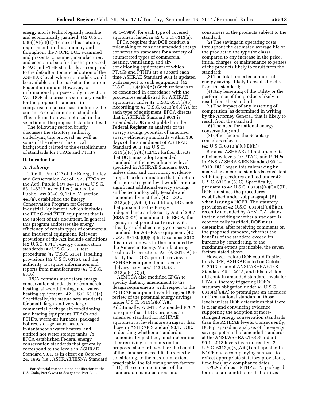energy and is technologically feasible and economically justified. (42 U.S.C.  $(a)(6)(A)(ii)(II))$  To meet this statutory requirement, in this summary and throughout the NOPR, DOE examined and presents consumer, manufacturer, and economic benefits for the proposed PTAC and PTHP standards as compared to the default automatic adoption of the ASHRAE level, where no models would be available on the market at the current Federal minimum. However, for informational purposes only, in section V.C. DOE also presents summary results for the proposed standards in comparison to a base case including the current Federal minimum standards. This information was not used in the selection of the proposed standard level.

The following section briefly discusses the statutory authority underlying this proposal, as well as some of the relevant historical background related to the establishment of standards for PTACs and PTHPs.

#### **II. Introduction**

#### *A. Authority*

Title III, Part  $C^{10}$  of the Energy Policy and Conservation Act of 1975 (EPCA or the Act), Public Law 94–163 (42 U.S.C. 6311–6317, as codified), added by Public Law 95–619, Title IV, section 441(a), established the Energy Conservation Program for Certain Industrial Equipment, which includes the PTAC and PTHP equipment that is the subject of this document. In general, this program addresses the energy efficiency of certain types of commercial and industrial equipment. Relevant provisions of the Act include definitions (42 U.S.C. 6311), energy conservation standards (42 U.S.C. 6313), test procedures (42 U.S.C. 6314), labelling provisions (42 U.S.C. 6315), and the authority to require information and reports from manufacturers (42 U.S.C. 6316).

EPCA contains mandatory energy conservation standards for commercial heating, air-conditioning, and waterheating equipment. (42 U.S.C. 6313(a)) Specifically, the statute sets standards for small, large, and very large commercial package air-conditioning and heating equipment, PTACs and PTHPs, warm-air furnaces, packaged boilers, storage water heaters, instantaneous water heaters, and unfired hot water storage tanks. *Id.*  EPCA established Federal energy conservation standards that generally correspond to the levels in ASHRAE Standard 90.1, as in effect on October 24, 1992 (i.e., ASHRAE/IESNA Standard 90.1–1989), for each type of covered equipment listed in 42 U.S.C. 6313(a).

EPCA requires that DOE conduct a rulemaking to consider amended energy conservation standards for a variety of enumerated types of commercial heating, ventilating, and airconditioning equipment (of which PTACs and PTHPs are a subset) each time ASHRAE Standard 90.1 is updated with respect to such equipment. (42 U.S.C. 6313(a)(6)(A)) Such review is to be conducted in accordance with the procedures established for ASHRAE equipment under 42 U.S.C. 6313(a)(6). According to 42 U.S.C.  $6313(a)(6)(A)$ , for each type of equipment, EPCA directs that if ASHRAE Standard 90.1 is amended, DOE must publish in the **Federal Register** an analysis of the energy savings potential of amended energy efficiency standards within 180 days of the amendment of ASHRAE Standard 90.1. (42 U.S.C.  $6313(a)(6)(A)(i)$  EPCA further directs that DOE must adopt amended standards at the new efficiency level specified in ASHRAE Standard 90.1, unless clear and convincing evidence supports a determination that adoption of a more-stringent level would produce significant additional energy savings and be technologically feasible and economically justified. (42 U.S.C.  $6313(a)(6)(A)(ii)$  In addition, DOE notes that pursuant to the Energy Independence and Security Act of 2007 (EISA 2007) amendments to EPCA, the agency must periodically review its already-established energy conservation standards for ASHRAE equipment. (42 U.S.C. 6313(a)(6)(C)) In December 2012, this provision was further amended by the American Energy Manufacturing Technical Corrections Act (AEMTCA) to clarify that DOE's periodic review of ASHRAE equipment must occur ''[e]very six years.'' (42 U.S.C. 6313(a)(6)(C)(i))

AEMTCA also modified EPCA to specify that any amendment to the design requirements with respect to the ASHRAE equipment would trigger DOE review of the potential energy savings under U.S.C. 6313(a)(6)(A)(i). Additionally, AEMTCA amended EPCA to require that if DOE proposes an amended standard for ASHRAE equipment at levels more stringent than those in ASHRAE Standard 90.1, DOE, in deciding whether a standard is economically justified, must determine, after receiving comments on the proposed standard, whether the benefits of the standard exceed its burdens by considering, to the maximum extent practicable, the following seven factors:

(1) The economic impact of the standard on manufacturers and

consumers of the products subject to the standard;

(2) The savings in operating costs throughout the estimated average life of the product in the type (or class) compared to any increase in the price, initial charges, or maintenance expenses of the products likely to result from the standard;

(3) The total projected amount of energy savings likely to result directly from the standard;

(4) Any lessening of the utility or the performance of the products likely to result from the standard;

(5) The impact of any lessening of competition, as determined in writing by the Attorney General, that is likely to result from the standard;

(6) The need for national energy conservation; and

(7) Other factors the Secretary considers relevant.

 $(42 \text{ U.S.C. } 6313(a)(6)(B)(ii))$ 

Because ASHRAE did not update its efficiency levels for PTACs and PTHPs in ANSI/ASHRAE/IES Standard 90.1– 2010, DOE began this rulemaking by analyzing amended standards consistent with the procedures defined under 42 U.S.C. 6313(a)(6)(C). Specifically, pursuant to 42 U.S.C.  $6313(a)(6)(C)(i)(II)$ , DOE, must use the procedures established under subparagraph (B) when issuing a NOPR. The statutory provision at 42 U.S.C. 6313(a)(6)(B)(ii), recently amended by AEMTCA, states that in deciding whether a standard is economically justified, DOE must determine, after receiving comments on the proposed standard, whether the benefits of the standard exceed its burdens by considering, to the maximum extent practicable, the seven factors stated above.

However, before DOE could finalize this NOPR, ASHRAE acted on October 9, 2013 to adopt ANSI/ASHRAE/IES Standard 90.1–2013, and this revision did contain amended standard levels for PTACs, thereby triggering DOE's statutory obligation under 42 U.S.C. 6313(a)(6)(A) to promulgate an amended uniform national standard at those levels unless DOE determines that there is clear and convincing evidence supporting the adoption of morestringent energy conservation standards than the ASHRAE levels. Consequently, DOE prepared an analysis of the energy savings potential of amended standards at the ANSI/ASHRAE/IES Standard 90.1–2013 levels (as required by 42 U.S.C.  $6313(a)(6)(A)(i)$  and updated this NOPR and accompanying analyses to reflect appropriate statutory provisions, timelines, and compliance dates.

EPCA defines a PTHP as ''a packaged terminal air conditioner that utilizes

<sup>10</sup>For editorial reasons, upon codification in the U.S. Code, Part C was re-designated Part A–1.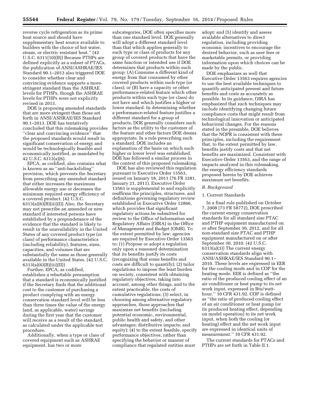reverse cycle refrigeration as its prime heat source and should have supplementary heat source available to builders with the choice of hot water, steam, or electric resistant heat.'' (42 U.S.C. 6311(10)(B)) Because PTHPs are defined explicitly as a subset of PTACs, the publication of ANSI/ASHRAE/IES Standard 90.1–2013 also triggered DOE to consider whether clear and convincing evidence supports a morestringent standard than the ASHRAE levels for PTHPs, though the ASHRAE levels for PTHPs were not explicitly revised in 2013.

DOE is proposing amended standards that are more stringent than those set forth in ANSI/ASHRAE/IES Standard 90.1–2013. DOE has tentatively concluded that this rulemaking provides ''clear and convincing evidence'' that the proposed standards would result in significant conservation of energy and would be technologically feasible and economically justified, as mandated by 42 U.S.C. 6313(a)(6).

EPCA, as codified, also contains what is known as an ''anti-backsliding'' provision, which prevents the Secretary from prescribing any amended standard that either increases the maximum allowable energy use or decreases the minimum required energy efficiency of a covered product. (42 U.S.C. 6313(a)(6)(B)(iii)(I)) Also, the Secretary may not prescribe an amended or new standard if interested persons have established by a preponderance of the evidence that the standard is likely to result in the unavailability in the United States of any covered product type (or class) of performance characteristics (including reliability), features, sizes, capacities, and volumes that are substantially the same as those generally available in the United States. (42 U.S.C. 6313(a)(6)(B)(iii)(II))

Further, EPCA, as codified, establishes a rebuttable presumption that a standard is economically justified if the Secretary finds that the additional cost to the customer of purchasing a product complying with an energy conservation standard level will be less than three times the value of the energy (and, as applicable, water) savings during the first year that the customer will receive as a result of the standard, as calculated under the applicable test procedure.

Additionally, when a type or class of covered equipment such as ASHRAE equipment, has two or more

subcategories, DOE often specifies more than one standard level. DOE generally will adopt a different standard level than that which applies generally to such type or class of products for any group of covered products that have the same function or intended use if DOE determines that products within such group: (A) Consume a different kind of energy from that consumed by other covered products within such type (or class); or (B) have a capacity or other performance-related feature which other products within such type (or class) do not have and which justifies a higher or lower standard. In determining whether a performance-related feature justifies a different standard for a group of products, DOE generally considers such factors as the utility to the customer of the feature and other factors DOE deems appropriate. In a rule prescribing such a standard, DOE includes an explanation of the basis on which such higher or lower level was established. DOE has followed a similar process in the context of this proposed rulemaking.

DOE has also reviewed this regulation pursuant to Executive Order 13563, issued on January 18, 2011 (76 FR 3281, January 21, 2011). Executive Order 13563 is supplemental to and explicitly reaffirms the principles, structures, and definitions governing regulatory review established in Executive Order 12866, which provides that significant regulatory actions be submitted for review to the Office of Information and Regulatory Affairs (OIRA) in the Office of Management and Budget (OMB). To the extent permitted by law, agencies are required by Executive Order 13563 to: (1) Propose or adopt a regulation only upon a reasoned determination that its benefits justify its costs (recognizing that some benefits and costs are difficult to quantify); (2) tailor regulations to impose the least burden on society, consistent with obtaining regulatory objectives, taking into account, among other things, and to the extent practicable, the costs of cumulative regulations; (3) select, in choosing among alternative regulatory approaches, those approaches that maximize net benefits (including potential economic, environmental, public health and safety, and other advantages; distributive impacts; and equity); (4) to the extent feasible, specify performance objectives, rather than specifying the behavior or manner of compliance that regulated entities must

adopt; and (5) identify and assess available alternatives to direct regulation, including providing economic incentives to encourage the desired behavior, such as user fees or marketable permits, or providing information upon which choices can be made by the public.

DOE emphasizes as well that Executive Order 13563 requires agencies to use the best available techniques to quantify anticipated present and future benefits and costs as accurately as possible. In its guidance, OIRA has emphasized that such techniques may include identifying changing future compliance costs that might result from technological innovation or anticipated behavioral changes. For the reasons stated in the preamble, DOE believes that the NOPR is consistent with these principles, including the requirement that, to the extent permitted by law, benefits justify costs and that net benefits are maximized. Consistent with Executive Order 13563, and the range of impacts analyzed in this rulemaking, the energy efficiency standards proposed herein by DOE achieves maximum net benefits.

#### *B. Background*

#### 1. Current Standards

In a final rule published on October 7, 2008 (73 FR 58772), DOE prescribed the current energy conservation standards for all standard size PTAC and PTHP equipment manufactured on or after September 30, 2012, and for all non-standard size PTAC and PTHP equipment manufactured on or after September 30, 2010. (42 U.S.C. 6313(a)(3)) The current energy conservation standards align with ANSI/ASHRAE/IES Standard 90.1– 2010. These levels are expressed in EER for the cooling mode and in COP for the heating mode. EER is defined as ''the ratio of the produced cooling effect of an air conditioner or heat pump to its net work input, expressed in Btu/watthour.'' 10 CFR 431.92. COP is defined as ''the ratio of produced cooling effect of an air conditioner or heat pump (or its produced heating effect, depending on model operation) to its net work input, when both the cooling (or heating) effect and the net work input are expressed in identical units of measurement.'' 10 CFR 431.92.

The current standards for PTACs and PTHPs are set forth in Table II.1.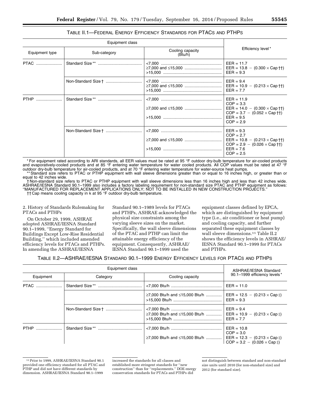## TABLE II.1—FEDERAL ENERGY EFFICIENCY STANDARDS FOR PTACS AND PTHPS

| Equipment class                |  |                             |                                                                                                                                                              |  |
|--------------------------------|--|-----------------------------|--------------------------------------------------------------------------------------------------------------------------------------------------------------|--|
| Equipment type<br>Sub-category |  | Cooling capacity<br>(Btu/h) | Efficiency level*                                                                                                                                            |  |
|                                |  |                             | $EER = 11.7$<br>EER = $13.8 - (0.300 \times Cap \text{ H})$<br>$EER = 9.3$                                                                                   |  |
|                                |  |                             | $EER = 9.4$<br>$EER = 10.9 - (0.213 \times Cap \dagger\dagger)$<br>$EER = 7.7$                                                                               |  |
|                                |  |                             | $EER = 11.9$<br>$COP = 3.3$<br>EER = $14.0 - (0.300 \times Cap \dagger\dagger)$<br>$COP = 3.7 - (0.052 \times Cap \text{ th})$<br>$EER = 9.5$<br>$COP = 2.9$ |  |
|                                |  |                             | $EER = 9.3$<br>$COP = 2.7$<br>EER = $10.8 - (0.213 \times Cap \, \text{m})$<br>$COP = 2.9 - (0.026 \times Cap \text{ H})$<br>$EER = 7.6$<br>$COP = 2.5$      |  |

\* For equipment rated according to ARI standards, all EER values must be rated at 95 °F outdoor dry-bulb temperature for air-cooled products and evaporatively-cooled products and at 85 °F entering water temperature for water cooled products. All COP values must be rated at 47 °F outdoor dry-bulb temperature for air-cooled products, and at 70 °F entering water temperature for water-source heat pumps.<br>\*\* Standard size refers to PTAC or PTHP equipment with wall sleeve dimensions greater than or equal

equal to 42 inches wide.

† Non-standard size refers to PTAC or PTHP equipment with wall sleeve dimensions less than 16 inches high and less than 42 inches wide. ASHRAE/IESNA Standard 90.1–1999 also includes a factory labeling requirement for non-standard size PTAC and PTHP equipment as follows: ''MANUFACTURED FOR REPLACEMENT APPLICATIONS ONLY; NOT TO BE INSTALLED IN NEW CONSTRUCTION PROJECTS.'' †† Cap means cooling capacity in k at 95 °F outdoor dry-bulb temperature.

2. History of Standards Rulemaking for PTACs and PTHPs

On October 29, 1999, ASHRAE adopted ASHRAE/IESNA Standard 90.1–1999, ''Energy Standard for Buildings Except Low-Rise Residential Building,'' which included amended efficiency levels for PTACs and PTHPs. In amending the ASHRAE/IESNA

Standard 90.1–1989 levels for PTACs and PTHPs, ASHRAE acknowledged the physical size constraints among the varying sleeve sizes on the market. Specifically, the wall sleeve dimensions of the PTAC and PTHP can limit the attainable energy efficiency of the equipment. Consequently, ASHRAE/ IESNA Standard 90.1–1999 used the

equipment classes defined by EPCA, which are distinguished by equipment type (i.e., air conditioner or heat pump) and cooling capacity, and further separated these equipment classes by wall sleeve dimensions.11 Table II.2 shows the efficiency levels in ASHRAE/ IESNA Standard 90.1–1999 for PTACs and PTHPs.

## TABLE II.2—ASHRAE/IESNA STANDARD 90.1–1999 ENERGY EFFICIENCY LEVELS FOR PTACS AND PTHPS

| Equipment class |          |                                | ASHRAE/IESNA Standard                                                                                             |  |
|-----------------|----------|--------------------------------|-------------------------------------------------------------------------------------------------------------------|--|
| Equipment       | Category | Cooling capacity               | 90.1-1999 efficiency levels*                                                                                      |  |
|                 |          |                                | $EER = 11.0$                                                                                                      |  |
|                 |          | ≥7,000 Btu/h and ≤15,000 Btu/h | EER = $12.5 - (0.213 \times Cap \ddagger)$<br>$EER = 9.3$                                                         |  |
|                 |          | ≥7,000 Btu/h and ≤15,000 Btu/h | $EER = 9.4$<br>EER = $10.9 - (0.213 \times Cap \cdot )$<br>$EER = 7.7$                                            |  |
|                 |          | ≥7,000 Btu/h and ≤15,000 Btu/h | $EER = 10.8$<br>$COP = 3.0$<br>EER = $12.3 - (0.213 \times Cap \ddagger)$<br>$COP = 3.2 - (0.026 \times Cap \pm)$ |  |

<sup>11</sup>Prior to 1999, ASHRAE/IESNA Standard 90.1 provided one efficiency standard for all PTAC and PTHP and did not have different standards by dimension. ASHRAE/IESNA Standard 90.1–1999

increased the standards for all classes and established more stringent standards for ''new construction'' than for ''replacements.'' DOE energy conservation standards for PTACs and PTHPs did

not distinguish between standard and non-standard size units until 2010 (for non-standard size) and 2012 (for standard size).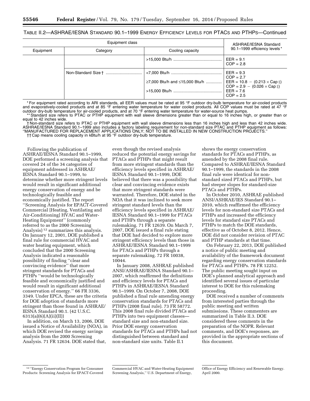## TABLE II.2—ASHRAE/IESNA STANDARD 90.1–1999 ENERGY EFFICIENCY LEVELS FOR PTACS AND PTHPS—Continued

| Equipment class |          |                                                                          | ASHRAE/IESNA Standard                                                                                 |  |
|-----------------|----------|--------------------------------------------------------------------------|-------------------------------------------------------------------------------------------------------|--|
| Equipment       | Category | Cooling capacity                                                         | 90.1-1999 efficiency levels*                                                                          |  |
|                 |          |                                                                          | $EER = 9.1$<br>$COP = 2.8$                                                                            |  |
|                 |          | ≥7,000 Btu/h and ≤15,000 Btu/h    EER = 10.8 - (0.213 × Cap $\ddagger$ ) | $EER = 9.3$<br>$COP = 2.7$<br>$COP = 2.9 - (0.026 \times Cap \ddagger)$<br>$EER = 7.6$<br>$COP = 2.5$ |  |

\* For equipment rated according to ARI standards, all EER values must be rated at 95 °F outdoor dry-bulb temperature for air-cooled products and evaporatively-cooled products and at 85 °F entering water temperature for water cooled products. All COP values must be rated at 47 °F outdoor dry-bulb temperature for air-cooled products, and at 70 °F entering water temperature for water-source heat pumps.

Standard size refers to PTAC or PTHP equipment with wall sleeve dimensions greater than or equal to 16 inches high, or greater than or equal to 42 inches wide.

† Non-standard size refers to PTAC or PTHP equipment with wall sleeve dimensions less than 16 inches high and less than 42 inches wide. ASHRAE/IESNA Standard 90.1–1999 also includes a factory labeling requirement for non-standard size PTAC and PTHP equipment as follows: ''MANUFACTURED FOR REPLACEMENT APPLICATIONS ONLY; NOT TO BE INSTALLED IN NEW CONSTRUCTION PROJECTS.''

†† Cap means cooling capacity in kBtu/h at 95 °F outdoor dry-bulb temperature.

Following the publication of ASHRAE/IESNA Standard 90.1–1999, DOE performed a screening analysis that covered 24 of the 34 categories of equipment addressed in ASHRAE/ IESNA Standard 90.1–1999, to determine whether more stringent levels would result in significant additional energy conservation of energy and be technologically feasible and economically justified. The report ''Screening Analysis for EPACT-Covered Commercial [Heating, Ventilating and Air-Conditioning] HVAC and Water-Heating Equipment'' (commonly referred to as the 2000 Screening Analysis) 12 summarizes this analysis. On January 12, 2001, DOE published a final rule for commercial HVAC and water heating equipment, which concluded that the 2000 Screening Analysis indicated a reasonable possibility of finding ''clear and convincing evidence'' that more stringent standards for PTACs and PTHPs ''would be technologically feasible and economically justified and would result in significant additional conservation of energy.'' 66 FR 3336, 3349. Under EPCA, these are the criteria for DOE adoption of standards more stringent than those found in ASHRAE/ IESNA Standard 90.1. (42 U.S.C. 6313(a)(6)(A)(ii)(II))

In addition, on March 13, 2006, DOE issued a Notice of Availability (NOA), in which DOE revised the energy savings analysis from the 2000 Screening Analysis. 71 FR 12634. DOE stated that,

even though the revised analysis reduced the potential energy savings for PTACs and PTHPs that might result from more stringent standards than the efficiency levels specified in ASHRAE/ IESNA Standard 90.1–1999, DOE believed that there was a possibility that clear and convincing evidence exists that more stringent standards were warranted. Therefore, DOE stated in the NOA that it was inclined to seek more stringent standard levels than the efficiency levels specified in ASHRAE/ IESNA Standard 90.1–1999 for PTACs and PTHPs through a separate rulemaking. 71 FR 12639. On March 7, 2007, DOE issued a final rule stating that DOE had decided to explore more stringent efficiency levels than those in ASHRAE/IESNA Standard 90.1–1999 for PTACs and PTHPs through a separate rulemaking. 72 FR 10038, 10044.

In January 2008, ASHRAE published ANSI/ASHRAE/IESNA Standard 90.1– 2007, which reaffirmed the definitions and efficiency levels for PTACs and PTHPs in ASHRAE/IESNA Standard 90.1–1999. On October 7, 2008, DOE published a final rule amending energy conservation standards for PTACs and PTHPs (2008 final rule). 73 FR 58772. This 2008 final rule divided PTACs and PTHPs into two equipment classes standard size and non-standard size. Prior DOE energy conservation standards for PTACs and PTHPs had not distinguished between standard and non-standard size units. Table II.1

shows the energy conservation standards for PTACs and PTHPs, as amended by the 2008 final rule. Compared to ASHRAE/IESNA Standard 90.1–1999, the standards in the 2008 final rule were identical for nonstandard sized PTACs and PTHPs, but had steeper slopes for standard-size PTACs and PTHPs.

In October 2010, ASHRAE published ANSI/ASHRAE/IES Standard 90.1– 2010, which reaffirmed the efficiency levels for non-standard size PTACs and PTHPs and increased the efficiency levels for standard size PTACs and PTHPs to match the DOE standards, effective as of October 8, 2012. Hence, DOE did not consider revision of PTAC and PTHP standards at that time.

On February 22, 2013, DOE published a notice of public meeting and availability of the framework document regarding energy conservation standards for PTACs and PTHPs. 78 FR 12252. The public meeting sought input on DOE's planned analytical approach and identified several issues of particular interest to DOE for this rulemaking proceeding.

DOE received a number of comments from interested parties through the public meeting and written submissions. These commenters are summarized in Table II.3. DOE considered these comments in the preparation of the NOPR. Relevant comments, and DOE's responses, are provided in the appropriate sections of this document.

<sup>12</sup> ''Energy Conservation Program for Consumer Products: Screening Analysis for EPACT-Covered

Commercial HVAC and Water-Heating Equipment Screening Analysis,'' U.S. Department of Energy,

Office of Energy Efficiency and Renewable Energy. April 2000.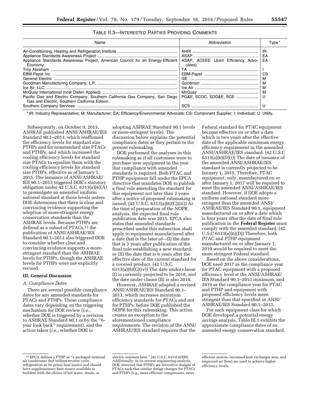| TABLE II.3—Interested Parties Providing Comments |
|--------------------------------------------------|
|--------------------------------------------------|

| Abbreviation                                                                                                                     | Type *         |
|----------------------------------------------------------------------------------------------------------------------------------|----------------|
| Appliance Standards Awareness Project, American Council for an Energy-Efficient   ASAP, ACEEE (Joint Efficiency Advo-<br>cates). | IR<br>EA<br>ΕA |
|                                                                                                                                  | CS             |
|                                                                                                                                  | м              |
|                                                                                                                                  |                |
|                                                                                                                                  | M              |
|                                                                                                                                  |                |
|                                                                                                                                  |                |

\* IR: Industry Representative; M: Manufacturer; EA: Efficiency/Environmental Advocate; CS: Component Supplier; I: Individual; U: Utility.

Subsequently, on October 9, 2013, ASHRAE published ANSI/ASHRAE/IES Standard 90.1–2013, which reaffirmed the efficiency levels for standard size PTHPs and for nonstandard size PTACs and PTHPs, and which increased the cooling efficiency levels for standard size PTACs to equalize them with the cooling efficiency levels for standard size PTHPs, effective as of January 1, 2015. The issuance of ANSI/ASHRAE/ IES 90.1–2013 triggered DOE's statutory obligation under 42 U.S.C. 6313(a)(6)(A) to promulgate an amended uniform national standard at those levels unless DOE determines that there is clear and convincing evidence supporting the adoption of more-stringent energy conservation standards than the ASHRAE levels. Because PTHPs are defined as a subset of PTACs,<sup>13</sup> the publication of ANSI/ASHRAE/IES Standard 90.1–2013 also triggered DOE to consider whether clear and convincing evidence supports a morestringent standard than the ASHRAE levels for PTHPs, though the ASHRAE levels for PTHPs were not explicitly revised.

#### **III. General Discussion**

#### *A. Compliance Dates*

There are several possible compliance dates for any amended standards for PTACs and PTHPs. These compliance dates vary depending on the triggering mechanism for DOE review (*i.e.,*  whether DOE is triggered by a revision to ASHRAE Standard 90.1 or by the ''6 year look back'' requirement), and the action taken (*i.e.,* whether DOE is

adopting ASHRAE Standard 90.1 levels or more-stringent levels). The discussion below explains the potential compliance dates as they pertain to the present rulemaking.

DOE performed the analyses in this rulemaking as if all customers were to purchase new equipment in the year that compliance with amended standards is required. Both PTAC and PTHP equipment fall under the EPCA directive that mandates DOE to publish a final rule amending the standard for this equipment not later than 2 years after a notice of proposed rulemaking is issued. (42 U.S.C. 6313(a)(6)(C)(iii)) At the time of preparation of the NOPR analysis, the expected final rule publication date was 2015. EPCA also states that amended standards prescribed under this subsection shall apply to equipment manufactured after a date that is the later of—(I) the date that is 3 years after publication of the final rule establishing a new standard; or (II) the date that is 6 years after the effective date of the current standard for a covered product. (42 U.S.C. 6313(a)(6)(C)(iv)) The date under clause (I) is currently projected to be 2018, and the date under clause (II) is also 2018.

However, ASHRAE adopted a revised ANSI/ASHRAE/IES Standard 90.1– 2013, which increases minimum efficiency standards for PTACs and not for PTHPs, before DOE published the NOPR for this rulemaking. This action creates an exception to the aforementioned compliance requirements. The revision of the ANSI/ ASHRAE/IES standard requires that the Federal standard for PTAC equipment become effective on or after a date which is two years after the effective date of the applicable minimum energy efficiency requirement in the amended ANSI/ASHRAE/IES standard. (42 U.S.C  $6313(a)(6)(D)(i)$  The date of issuance of the amended ANSI/ASHRAE/IES standard is currently projected to be January 1, 2015. Therefore, PTAC equipment, only, manufactured on or after January 1, 2017 will be required to meet the amended ANSI/ASHRAE/IES standard. However, if DOE adopts a uniform national standard more stringent than the amended ANSI/ ASHRAE/IES Standard 90.1, equipment manufactured on or after a date which is four years after the date of final rule publication in the **Federal Register** must comply with the amended standard. (42 U.S.C 6313(a)(6)(D)) Therefore, both PTAC and PTHP equipment manufactured on or after January 1, 2019 would be required to meet the more stringent Federal standard.

Based on the above considerations, DOE used 2017 as the compliance year for PTAC equipment with a proposed efficiency level at the ANSI/ASHRAE/ IES Standard 90.1–2013 minimum, and 2019 as the compliance year for PTAC and PTHP and equipment with proposed efficiency levels more stringent than that specified in ANSI/ ASHRAE/IES Standard 90.1–2013.

For each equipment class for which DOE developed a potential energy savings analysis, Table III.1 exhibits the approximate compliance dates of an amended energy conservation standard.

<sup>13</sup>EPCA defines a PTHP as ''a packaged terminal air conditioner that utilizes reverse cycle refrigeration as its prime heat source and should have supplementary heat source available to builders with the choice of hot water, steam, or

electric resistant heat.'' (42 U.S.C. 6311(10)(B)) Additionally, in its reverse engineering analysis, DOE observed that PTHPs are derivative designs of PTACs such that similar design changes for PTACs and PTHPs (e.g., more efficient compressors, more

efficient motors, increased heat exchanger area, and improved air flow) are used to achieve higher efficiency levels.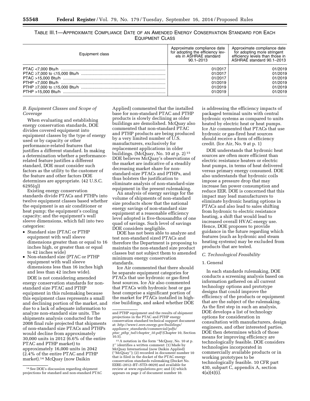| TABLE III.1—APPROXIMATE COMPLIANCE DATE OF AN AMENDED ENERGY CONSERVATION STANDARD FOR EACH |  |  |
|---------------------------------------------------------------------------------------------|--|--|
| <b>EQUIPMENT CLASS</b>                                                                      |  |  |

| Equipment class | Approximate compliance date<br>for adopting the efficiency lev-<br>els in ASHRAE standard<br>$90.1 - 2013$ | Approximate compliance date<br>for adopting more stringent<br>efficiency levels than those in<br>ASHRAE standard 90.1-2013 |
|-----------------|------------------------------------------------------------------------------------------------------------|----------------------------------------------------------------------------------------------------------------------------|
|                 | 01/2017                                                                                                    | 01/2019                                                                                                                    |
|                 | 01/2017                                                                                                    | 01/2019                                                                                                                    |
|                 | 01/2017                                                                                                    | 01/2019                                                                                                                    |
|                 | 01/2019                                                                                                    | 01/2019                                                                                                                    |
|                 | 01/2019                                                                                                    | 01/2019                                                                                                                    |
|                 | 01/2019                                                                                                    | 01/2019                                                                                                                    |

#### *B. Equipment Classes and Scope of Coverage*

When evaluating and establishing energy conservation standards, DOE divides covered equipment into equipment classes by the type of energy used or by capacity or other performance-related features that justifies a different standard. In making a determination whether a performancerelated feature justifies a different standard, DOE must consider such factors as the utility to the customer of the feature and other factors DOE determines are appropriate. (42 U.S.C. 6295(q))

Existing energy conservation standards divide PTACs and PTHPs into twelve equipment classes based whether the equipment is an air conditioner or heat pump; the equipment's cooling capacity; and the equipment's wall sleeve dimensions, which fall into two categories:

- Standard size (PTAC or PTHP equipment with wall sleeve dimensions greater than or equal to 16 inches high, or greater than or equal to 42 inches wide)
- Non-standard size (PTAC or PTHP equipment with wall sleeve dimensions less than 16 inches high and less than 42 inches wide).

DOE is not considering amended energy conservation standards for nonstandard size PTAC and PTHP equipment in this rulemaking because this equipment class represents a small and declining portion of the market, and due to a lack of adequate information to analyze non-standard size units. The shipments analysis conducted for the 2008 final rule projected that shipments of non-standard size PTACs and PTHPs would decline from approximately 30,000 units in 2012 (6.6% of the entire PTAC and PTHP market) to approximately 16,000 units in 2042 (2.4% of the entire PTAC and PTHP market).14 McQuay (now Daikin

Applied) commented that the installed base for non-standard PTAC and PTHP products is slowly declining as older buildings are demolished. McQuay also commented that non-standard PTAC and PTHP products are being produced by a very limited number of U.S. manufacturers, exclusively for replacement applications in older buildings. (McQuay, No. 10 at p. 2) 15 DOE believes McQuay's observations of the market are indicative of a steadily decreasing market share for nonstandard-size PTACs and PTHPs, and thus bolsters the justification to eliminate analysis of non-standard-size equipment in the present rulemaking.

An analysis of energy savings for the volume of shipments of non-standard size products show that the national energy savings of non-standard size equipment at a reasonable efficiency level adopted is five-thousandths of one quad of savings. Such level of savings DOE considers negligible.

DOE has not been able to analyze and test non-standard sized PTACs and therefore the Department is proposing to maintain the non-standard size product classes but not subject them to amended minimum energy conservation standards.

Ice Air commented that there should be separate equipment categories for PTACs that use hydronic or gas-fired heat sources. Ice Air also commented that PTACs with hydronic heat or gas heat comprise a significant portion of the market for PTACs installed in highrise buildings, and asked whether DOE is addressing the efficiency impacts of packaged terminal units with central hydronic systems as compared to units heated by electric heat or heat pumps. Ice Air commented that PTACs that use hydronic or gas-fired heat sources should receive a form of efficiency credit. (Ice Air, No. 9 at p. 1)

DOE understands that hydronic heat sources are often more efficient than electric resistance heaters or electric heat pumps, in terms of heat delivered versus primary energy consumed. DOE also understands that hydronic coils impose a pressure drop that may increase fan power consumption and reduce EER. DOE is concerned that this impact may lead manufacturers to eliminate hydronic heating options in PTACs and also lead to sales shifting from hydronic to electric resistance heating, a shift that would lead to increased overall HVAC energy use. Hence, DOE proposes to provide guidance in the future regarding which features (such as hydronic and steam heating systems) may be excluded from products that are tested.

#### *C. Technological Feasibility*

#### 1. General

In each standards rulemaking, DOE conducts a screening analysis based on information gathered on all current technology options and prototype designs that could improve the efficiency of the products or equipment that are the subject of the rulemaking. As the first step in such an analysis, DOE develops a list of technology options for consideration in consultation with manufacturers, design engineers, and other interested parties. DOE then determines which of those means for improving efficiency are technologically feasible. DOE considers technologies incorporated in commercially available products or in working prototypes to be technologically feasible. 10 CFR part 430, subpart C, appendix A, section  $4(a)(4)(i)$ .

<sup>14</sup>See DOE's discussion regarding shipment projections for standard and non-standard PTAC

and PTHP equipment and the results of shipment projections in the PTAC and PTHP energy conservation standard technical support document at: *[http://www1.eere.energy.gov/buildings/](http://www1.eere.energy.gov/buildings/appliance_standards/commercial/pdfs/ptac_pthp_tsd/chapter_10.pdf)  appliance*\_*[standards/commercial/pdfs/](http://www1.eere.energy.gov/buildings/appliance_standards/commercial/pdfs/ptac_pthp_tsd/chapter_10.pdf) ptac*\_*pthp*\_*[tsd/chapter](http://www1.eere.energy.gov/buildings/appliance_standards/commercial/pdfs/ptac_pthp_tsd/chapter_10.pdf)*\_*10.pdf* (Chapter 10, Section

<sup>&</sup>lt;sup>15</sup> A notation in the form "McQuay, No. 10 at p. 2'' identifies a written comment: (1) Made by McQuay International (now Daikin Applied) (''McQuay''); (2) recorded in document number 10 that is filed in the docket of the PTAC energy conservation standards rulemaking (Docket No. EERE–2012–BT–STD–0029) and available for review at *[www.regulations.gov;](http://www.regulations.gov)* and (3) which appears on page 2 of document number 10.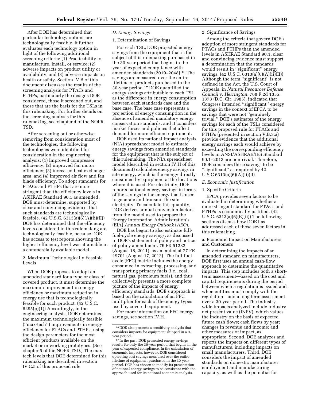After DOE has determined that particular technology options are technologically feasible, it further evaluates each technology option in light of the following additional screening criteria: (1) Practicability to manufacture, install, or service; (2) adverse impacts on product utility or availability; and (3) adverse impacts on health or safety. Section IV.B of this document discusses the results of the screening analysis for PTACs and PTHPs, particularly the designs DOE considered, those it screened out, and those that are the basis for the TSLs in this rulemaking. For further details on the screening analysis for this rulemaking, see chapter 4 of the NOPR TSD.

After screening out or otherwise removing from consideration most of the technologies, the following technologies were identified for consideration in the engineering analysis: (1) Improved compressor efficiency; (2) improved fan motor efficiency; (3) increased heat exchanger area; and (4) improved air flow and fan blade efficiency. To adopt standards for PTACs and PTHPs that are more stringent than the efficiency levels in ASHRAE Standard 90.1 as amended, DOE must determine, supported by clear and convincing evidence, that such standards are technologically feasible. (42 U.S.C. 6313(a)(6)(A)(ii)(II)) DOE has determined that the efficiency levels considered in this rulemaking are technologically feasible, because DOE has access to test reports showing the highest efficiency level was attainable in a commercially available model.

## 2. Maximum Technologically Feasible Levels

When DOE proposes to adopt an amended standard for a type or class of covered product, it must determine the maximum improvement in energy efficiency or maximum reduction in energy use that is technologically feasible for such product. (42 U.S.C.  $6295(p)(1)$  Accordingly, in the engineering analysis, DOE determined the maximum technologically feasible (''max-tech'') improvements in energy efficiency for PTACs and PTHPs, using the design parameters for the most efficient products available on the market or in working prototypes. (See chapter 5 of the NOPR TSD.) The maxtech levels that DOE determined for this rulemaking are described in section IV.C.5 of this proposed rule.

## *D. Energy Savings*

## 1. Determination of Savings

For each TSL, DOE projected energy savings from the equipment that is the subject of this rulemaking purchased in the 30-year period that begins in the year of expected compliance with amended standards (2019–2048).16 The savings are measured over the entire lifetime of products purchased in the 30-year period.17 DOE quantified the energy savings attributable to each TSL as the difference in energy consumption between each standards case and the base case. The base case represents a projection of energy consumption in the absence of amended mandatory energy conservation standards, and it considers market forces and policies that affect demand for more-efficient equipment.

DOE used its national impact analysis (NIA) spreadsheet model to estimate energy savings from amended standards for the equipment that is the subject of this rulemaking. The NIA spreadsheet model (described in section IV.H of this document) calculates energy savings in site energy, which is the energy directly consumed by equipment at the locations where it is used. For electricity, DOE reports national energy savings in terms of the savings in the energy that is used to generate and transmit the site electricity. To calculate this quantity, DOE derives annual conversion factors from the model used to prepare the Energy Information Administration's (EIA) *Annual Energy Outlook* (*AEO*).

DOE has begun to also estimate fullfuel-cycle energy savings, as discussed in DOE's statement of policy and notice of policy amendment. 76 FR 51282 (August 18, 2011), as amended at 77 FR 49701 (August 17, 2012). The full-fuelcycle (FFC) metric includes the energy consumed in extracting, processing, and transporting primary fuels (i.e., coal, natural gas, petroleum fuels), and thus collectively presents a more complete picture of the impacts of energy efficiency standards. DOE's approach is based on the calculation of an FFC multiplier for each of the energy types used by covered equipment.

For more information on FFC energy savings, see section IV.H.

#### 2. Significance of Savings

Among the criteria that govern DOE's adoption of more stringent standards for PTACs and PTHPs than the amended levels in ASHRAE Standard 90.1, clear and convincing evidence must support a determination that the standards would result in ''significant'' energy savings. (42 U.S.C. 6313(a)(6)(A)(ii)(II)) Although the term ''significant'' is not defined in the Act, the U.S. Court of Appeals, in *Natural Resources Defense Council* v. *Herrington,* 768 F.2d 1355, 1373 (D.C. Cir. 1985), indicated that Congress intended ''significant'' energy savings in the context of EPCA to be savings that were not ''genuinely trivial.'' DOE's estimates of the energy savings for each of the TSLs considered for this proposed rule for PTACs and PTHPs (presented in section V.B.3.a) provide evidence that the additional energy savings each would achieve by exceeding the corresponding efficiency levels in ANSI/ASHRAE/IES Standard 90.1–2013 are nontrivial. Therefore, DOE considers these savings to be ''significant'' as required by 42  $U.S.C.6313(a)(6)(A)(ii)(II).$ 

#### *E. Economic Justification*

#### 1. Specific Criteria

EPCA provides seven factors to be evaluated in determining whether a more stringent standard for PTACs and PTHPs is economically justified. (42 U.S.C.  $6313(a)(6)(B)(ii)$ ) The following sections discuss how DOE has addressed each of those seven factors in this rulemaking.

a. Economic Impact on Manufacturers and Customers

In determining the impacts of an amended standard on manufacturers, DOE first uses an annual cash-flow approach to determine the quantitative impacts. This step includes both a shortterm assessment—based on the cost and capital requirements during the period between when a regulation is issued and when entities must comply with the regulation—and a long-term assessment over a 30-year period. The industrywide impacts analyzed include industry net present value (INPV), which values the industry on the basis of expected future cash flows; cash flows by year; changes in revenue and income; and other measures of impact, as appropriate. Second, DOE analyzes and reports the impacts on different types of manufacturers, including impacts on small manufacturers. Third, DOE considers the impact of amended standards on domestic manufacturer employment and manufacturing capacity, as well as the potential for

<sup>16</sup> DOE also presents a sensitivity analysis that considers impacts for equipment shipped in a 9 year period.

<sup>&</sup>lt;sup>17</sup> In the past, DOE presented energy savings results for only the 30-year period that begins in the year of expected compliance. In the calculation of economic impacts, however, DOE considered operating cost savings measured over the entire lifetime of equipment purchased in the 30-year period. DOE has chosen to modify its presentation of national energy savings to be consistent with the approach used for its national economic analysis.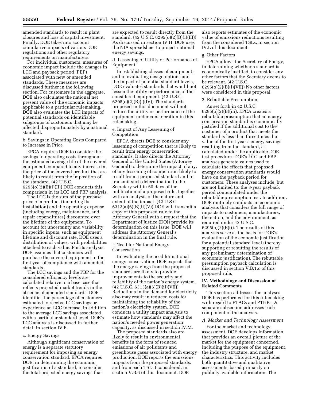amended standards to result in plant closures and loss of capital investment. Finally, DOE takes into account cumulative impacts of various DOE regulations and other regulatory requirements on manufacturers.

For individual customers, measures of economic impact include the changes in LCC and payback period (PBP) associated with new or amended standards. These measures are discussed further in the following section. For customers in the aggregate, DOE also calculates the national net present value of the economic impacts applicable to a particular rulemaking. DOE also evaluates the LCC impacts of potential standards on identifiable subgroups of customers that may be affected disproportionately by a national standard.

b. Savings in Operating Costs Compared to Increase in Price

EPCA requires DOE to consider the savings in operating costs throughout the estimated average life of the covered equipment compared to any increase in the price of the covered product that are likely to result from the imposition of the standard. (42 U.S.C.  $6295(o)(2)(B)(i)(II))$  DOE conducts this comparison in its LCC and PBP analysis.

The LCC is the sum of the purchase price of a product (including its installation) and the operating expense (including energy, maintenance, and repair expenditures) discounted over the lifetime of the equipment. To account for uncertainty and variability in specific inputs, such as equipment lifetime and discount rate, DOE uses a distribution of values, with probabilities attached to each value. For its analysis, DOE assumes that customers will purchase the covered equipment in the first year of compliance with amended standards.

The LCC savings and the PBP for the considered efficiency levels are calculated relative to a base case that reflects projected market trends in the absence of amended standards. DOE identifies the percentage of customers estimated to receive LCC savings or experience an LCC increase, in addition to the average LCC savings associated with a particular standard level. DOE's LCC analysis is discussed in further detail in section IV.F.

#### c. Energy Savings

Although significant conservation of energy is a separate statutory requirement for imposing an energy conservation standard, EPCA requires DOE, in determining the economic justification of a standard, to consider the total projected energy savings that

are expected to result directly from the standard. (42 U.S.C. 6295(o)(2)(B)(i)(III)) As discussed in section IV.H, DOE uses the NIA spreadsheet to project national energy savings.

d. Lessening of Utility or Performance of Equipment

In establishing classes of equipment, and in evaluating design options and the impact of potential standard levels, DOE evaluates standards that would not lessen the utility or performance of the considered equipment. (42 U.S.C.  $6295(o)(2)(B)(i)(IV))$  The standards proposed in this document will not reduce the utility or performance of the equipment under consideration in this rulemaking.

#### e. Impact of Any Lessening of Competition

EPCA directs DOE to consider any lessening of competition that is likely to result from energy conservation standards. It also directs the Attorney General of the United States (Attorney General) to determine the impact, if any, of any lessening of competition likely to result from a proposed standard and to transmit such determination to the Secretary within 60 days of the publication of a proposed rule, together with an analysis of the nature and extent of the impact. (42 U.S.C.  $6313(a)(6)(B)(ii)(V))$  DOE will transmit a copy of this proposed rule to the Attorney General with a request that the Department of Justice (DOJ) provide its determination on this issue. DOE will address the Attorney General's determination in the final rule.

#### f. Need for National Energy Conservation

In evaluating the need for national energy conservation, DOE expects that the energy savings from the proposed standards are likely to provide improvements to the security and reliability of the nation's energy system. (42 U.S.C. 6313(a)(6)(B)(ii)(VII)) Reductions in the demand for electricity also may result in reduced costs for maintaining the reliability of the nation's electricity system. DOE conducts a utility impact analysis to estimate how standards may affect the nation's needed power generation capacity, as discussed in section IV.M.

The proposed standards also are likely to result in environmental benefits in the form of reduced emissions of air pollutants and greenhouse gases associated with energy production. DOE reports the emissions impacts from the proposed standards, and from each TSL it considered, in section V.B.6 of this document. DOE

also reports estimates of the economic value of emissions reductions resulting from the considered TSLs, in section IV.L of this document.

## g. Other Factors

EPCA allows the Secretary of Energy, in determining whether a standard is economically justified, to consider any other factors that the Secretary deems to be relevant. (42 U.S.C.  $6295(o)(2)(B)(i)(VII))$  No other factors were considered in this proposal.

## 2. Rebuttable Presumption

As set forth in 42 U.S.C.  $6295(o)(2)(B)(iii)$ , EPCA creates a rebuttable presumption that an energy conservation standard is economically justified if the additional cost to the customer of a product that meets the standard is less than three times the value of the first year's energy savings resulting from the standard, as calculated under the applicable DOE test procedure. DOE's LCC and PBP analyses generate values used to calculate the effects that proposed energy conservation standards would have on the payback period for customers. These analyses include, but are not limited to, the 3-year payback period contemplated under the rebuttable-presumption test. In addition, DOE routinely conducts an economic analysis that considers the full range of impacts to customers, manufacturers, the nation, and the environment, as required under 42 U.S.C.  $6295(o)(2)(B)(i)$ . The results of this analysis serve as the basis for DOE's evaluation of the economic justification for a potential standard level (thereby supporting or rebutting the results of any preliminary determination of economic justification). The rebuttable presumption payback calculation is discussed in section V.B.1.c of this proposed rule.

#### **IV. Methodology and Discussion of Related Comments**

This section addresses the analyses DOE has performed for this rulemaking with regard to PTACs and PTHPs. A separate subsection addresses each component of the analysis.

#### *A. Market and Technology Assessment*

For the market and technology assessment, DOE develops information that provides an overall picture of the market for the equipment concerned, including the purpose of the equipment, the industry structure, and market characteristics. This activity includes both quantitative and qualitative assessments, based primarily on publicly available information. The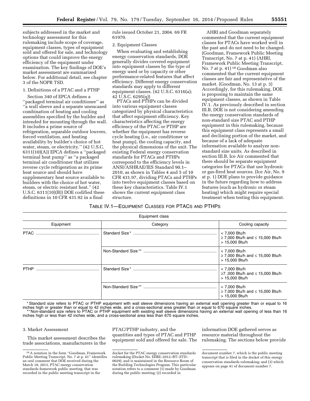subjects addressed in the market and technology assessment for this rulemaking include scope of coverage, equipment classes, types of equipment sold and offered for sale, and technology options that could improve the energy efficiency of the equipment under examination. The key findings of DOE's market assessment are summarized below. For additional detail, see chapter 3 of the NOPR TSD.

## 1. Definitions of a PTAC and a PTHP

Section 340 of EPCA defines a ''packaged terminal air conditioner'' as ''a wall sleeve and a separate unencased combination of heating and cooling assemblies specified by the builder and intended for mounting through the wall. It includes a prime source of refrigeration, separable outdoor louvers, forced ventilation, and heating availability by builder's choice of hot water, steam, or electricity.'' (42 U.S.C. 6311(10)(A)) EPCA defines a ''packaged terminal heat pump'' as ''a packaged terminal air conditioner that utilizes reverse cycle refrigeration as its prime heat source and should have supplementary heat source available to builders with the choice of hot water, steam, or electric resistant heat.'' (42 U.S.C. 6311(10)(B)) DOE codified these definitions in 10 CFR 431.92 in a final

rule issued October 21, 2004. 69 FR 61970.

#### 2. Equipment Classes

When evaluating and establishing energy conservation standards, DOE generally divides covered equipment into equipment classes by the type of energy used or by capacity or other performance-related features that affect efficiency. Different energy conservation standards may apply to different equipment classes. (42 U.S.C. 6316(a); 42 U.S.C. 6295(q))

PTACs and PTHPs can be divided into various equipment classes categorized by physical characteristics that affect equipment efficiency. Key characteristics affecting the energy efficiency of the PTAC or PTHP are whether the equipment has reverse cycle heating (i.e., air conditioner or heat pump), the cooling capacity, and the physical dimensions of the unit. The existing Federal energy conservation standards for PTACs and PTHPs correspond to the efficiency levels in ANSI/ASHRAE/IES Standard 90.1– 2010, as shown in Tables 4 and 5 of 10 CFR 431.97, dividing PTACs and PTHPs into twelve equipment classes based on these key characteristics. Table IV.1 shows the current equipment class structure.

AHRI and Goodman separately commented that the current equipment classes for PTACs have worked well in the past and do not need to be changed. (Goodman, Framework Public Meeting Transcript, No. 7 at p. 41) (AHRI, Framework Public Meeting Transcript, No. 7 at p. 41) 18 Goodman also commented that the current equipment classes are fair and representative of the market. (Goodman, No. 13 at p. 3) Accordingly, for this rulemaking, DOE is proposing to maintain the same equipment classes, as shown in Table IV.1. As previously described in section III.B, DOE is not considering amending the energy conservation standards of non-standard size PTAC and PTHP equipment in this rulemaking, because this equipment class represents a small and declining portion of the market, and because of a lack of adequate information available to analyze nonstandard size units. As described in section III.B, Ice Air commented that there should be separate equipment categories for PTACs that use hydronic or gas-fired heat sources. (Ice Air, No. 9 at p. 1) DOE plans to provide guidance in the future regarding how to address features (such as hydronic or steam heating) which might require special treatment when testing this equipment.

## TABLE IV.1—EQUIPMENT CLASSES FOR PTACS AND PTHPS

| Equipment class |          |                                                                          |  |  |  |  |
|-----------------|----------|--------------------------------------------------------------------------|--|--|--|--|
| Equipment       | Category | Cooling capacity                                                         |  |  |  |  |
|                 |          | < 7,000 Btu/h<br>≥ 7,000 Btu/h and $\leq$ 15,000 Btu/h<br>> 15,000 Btu/h |  |  |  |  |
|                 |          | < 7,000 Btu/h<br>≥ 7,000 Btu/h and $\leq$ 15,000 Btu/h<br>> 15,000 Btu/h |  |  |  |  |
| <b>PTHP</b>     |          | < 7,000 Btu/h<br>≥7,000 Btu/h and $\leq$ 15,000 Btu/h<br>> 15,000 Btu/h  |  |  |  |  |
|                 |          | < 7,000 Btu/h<br>≥ 7,000 Btu/h and $\leq$ 15,000 Btu/h<br>> 15,000 Btu/h |  |  |  |  |

\* Standard size refers to PTAC or PTHP equipment with wall sleeve dimensions having an external wall opening greater than or equal to 16 inches high or greater than or equal to 42 inches wide, and a cross-sectional area greater than or equal to 670 square inches. \*\* Non-standard size refers to PTAC or PTHP equipment with existing wall sleeve dimensions having an external wall opening of less than 16 inches high or less than 42 inches wide, and a cross-sectional area less than 670 square inches.

#### 3. Market Assessment

This market assessment describes the trade associations, manufacturers in the PTAC/PTHP industry, and the quantities and types of PTAC and PTHP equipment sold and offered for sale. The

information DOE gathered serves as resource material throughout the rulemaking. The sections below provide

<sup>18</sup>A notation in the form ''Goodman, Framework Public Meeting Transcript, No. 7 at p. 41'' identifies an oral comment that DOE received during the March 18, 2013, PTAC energy conservation standards framework public meeting, that was recorded in the public meeting transcript in the

docket for the PTAC energy conservation standards rulemaking (Docket No. EERE–2012–BT–STD– 0029), and is maintained in the Resource Room of the Building Technologies Program. This particular notation refers to a comment (1) made by Goodman during the public meeting; (2) recorded in

document number 7, which is the public meeting transcript that is filed in the docket of this energy conservation standards rulemaking; and (3) which appears on page 41 of document number 7.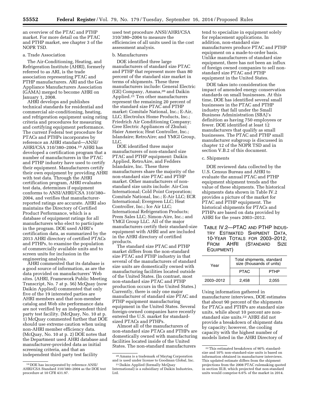an overview of the PTAC and PTHP market. For more detail on the PTAC and PTHP market, see chapter 3 of the NOPR TSD.

## a. Trade Association

The Air-Conditioning, Heating, and Refrigeration Institute (AHRI), formerly referred to as ARI, is the trade association representing PTAC and PTHP manufacturers. ARI and the Gas Appliance Manufacturers Association (GAMA) merged to become AHRI on January 1, 2008.

AHRI develops and publishes technical standards for residential and commercial air-conditioning, heating, and refrigeration equipment using rating criteria and procedures for measuring and certifying equipment performance. The current Federal test procedure for PTACs and PTHPs incorporates by reference an AHRI standard—ANSI/ AHRI/CSA 310/380–2004.19 AHRI has developed a certification program that a number of manufacturers in the PTAC and PTHP industry have used to certify their equipment. Manufacturers certify their own equipment by providing AHRI with test data. Through the AHRI certification program, AHRI evaluates test data, determines if equipment conforms to ANSI/AHRI/CSA 310/380– 2004, and verifies that manufacturerreported ratings are accurate. AHRI also maintains the Directory of Certified Product Performance, which is a database of equipment ratings for all manufacturers who elect to participate in the program. DOE used AHRI's certification data, as summarized by the 2013 AHRI directory of certified PTACs and PTHPs, to examine the population of commercially available units and to screen units for inclusion in the engineering analysis.

AHRI commented that its database is a good source of information, as are the data provided on manufacturers' Web sites. (AHRI, Framework Public Meeting Transcript, No. 7 at p. 56) McQuay (now Daikin Applied) commented that only five of the 19 interested parties are AHRI members and that non-member catalog and Web site performance data are not verified by an independent third party test facility. (McQuay, No. 10 at p. 1) McQuay commented further that DOE should use extreme caution when using non-AHRI member efficiency data. (McQuay, No. 10 at p. 2) DOE notes that the Department used AHRI database and manufacturer-provided data as initial screening criteria, and that an independent third party test facility

used test procedure ANSI/AHRI/CSA 310/380–2004 to measure the efficiencies of all units used in the cost assessment analysis.

#### b. Manufacturers

DOE identified three large manufacturers of standard size PTAC and PTHP that represent more than 80 percent of the standard size market in terms of shipments. These three manufacturers include: General Electric (GE) Company, Amana,20 and Daikin Applied.<sup>21</sup> Ten other manufacturers represent the remaining 20 percent of the standard size PTAC and PTHP market: Comitale National, Inc.; E-Air, LLC; Electrolux Home Products, Inc.; Friedrich Air Conditioning Company; Gree Electric Appliances of Zhuhai; Haier America; Heat Controller, Inc.; Islandaire; RetroAire; and YMGI Group, LLC.

DOE identified three major manufacturers of non-standard size PTAC and PTHP equipment: Daikin Applied, RetroAire, and Fedders Islandaire, Inc. These three manufacturers share the majority of the non-standard size PTAC and PTHP market. Other manufacturers of nonstandard size units include: Air-Con International; Cold Point Corporation; Comitale National, Inc.; E-Air LLC; ECR International; Evergreen LLC; Heat Controller, Inc.; Ice Air LLC; International Refrigeration Products; Prem Sales LLC; Simon-Aire, Inc.; and YMGI Group LLC. All of the major manufacturers certify their standard-size equipment with AHRI and are included in the AHRI directory of certified products.

The standard size PTAC and PTHP market differs from the non-standard size PTAC and PTHP industry in that several of the manufacturers of standard size units are domestically owned with manufacturing facilities located outside of the United States. (In contrast, most non-standard size PTAC and PTHP production occurs in the United States.) Currently, there is only one major manufacturer of standard size PTAC and PTHP equipment manufacturing equipment in the United States. Several foreign-owned companies have recently entered the U.S. market for standardsized PTACs and PTHPs.

Almost all of the manufacturers of non-standard size PTACs and PTHPs are domestically owned with manufacturing facilities located inside of the United States. The non-standard manufacturers

tend to specialize in equipment solely for replacement applications. In addition, non-standard size manufacturers produce PTAC and PTHP equipment on a made-to-order basis. Unlike manufacturers of standard size equipment, there has not been an influx of foreign owned companies to sell nonstandard size PTAC and PTHP equipment in the United States.

DOE takes into consideration the impact of amended energy conservation standards on small businesses. At this time, DOE has identified several small businesses in the PTAC and PTHP industry that fall under the Small Business Administration (SBA)'s definition as having 750 employees or fewer. DOE identified at least 12 manufacturers that qualify as small businesses. The PTAC and PTHP small manufacturer subgroup is discussed in chapter 12 of the NOPR TSD and in section V.B.2 of this document.

#### c. Shipments

DOE reviewed data collected by the U.S. Census Bureau and AHRI to evaluate the annual PTAC and PTHP equipment shipment trends and the value of these shipments. The historical shipments data shown in Table IV.2 provides a picture of the market for PTAC and PTHP equipment. The historical shipments for PTACs and PTHPs are based on data provided by AHRI for the years 2003–2012.

TABLE IV.2—PTAC AND PTHP INDUS-TRY ESTIMATED SHIPMENT DATA, 10-YEAR TOTALS FOR 2003–2012, FROM AHRI (STANDARD SIZE EQUIPMENT)

| Year      | Total shipments, standard<br>size (thousands of units) |             |  |
|-----------|--------------------------------------------------------|-------------|--|
|           | <b>PTAC</b>                                            | <b>PTHP</b> |  |
| 2003-2012 | 2.458                                                  | 2.055       |  |

Using information gathered in manufacturer interviews, DOE estimates that about 90 percent of the shipments for PTACs and PTHPs are standard size units, while about 10 percent are nonstandard size units.22 AHRI did not provide a breakdown of shipment data by capacity; however, the cooling capacity with the highest number of models listed in the AHRI Directory of

<sup>19</sup> DOE has incorporated by reference ANSI/ AHRI/CSA Standard 310/380–2004 as the DOE test procedure at 10 CFR 431.97.

<sup>20</sup>Amana is a trademark of Maytag Corporation and is used under license to Goodman Global, Inc.

<sup>21</sup> Daikin Applied (formally McQuay International) is a subsidiary of Daikin Industries, Ltd.

<sup>22</sup>This estimated breakdown of 90% standardsize and 10% non-standard-size units is based on information obtained in manufacturer interviews. This updated estimate differs from the shipment projections from the 2008 PTAC rulemaking quoted in section III.B, which projected that non-standard units would comprise 6.6% of the market in 2014.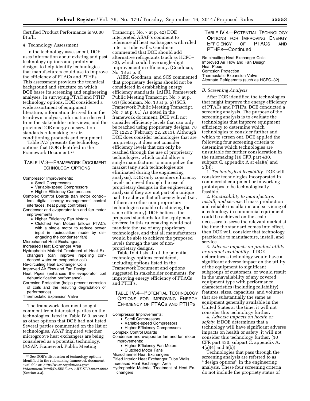Certified Product Performance is 9,000 Btu/h.

#### 4. Technology Assessment

In the technology assessment, DOE uses information about existing and past technology options and prototype designs to help identify technologies that manufacturers could use to improve the efficiency of PTACs and PTHPs. This assessment provides the technical background and structure on which DOE bases its screening and engineering analyses. In surveying PTAC and PTHP technology options, DOE considered a wide assortment of equipment literature, information derived from the teardown analysis, information derived from the stakeholder interviews, and the previous DOE energy conservation standards rulemaking for airconditioning products and equipment.

Table IV.3 presents the technology options that DOE identified in the Framework Document.23

## TABLE IV.3—FRAMEWORK DOCUMENT TECHNOLOGY OPTIONS

#### Compressor Improvements:

- Scroll Compressors
- Variable-speed Compressors
- Higher Efficiency Compressors Complex Control Boards (fan motor control-
- lers, digital ''energy management'' control interfaces, heat pump controllers)
- Condenser and evaporator fan and fan motor improvements:
	- Higher Efficiency Fan Motors
	- Clutched Fan Motors (allows PTACs with a single motor to reduce power input in recirculation mode by disengaging the condenser fan)
- Microchannel Heat Exchangers
- Increased Heat Exchanger Area
- Hydrophobic Material Treatment of Heat Exchangers (can improve repelling condensed water on evaporator coil)
- Re-circuiting Heat Exchanger Coils
- Improved Air Flow and Fan Design
- Heat Pipes (enhances the evaporator coil dehumidification performance)
- Corrosion Protection (helps prevent corrosion of coils and the resulting degradation of performance)

#### Thermostatic Expansion Valve

The framework document sought comment from interested parties on the technologies listed in Table IV.3, as well as other options that DOE had not listed. Several parties commented on the list of technologies. ASAP inquired whether microgroove heat exchangers are being considered as a potential technology. (ASAP, Framework Public Meeting

Transcript, No. 7 at p. 42) DOE interpreted ASAP's comment to reference all heat exchangers with rifled interior tube walls. Goodman commented that DOE should add alternative refrigerants (such as HCFC– 32), which could have single-digit improvement in efficiency. (Goodman, No. 13 at p. 3)

AHRI, Goodman, and SCS commented that proprietary designs should not be considered in establishing energy efficiency standards. (AHRI, Framework Public Meeting Transcript, No. 7 at p. 61) (Goodman, No. 13 at p. 5) (SCS, Framework Public Meeting Transcript, No. 7 at p. 61) As noted in the framework document, DOE will not consider efficiency levels that can only be reached using proprietary designs. 78 FR 12252 (February 22, 2013). Although DOE does consider technologies that are proprietary, it does not consider efficiency levels that can only be reached through the use of proprietary technologies, which could allow a single manufacturer to monopolize the market (any such technologies are eliminated during the engineering analysis). DOE only considers efficiency levels achieved through the use of proprietary designs in the engineering analysis if they are not part of a unique path to achieve that efficiency level (*i.e.,*  if there are other non-proprietary technologies capable of achieving the same efficiency). DOE believes the proposed standards for the equipment covered in this rulemaking would not mandate the use of any proprietary technologies, and that all manufacturers would be able to achieve the proposed levels through the use of nonproprietary designs.

Table IV.4 lists all of the potential technology options considered, including options listed in the Framework Document and options suggested in stakeholder comments, for improving energy efficiency of PTACs and PTHPs.

TABLE IV.4—POTENTIAL TECHNOLOGY OPTIONS FOR IMPROVING ENERGY EFFICIENCY OF PTACS AND PTHPS

Compressor Improvements:

- Scroll Compressors
- Variable-speed Compressors • Higher Efficiency Compressors
- Complex Control Boards

Condenser and evaporator fan and fan motor improvements:

- Higher Efficiency Fan Motors
- Clutched Motor Fans
- Microchannel Heat Exchangers

Rifled Interior Heat Exchanger Tube Walls Increased Heat Exchanger Area

Hydrophobic Material Treatment of Heat Exchangers

## TABLE IV.4—POTENTIAL TECHNOLOGY OPTIONS FOR IMPROVING ENERGY EFFICIENCY OF PTACS AND PTHPS—Continued

Re-circuiting Heat Exchanger Coils Improved Air Flow and Fan Design Heat Pipes Corrosion Protection Thermostatic Expansion Valve Alternate Refrigerants (such as HCFC–32)

#### *B. Screening Analysis*

After DOE identified the technologies that might improve the energy efficiency of PTACs and PTHPs, DOE conducted a screening analysis. The purpose of the screening analysis is to evaluate the technologies that improve equipment efficiency to determine which technologies to consider further and which to screen out. DOE applied the following four screening criteria to determine which technologies are unsuitable for further consideration in the rulemaking (10 CFR part 430, subpart C, appendix A at 4(a)(4) and 5(b)):

1. *Technological feasibility.* DOE will consider technologies incorporated in commercial equipment or in working prototypes to be technologically feasible.

2. *Practicability to manufacture, install, and service.* If mass production and reliable installation and servicing of a technology in commercial equipment could be achieved on the scale necessary to serve the relevant market at the time the standard comes into effect, then DOE will consider that technology practicable to manufacture, install, and service.

3. *Adverse impacts on product utility or product availability.* If DOE determines a technology would have a significant adverse impact on the utility of the equipment to significant subgroups of customers, or would result in the unavailability of any covered equipment type with performance characteristics (including reliability), features, sizes, capacities, and volumes that are substantially the same as equipment generally available in the United States at the time, it will not consider this technology further.

4. *Adverse impacts on health or safety.* If DOE determines that a technology will have significant adverse impacts on health or safety, it will not consider this technology further. (10 CFR part 430, subpart C, appendix A, 4(a)(4) and 5(b))

Technologies that pass through the screening analysis are referred to as ''design options'' in the engineering analysis. These four screening criteria do not include the propriety status of

<sup>23</sup>See DOE's discussion of technology options identified in the rulemaking framework document, available at: *[http://www.regulations.gov/](http://www.regulations.gov/#!documentDetail;D=EERE-2012-BT-STD-0029-0002) [#!documentDetail;D=EERE-2012-BT-STD-0029-0002](http://www.regulations.gov/#!documentDetail;D=EERE-2012-BT-STD-0029-0002)*  (Section 3.3).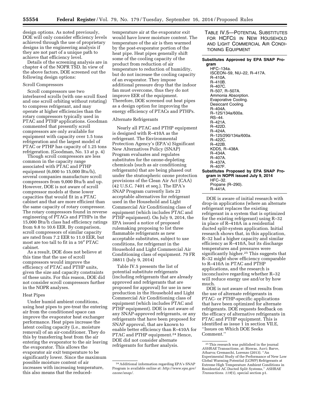design options. As noted previously, DOE will only consider efficiency levels achieved through the use of proprietary designs in the engineering analysis if they are not part of a unique path to achieve that efficiency level.

Details of the screening analysis are in chapter 4 of the NOPR TSD. In view of the above factors, DOE screened out the following design options:

#### Scroll Compressors

Scroll compressors use two interleaved scrolls (with one scroll fixed and one scroll orbiting without rotating) to compress refrigerant, and may operate at higher efficiencies than the rotary compressors typically used in PTAC and PTHP applications. Goodman commented that presently scroll compressors are only available for equipment with capacity over 1.5 tons refrigeration and the largest model of PTAC or PTHP has capacity of 1.25 tons refrigeration. (Goodman, No. 13 at p. 4)

Though scroll compressors are less common in the capacity range associated with PTAC and PTHP equipment (6,000 to 15,000 Btu/h), several companies manufacture scroll compressors from 9,000 Btu/h and up. However, DOE is not aware of scroll compressor models at these lower capacities that would fit in a PTAC cabinet and that are more efficient than the same capacity of rotary compressor. The rotary compressors found in reverse engineering of PTACs and PTHPs in the 15,000 Btu/h class had efficiency ratings from 9.8 to 10.6 EER. By comparison, scroll compressors of similar capacity are rated from 7.2 EER to 11.0 EER, but most are too tall to fit in a 16″ PTAC cabinet.

As a result, DOE does not believe at this time that the use of scroll compressors would improve the efficiency of PTAC and PTHP units, given the size and capacity constraints of these units. For this reason, DOE did not consider scroll compressors further in the NOPR analyses.

#### Heat Pipes

Under humid ambient conditions, using heat pipes to pre-treat the entering air from the conditioned space can improve the evaporator heat exchanger performance. Heat pipes increase the latent cooling capacity (i.e., moisture removal) of an air-conditioner. They do this by transferring heat from the air entering the evaporator to the air leaving the evaporator. This allows the evaporator air exit temperature to be significantly lower. Since the maximum possible moisture content of air increases with increasing temperature, this also means that the reduced-

temperature air at the evaporator exit would have lower moisture content. The temperature of the air is then warmed by the post-evaporator portion of the heat pipe. Heat pipes generally shift some of the cooling capacity of the product from reduction of air temperature to reduction of humidity, but do not increase the cooling capacity of an evaporator. They impose additional pressure drop that the indoor fan must overcome, thus they do not improve EER of the equipment. Therefore, DOE screened out heat pipes as a design option for improving the energy efficiency of PTACs and PTHPs.

## Alternate Refrigerants

Nearly all PTAC and PTHP equipment is designed with R–410A as the refrigerant. The Environmental Protection Agency's (EPA's) Significant New Alternatives Policy (SNAP) Program evaluates and regulates substitutes for the ozone-depleting chemicals (such as air conditioning refrigerants) that are being phased out under the stratospheric ozone protection provisions of the Clean Air Act (CAA) (42 U.S.C. 7401 et seq.). The EPA's SNAP Program currently lists 23 acceptable alternatives for refrigerant used in the Household and Light Commercial Air Conditioning class of equipment (which includes PTAC and PTHP equipment). On July 9, 2014, the EPA issued a notice of proposed rulemaking proposing to list three flammable refrigerants as new acceptable substitutes, subject to use conditions, for refrigerant in the Household and Light Commercial Air Conditioning class of equipment. 79 FR 38811 (July 9, 2014)

Table IV.5 presents the list of potential substitute refrigerants (including refrigerants that are already approved and refrigerants that are proposed for approval) for use in new production in the Household and Light Commercial Air Conditioning class of equipment (which includes PTAC and PTHP equipment). DOE is not aware of any SNAP-approved refrigerants, or any refrigerants that have been proposed for SNAP approval, that are known to enable better efficiency than R–410A for PTAC and PTHP equipment.24 Hence, DOE did not consider alternate refrigerants for further analysis.

TABLE IV.5—POTENTIAL SUBSTITUTES FOR HCFCS IN NEW HOUSEHOLD AND LIGHT COMMERCIAL AIR CONDI-TIONING EQUIPMENT

#### **Substitutes Approved by EPA SNAP Program**

HFC–134a. ISCEON–59, NU–22, R–417A. R–410A. R–410B. R–407C. R–507, R–507A. Ammonia Absorption. Evaporative Cooling. Desiccant Cooling. R–404A. R–125/134a/600a. RS–44. R–421A. R–422D. R–424A. R–125/290/134a/600a. R–422C. R–422B. KDD5, R–438A. R–434A. R–407A. R–437A. R–407F. **Substitutes Proposed by EPA SNAP Program in NOPR issued July 9, 2014**  HFC–32. Propane (R–290). R–441A.

DOE is aware of initial research with drop-in applications (where an alternate refrigerant replaces the existing refrigerant in a system that is optimized for the existing refrigerant) using R–32 in place of R–410A in a residential ducted split-system application. Initial research shows that, in this application, R–32 had a higher capacity and similar efficiency as R–410A, but its discharge temperatures and pressures were significantly higher.25 This suggests that R–32 might show efficiency comparable to R–410A in PTAC and PTHP applications, and the research is inconclusive regarding whether R–32 will reduce energy use and/or by how much.

DOE is not aware of test results from the use of alternate refrigerants in PTAC- or PTHP-specific applications that have been optimized for alternate refrigerants. DOE requests feedback on the efficacy of alternative refrigerants in PTAC and PTHP equipment. This is identified as issue 1 in section VII.E, ''Issues on Which DOE Seeks Comment.''

<sup>24</sup>Additional information regarding EPA's SNAP Program is available online at: *[http://www.epa.gov/](http://www.epa.gov/ozone/snap/)  [ozone/snap/.](http://www.epa.gov/ozone/snap/)* 

<sup>25</sup>This research was published in the journal *ASHRAE* Transactions, at: Biswas, Auvi; Barve, Atharva; Cremaschi, Lorenzo (2013). ''An Experimental Study of the Performance of New Low Global Warming Potential (LGWP) Refrigerants at Extreme High Temperature Ambient Conditions in Residential AC Ducted Split Systems,'' *ASHRAE Transactions. 119*(1), special section p1.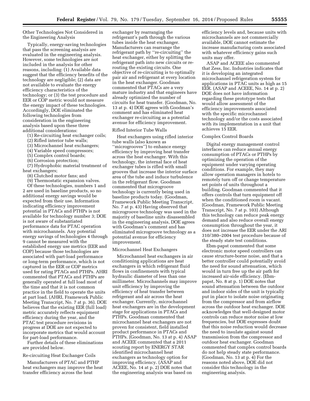Other Technologies Not Considered in the Engineering Analysis

Typically, energy-saving technologies that pass the screening analysis are evaluated in the engineering analysis. However, some technologies are not included in the analysis for other reasons, including: (1) Available data suggest that the efficiency benefits of the technology are negligible; (2) data are not available to evaluate the energy efficiency characteristics of the technology; or (3) the test procedure and EER or COP metric would not measure the energy impact of these technologies. Accordingly, DOE eliminated the following technologies from consideration in the engineering analysis based upon these three additional considerations:

- (1) Re-circuiting heat exchanger coils;
- (2) Rifled interior tube walls;
- (3) Microchannel heat exchangers;
- (4) Variable speed compressors;
- (5) Complex control boards;
- (6) Corrosion protection;

(7) Hydrophobic material treatment of heat exchangers;

(8) Clutched motor fans; and

(9) Thermostatic expansion valves. Of these technologies, numbers 1 and 2 are used in baseline products, so no additional energy savings would be expected from their use. Information indicating efficiency improvement potential in PTACs and PTHPs is not available for technology number 3; DOE is not aware of substantiated performance data for PTAC operation with microchannels. Any potential energy savings of technologies 4 through 9 cannot be measured with the established energy use metrics (EER and COP) because those technologies are associated with part-load performance or long-term performance, which is not captured in the EER or COP metrics used for rating PTACs and PTHPs. AHRI commented that PTACs and PTHPs are generally operated at full load most of the time and that it is not common practice in the field to operate the units at part load. (AHRI, Framework Public Meeting Transcript, No. 7 at p. 36). DOE believes that the existing EER (full load) metric accurately reflects equipment efficiency during the year, and the PTAC test procedure revisions in progress at DOE are not expected to incorporate metrics that would account for part-load performance.

Further details of these eliminations are provided below.

#### Re-circuiting Heat Exchanger Coils

Manufacturers of PTAC and PTHP heat exchangers may improve the heat transfer efficiency across the heat

exchanger by rearranging the refrigerant's path through the various tubes inside the heat exchanger. Manufacturers can rearrange the refrigerant path by ''re-circuiting'' the heat exchanger, either by splitting the refrigerant path into new circuits or rerouting the existing circuits. One objective of re-circuiting is to optimally pair air and refrigerant at every location in the heat exchanger. Goodman commented that PTACs are a very mature industry and that engineers have already optimized the number of circuits for heat transfer. (Goodman, No. 13 at p. 4) DOE agrees with Goodman's comment and has eliminated heat exchanger re-circuiting as a potential avenue for efficiency improvement.

#### Rifled Interior Tube Walls

Heat exchangers using rifled interior tube walls (also known as ''microgrooves'') to enhance energy efficiency by improving heat transfer across the heat exchanger. With this technology, the internal face of heat exchanger tubes is rifled with small grooves that increase the interior surface area of the tube and induce turbulence in the refrigerant flow. Goodman commented that microgroove technology is currently being used in baseline products today. (Goodman, Framework Public Meeting Transcript, No. 7 at p. 43) Having observed that microgroove technology was used in the majority of baseline units disassembled in the engineering analysis, DOE agrees with Goodman's comment and has eliminated microgroove technology as a potential avenue for efficiency improvement.

#### Microchannel Heat Exchangers

Microchannel heat exchangers in air conditioning applications are heat exchangers in which refrigerant fluid flows in confinements with typical hydraulic diameter of less than one millimeter. Microchannels may improve unit efficiency by improving the efficiency of heat transfer between refrigerant and air across the heat exchanger. Currently, microchannel heat exchangers are in the development stage for applications in PTACs and PTHPs. Goodman commented that microchannel heat exchangers are not proven for consistent, field installed product performance in PTACs and PTHPs. (Goodman, No. 13 at p. 4) ASAP and ACEEE commented that a 2011 scouting report by ENERGY STAR identified microchannel heat exchangers as technology option for improving efficiency. (ASAP and ACEEE, No. 14 at p. 2) DOE notes that the engineering analysis was based on

efficiency levels and, because units with microchannels are not commercially available, DOE cannot estimate the increase manufacturing costs associated with whatever efficiency gains such units may offer.

ASAP and ACEEE also commented that Zess, Inc. Industries indicates that it is developing an integrated microchannel refrigeration system for applications in PTAC units as high as 15 EER. (ASAP and ACEEE, No. 14 at p. 2) DOE does not have information regarding these prototype tests that would allow assessment of the efficiency improvements associated with the specific microchannel technology and/or the costs associated with its implementation in a unit that achieves 15 EER.

#### Complex Control Boards

Digital energy management control interfaces can reduce annual energy consumption of PTACs or PTHPs by optimizing the operation of the equipment under varying operating conditions. For example, they may allow operation managers in hotels to remotely turn off or change temperature set points of units throughout a building. Goodman commented that it offers controls that turn equipment off when the conditioned room is vacant. (Goodman, Framework Public Meeting Transcript, No. 7 at p. 103) Although this technology can reduce peak energy demand and also reduce overall energy consumption throughout the year, it does not increase the EER under the ARI 310/380–2004 test procedure because of the steady state test conditions.

Ebm-papst commented that some electronic motor speed controllers can cause structure-borne noise, and that a better controller could potentially avoid the need for sound attenuation, which would in turn free up the air path for increased air-side efficiency. (Ebmpapst, No. 8 at p. 1) DOE notes that sound attenuation between the outdoor and indoor sides of the unit is typically put in place to isolate noise originating from the compressor and from airflow across the outdoor heat exchanger. DOE acknowledges that well-designed motor controls can reduce motor noise at low frequencies, but DOE expresses doubt that this noise reduction would decrease the need to insulate against sound transmission from the compressor and outdoor heat exchanger. Goodman commented that complex control boards do not help steady state performance. (Goodman, No. 13 at p. 4) For the reasons noted above, DOE did not consider this technology in the engineering analysis.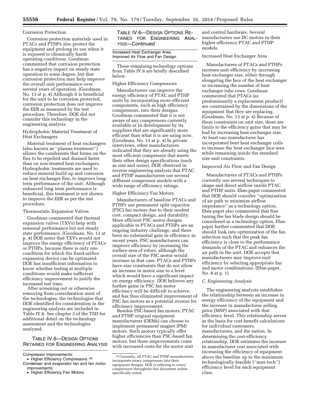#### Corrosion Protection

Corrosion protection materials used in PTACs and PTHPs also protect the equipment and prolong its use when it is exposed to chemically harsh operating conditions. Goodman commented that corrosion protection has a negative impact on steady state operation to some degree, but that corrosion protection may help improve the overall unit performance over several years of operation. (Goodman, No. 13 at p. 4) Although it is beneficial for the unit to be corrosion protected, corrosion protection does not improve the EER as measured by the test procedure. Therefore, DOE did not consider this technology in the engineering analysis.

Hydrophobic Material Treatment of Heat Exchangers

Material treatment of heat exchangers (also known as ''plasma treatment'') allows the condensate that forms on the fins to be repelled and drained faster than on non-treated heat exchangers. Hydrophobic treatments are used to reduce mineral build up and corrosion on heat exchanger fins, to improve longterm performance of the unit. Although enhanced long term performance is beneficial, this treatment is not shown to improve the EER as per the test procedure.

#### Thermostatic Expansion Valves

Goodman commented that thermal expansion valves (TXVs) help with seasonal performance but not steady state performance. (Goodman, No. 13 at p. 4) DOE notes that TXVs would not improve the energy efficiency of PTACs or PTHPs, because there is only one condition for which the fixed-orifice expansion device can be optimized. DOE has insufficient information to know whether testing at multiple conditions would make sufficient efficiency improvement to justify the increased test time.

After screening out or otherwise removing from consideration most of the technologies, the technologies that DOE identified for consideration in the engineering analysis are included in Table IV.6. See chapter 3 of the TSD for additional detail on the technology assessment and the technologies analyzed.

## TABLE IV.6—DESIGN OPTIONS RETAINED FOR ENGINEERING ANALYSIS

Compressor Improvements:

TABLE IV.6—DESIGN OPTIONS RE-TAINED FOR ENGINEERING ANAL-YSIS—Continued

#### Increased Heat Exchanger Area. Improved Air Flow and Fan Design.

These remaining technology options from Table IV.6 are briefly described below.

#### Higher Efficiency Compressors

Manufacturers can improve the energy efficiency of PTAC and PTHP units by incorporating more efficient components, such as high efficiency compressors, into their designs. Goodman commented that it is not aware of any compressors currently available or in development by its suppliers that are significantly more efficient than what it is are using now. (Goodman, No. 13 at p. 4) In private interviews, other manufacturers indicated that they are already using the most efficient compressor that meets their other design specifications (such as size and noise). DOE observed in reverse engineering analysis that PTAC and PTHP manufacturers use several different compressor models with a wide range of efficiency ratings.

#### Higher Efficiency Fan Motors

Manufacturers of baseline PTACs and PTHPs use permanent split capacitor (PSC) fan motors due to their modest cost, compact design, and durability. More efficient PSC motor designs applicable to PTACs and PTHPs are an ongoing industry challenge, and there been no substantial gain in efficiency in recent years. PSC manufacturers can improve efficiency by increasing the surface area of rotors, although the overall size of the PSC motor would increase in that case. PTACs and PTHPs have size constraints that do not allow an increase in motor size to a level which would have a significant impact on energy efficiency. DOE believes any further gains in PSC fan motor efficiency will be difficult to achieve, and has thus eliminated improvement of PSC fan motors as a potential avenue for efficiency improvement.

Besides PSC-based fan motors, PTAC and PTHP original equipment manufacturers (OEMs) can choose to implement permanent magnet (PM) motors. Such motors typically offer higher efficiencies than PSC-based fan motors, but these improvements come with increased costs for the motor unit

and control hardware. Several manufacturers use DC motors in their higher-efficiency PTAC and PTHP models.

#### Increased Heat Exchanger Area

Manufacturers of PTACs and PTHPs increase unit efficiency by increasing heat exchanger size, either through elongating the face of the heat exchanger or increasing the number of heat exchanger tube rows. Goodman commented that PTACs (as predominantly a replacement product) are constrained by the dimensions of the equipment that they are replacing. (Goodman, No. 13 at p. 4) Because of these constraints on unit size, there are limits to the efficiency gains that may be had by increasing heat exchanger size. At least one manufacturer has incorporated bent heat exchanger coils to increase the heat exchanger face area while remaining inside the standard size unit constraints.

## Improved Air Flow and Fan Design

Manufacturers of PTACs and PTHPs currently use several techniques to shape and direct airflow inside PTAC and PTHP units. Ebm-papst commented that DOE should consider ''optimization of air path to minimize airflow impedance'' as a technology option. Ebm-papst also commented that fine tuning the fan blade design should be considered as a technology option. Ebmpapst further commented that DOE should look into optimization of the fan selection such that the peak fan efficiency is close to the performance demands of the PTAC and enhances the air path in the unit. DOE accepts that manufacturers may improve unit efficiency by selecting appropriate fan and motor combinations. (Ebm-papst, No. 8 at p. 1)

#### *C. Engineering Analysis*

The engineering analysis establishes the relationship between an increase in energy efficiency of the equipment and the increase in manufacturer selling price (MSP) associated with that efficiency level. This relationship serves as the basis for cost-benefit calculations for individual customers, manufacturers, and the nation. In determining the cost-efficiency relationship, DOE estimates the increase in manufacturer cost associated with increasing the efficiency of equipment above the baseline up to the maximum technologically feasible (''max-tech'') efficiency level for each equipment class.

<sup>•</sup> Higher Efficiency Compressors. 26 Condenser and evaporator fan and fan motor improvements:

<sup>•</sup> Higher Efficiency Fan Motors.

<sup>26</sup>Currently, all PTAC and PTHP manufacturers incorporate rotary compressors into their equipment designs. DOE is referring to rotary compressors throughout this document unless specifically noted.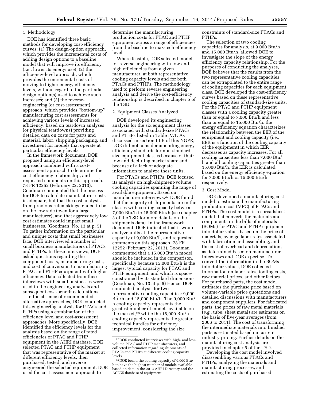## 1. Methodology

DOE has identified three basic methods for developing cost-efficiency curves: (1) The design-option approach, which provides the incremental costs of adding design options to a baseline model that will improve its efficiency (*i.e.,* lower its energy use); (2) the efficiency-level approach, which provides the incremental costs of moving to higher energy efficiency levels, without regard to the particular design option(s) used to achieve such increases; and (3) the reverseengineering (or cost-assessment) approach, which provides ''bottom-up'' manufacturing cost assessments for achieving various levels of increased efficiency, based on teardown analyses (or physical teardowns) providing detailed data on costs for parts and material, labor, shipping/packaging, and investment for models that operate at particular efficiency levels.

In the framework document, DOE proposed using an efficiency-level approach combined with a costassessment approach to determine the cost-efficiency relationship, and requested comments on this approach. 78 FR 12252 (February 22, 2013). Goodman commented that the process for DOE to calculate manufacturer costs is adequate, but that the cost analysis from previous rulemakings tended to be on the low side (even for a large manufacturer), and that aggressively low cost estimates could impact small businesses. (Goodman, No. 13 at p. 5) To gather information on the particular and unique costs that small businesses face, DOE interviewed a number of small business manufacturers of PTACs and PTHPs. In these interviews, DOE asked questions regarding the component costs, manufacturing costs, and cost of conversion to manufacturing PTAC and PTHP equipment with higher efficiency. Data collected from these interviews with small businesses were used in the engineering analysis and subsequent cost-benefit calculations.

In the absence of recommended alternative approaches, DOE conducted this engineering analysis for PTACs and PTHPs using a combination of the efficiency level and cost-assessment approaches. More specifically, DOE identified the efficiency levels for the analysis based on the range of rated efficiencies of PTAC and PTHP equipment in the AHRI database. DOE selected PTAC and PTHP equipment that was representative of the market at different efficiency levels, then purchased, tested, and reverse engineered the selected equipment. DOE used the cost-assessment approach to

determine the manufacturing production costs for PTAC and PTHP equipment across a range of efficiencies from the baseline to max-tech efficiency levels.

Where feasible, DOE selected models for reverse engineering with low and high efficiencies from a given manufacturer, at both representative cooling capacity levels and for both PTACs and PTHPs. The methodology used to perform reverse engineering analysis and derive the cost-efficiency relationship is described in chapter 5 of the TSD.

#### 2. Equipment Classes Analyzed

DOE developed its engineering analysis for the six equipment classes associated with standard-size PTACs and PTHPs listed in Table IV.1. As discussed in section III.B of this NOPR, DOE did not consider amending energy efficiency standards for non-standard size equipment classes because of their low and declining market share and because of a lack of adequate information to analyze these units.

For PTACs and PTHPs, DOE focused its analysis on high-shipment-volume cooling capacities spanning the range of available equipment. Based on manufacturer interviews,27 DOE found that the majority of shipments are in the classes with cooling capacity between 7,000 Btu/h to 15,000 Btu/h (see chapter 3 of the TSD for more details on the shipments data). In the framework document, DOE indicated that it would analyze units at the representative capacity of 9,000 Btu/h, and requested comments on this approach. 78 FR 12252 (February 22, 2013). Goodman commented that a 15,000 Btu/h model should be included in the comparison, specifically because 15,000 Btu/h is the largest typical capacity for PTAC and PTHP equipment, and which is spaceconstrained by its standard dimensions. (Goodman, No. 13 at p. 5) Hence, DOE conducted analysis for two representative cooling capacities: 9,000 Btu/h and 15,000 Btu/h. The 9,000 Btu/ h cooling capacity represents the greatest number of models available on the market,28 while the 15,000 Btu/h cooling capacity represents the greater technical hurdles for efficiency improvement, considering the size

constraints of standard-size PTACs and PTHPs.

The selection of two cooling capacities for analysis, at 9,000 Btu/h and 15,000 Btu/h, allowed DOE to investigate the slope of the energy efficiency capacity relationship. For the purposes of conducting the analyses, DOE believes that the results from the two representative cooling capacities can be extrapolated to the entire range of cooling capacities for each equipment class. DOE developed the cost-efficiency curves based on these representative cooling capacities of standard-size units. For the PTAC and PTHP equipment classes with a cooling capacity greater than or equal to 7,000 Btu/h and less than or equal to 15,000 Btu/h, the energy efficiency equation characterizes the relationship between the EER of the equipment and cooling capacity (i.e., EER is a function of the cooling capacity of the equipment) in which EER decreases as capacity increases. For all cooling capacities less than 7,000 Btu/ h and all cooling capacities greater than 15,000 Btu/h, the EER is calculated based on the energy efficiency equation for 7,000 Btu/h or 15,000 Btu/h, respectively.

#### 3. Cost Model

DOE developed a manufacturing cost model to estimate the manufacturing production cost (MPC) of PTACs and PTHPs. The cost model is a spreadsheet model that converts the materials and components in the bills of materials (BOMs) for PTAC and PTHP equipment into dollar values based on the price of materials, average labor rates associated with fabrication and assembling, and the cost of overhead and depreciation, as determined based on manufacturer interviews and DOE expertise. To convert the information in the BOMs into dollar values, DOE collected information on labor rates, tooling costs, raw material prices, and other factors. For purchased parts, the cost model estimates the purchase price based on volume-variable price quotations and detailed discussions with manufacturers and component suppliers. For fabricated parts, the prices of raw metal materials (*e.g.,* tube, sheet metal) are estimates on the basis of five-year averages (from 2006 to 2011). The cost of transforming the intermediate materials into finished parts is estimated based on current industry pricing. Further details on the manufacturing cost analysis are provided in chapter 5 of the TSD.

Developing the cost model involved disassembling various PTACs and PTHPs, analyzing the materials and manufacturing processes, and estimating the costs of purchased

<sup>27</sup> DOE conducted interviews with high- and lowvolume PTAC and PTHP manufacturers, and collected information regarding shipments of PTACs and PTHPs at different cooling capacity levels.

<sup>28</sup> DOE found the cooling capacity of 9,000 Btu/ h to have the highest number of models available based on data in the 2013 AHRI Directory and the ACEEE database of equipment.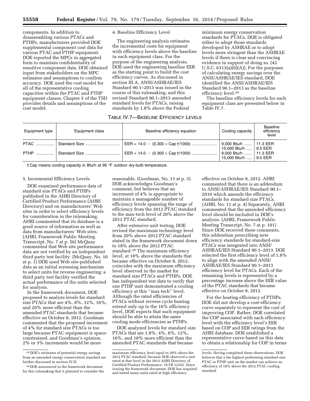components. In addition to disassembling various PTACs and PTHPs, manufacturers provided DOE supplemental component cost data for various PTAC and PTHP equipment. DOE reported the MPCs in aggregated form to maintain confidentiality of sensitive component data. DOE obtained input from stakeholders on the MPC estimates and assumptions to confirm accuracy. DOE used the cost model for all of the representative cooling capacities within the PTAC and PTHP equipment classes. Chapter 5 of the TSD provides details and assumptions of the cost model.

#### 4. Baseline Efficiency Level

The engineering analysis estimates the incremental costs for equipment with efficiency levels above the baseline in each equipment class. For the purpose of the engineering analysis, DOE used the engineering baseline EER as the starting point to build the cost efficiency curves. As discussed in section III.A, ANSI/ASHRAE/IES Standard 90.1–2013 was issued in the course of this rulemaking, and this revised Standard 90.1-2013 amended standard levels for PTACs, raising standards by 1.8% above the Federal

minimum energy conservation standards for PTACs. DOE is obligated either to adopt those standards developed by ASHRAE or to adopt levels more stringent than the ASHRAE levels if there is clear and convincing evidence in support of doing so. (42 U.S.C.  $6313(a)(6)(A)$ . For the purposes of calculating energy savings over the ANSI/ASHRAE/IES standard, DOE identified the ANSI/ASHRAE/IES Standard 90.1–2013 as the baseline efficiency level.29

The baseline efficiency levels for each equipment class are presented below in Table IV.7.

## TABLE IV.7—BASELINE EFFICIENCY LEVELS

| Equipment type | Equipment class | Baseline efficiency equation                     | Cooling capacity                                                            | Baseline<br>efficiency<br>level |
|----------------|-----------------|--------------------------------------------------|-----------------------------------------------------------------------------|---------------------------------|
|                |                 | $EER = 14.0 - (0.300 \times Cap \frac{1}{1000})$ | 9,000 Btu/h    11.3 EER                                                     |                                 |
|                |                 |                                                  | 15,000 Btu/h    9.5 EER<br>9,000 Btu/h  11.3 EER<br>15,000 Btu/h    9.5 EER |                                 |

† Cap means cooling capacity in Btu/h at 95 °F outdoor dry-bulb temperature.

#### 5. Incremental Efficiency Levels

DOE examined performance data of standard size PTACs and PTHPs published in the AHRI Directory of Certified Product Performance (AHRI Directory) and on manufacturers' Web sites in order to select efficiency levels for consideration in the rulemaking. AHRI commented that its database is a good source of information as well as data from manufacturers' Web sites. (AHRI, Framework Public Meeting Transcript, No. 7 at p. 56) McQuay commented that Web site performance data are not verified by an independent third party test facility. (McQuay, No. 10 at p. 1) DOE used Web site-published data as an initial screening mechanism to select units for reverse engineering; a third party test facility verified the actual performance of the units selected for analysis.

In the framework document, DOE proposed to analyze levels for standard size PTACs that are 4%, 8%, 12%, 16%, and 20% more efficient than the amended PTAC standards that became effective on October 8, 2012. Goodman commented that the proposed increment of 4% for standard size PTACs is too large because PTAC equipment is spaceconstrained, and Goodman's opinion, 2% or 3% increments would be more

reasonable. (Goodman, No. 13 at p. 5) DOE acknowledges Goodman's comment, but believes that an increment of 4% is appropriate to maintain a manageable number of efficiency levels spanning the range of efficiency from the 2012 PTAC standard to the max-tech level of 20% above the 2012 PTAC standard.

After extensive unit testing, DOE revised the maximum technology level from 20% above 2012 PTAC standard stated in the framework document down to 18% above the 2012 PTAC standard.30 The maximum efficiency level, at 18% above the standards that became effective on October 8, 2012, coincides with the maximum efficiency level observed in the market for standard size PTACs and PTHPs. DOE has independent test data to verify that one PTHP unit demonstrated a cooling efficiency at this ''max tech'' level. Although the rated efficiencies of PTACs without reverse cycle heating extend only up to the 16% efficiency level, DOE expects that such equipment should be able to attain the same cooling mode efficiencies as PTHPs.

DOE analyzed levels for standard size PTACs that are 1.8%, 4%, 8%, 12%, 16%, and 18% more efficient than the amended PTAC standards that became

effective on October 8, 2012. AHRI commented that there is an addendum to ANSI/ASHRAE/IES Standard 90.1– 2010 which amends the efficiency standards for standard size PTACs. (AHRI, No. 11 at p. 4) Separately, AHRI commented that the amended efficiency level should be included in DOE's analysis. (AHRI, Framework Public Meeting Transcript, No. 7 at p. 101) Since DOE received these comments, this addendum prescribing new efficiency standards for standard-size PTACs was integrated into ANSI/ ASHRAE/IES Standard 90.1–2013. DOE selected the first efficiency level of 1.8% to align with the amended ANSI/ ASHRAE/IES Standard 90.1–2013 efficiency level for PTACs. Each of the remaining levels is represented by a percentage increase above the EER value of the PTAC standards that became effective on October 8, 2012.

For the heating efficiency of PTHPs, DOE did not develop a cost-efficiency curve separately to represent the cost of improving COP. Rather, DOE correlated the COP associated with each efficiency level with the efficiency level's EER based on COP and EER ratings from the AHRI database. DOE established a representative curve based on this data to obtain a relationship for COP in terms

<sup>29</sup> DOE's estimates of potential energy savings from an amended energy conservation standard are further discussed in section IV.H.

<sup>30</sup> DOE announced in the framework document for this rulemaking that it planned to consider the

maximum efficiency level equal to 20% above the 2012 PTAC standard, because DOE observed a unit rated at that level in the 2013 AHRI Directory of Certified Product Performance. 78 FR 12252. Since issuing the framework document, DOE has acquired and tested many units rated at high efficiency

levels. Having completed these observations, DOE believes that a the highest performing standard size PTAC or PTHP unit on the market can achieve an efficiency of 18% above the 2012 PTAC cooling standard.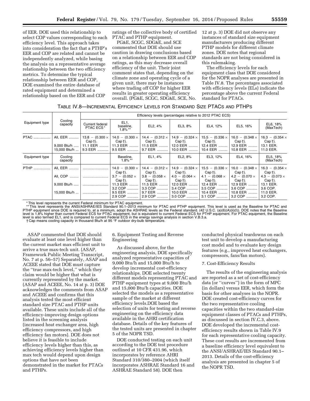of EER. DOE used this relationship to select COP values corresponding to each efficiency level. This approach takes into consideration the fact that a PTHP's EER and COP are related and cannot be independently analyzed, while basing the analysis on a representative average relationship between the two efficiency metrics. To determine the typical relationship between EER and COP, DOE examined the entire database of rated equipment and determined a relationship based on the EER and COP

ratings of the collective body of certified PTAC and PTHP equipment.

PG&E, SCGC, SDG&E, and SCE commented that DOE should use caution in drawing conclusions based on a relationship between EER and COP ratings, as this may decrease overall efficiency of the unit. Their joint comment states that, depending on the climate zone and operating cycle of a given unit, there may be instances where trading off COP for higher EER results in greater operating efficiency overall. (PG&E, SCGC, SDG&E, SCE, No. 12 at p. 3) DOE did not observe any instances of standard size equipment manufacturers producing different PTHP models for different climate zones. DOE notes that regional standards are not being considered in this rulemaking.

The efficiency levels for each equipment class that DOE considered for the NOPR analyses are presented in Table IV.8. The percentages associated with efficiency levels (ELs) indicate the percentage above the current Federal standard for PTACs.

#### TABLE IV.8—INCREMENTAL EFFICIENCY LEVELS FOR STANDARD SIZE PTACS AND PTHPS

|                  |                                                     |                                                            |                                                                                                                    | Efficiency levels (percentages relative to 2012 PTAC ECS)                                                            |                                                                                                                     |                                                                                                                    |                                                                                                                     |                                                                                                                           |
|------------------|-----------------------------------------------------|------------------------------------------------------------|--------------------------------------------------------------------------------------------------------------------|----------------------------------------------------------------------------------------------------------------------|---------------------------------------------------------------------------------------------------------------------|--------------------------------------------------------------------------------------------------------------------|---------------------------------------------------------------------------------------------------------------------|---------------------------------------------------------------------------------------------------------------------------|
| Equipment type   | Cooling<br>capacity                                 | Current federal<br>PTAC ECS <sup>*</sup>                   | EL1,<br>baseline,<br>$1.8\%$ **                                                                                    | EL2, 4%                                                                                                              | EL3, 8%                                                                                                             | EL4, 12%                                                                                                           | EL5, 16%                                                                                                            | EL6, 18%<br>(MaxTech)                                                                                                     |
| PTAC             | All, EER<br>9,000 Btu/h<br>15.000 Btu/h             | $13.8 - (0.300 \times$<br>$Cap+$ ).<br>11.1 EER<br>9.3 EER | $14.0 - (0.300 \times$<br>Cap †).<br>11.3 EER<br>9.5 EER                                                           | 14.4 - $(0.312 \times$<br>$Cap+$ ).<br>11.5 EER<br>9.7 EER                                                           | 14.9 - $(0.324 \times$<br>Cap †).<br>12.0 EER<br>10.0 EER                                                           | $15.5 - (0.336 \times$<br>Cap†).<br>12.4 EER<br>10.4 EER                                                           | 16.0 $-$ (0.348 $\times$ )<br>Cap †).<br>12.9 EER<br>10.8 EER                                                       | $16.3 - (0.354 \times$<br>$Cap+$ ).<br>13.1 EER.<br>11.0 EER.                                                             |
| Equipment type   | Cooling<br>capacity                                 |                                                            | Baseline,<br>$1.8\%$ **                                                                                            | EL1, 4%                                                                                                              | EL2, 8%                                                                                                             | EL3, 12%                                                                                                           | EL4, 16%                                                                                                            | EL5, 18%<br>(MaxTech)                                                                                                     |
| <b>PTHP</b><br>. | All, EER<br>All. COP<br>9,000 Btu/h<br>15.000 Btu/h |                                                            | $14.0 - (0.300 \times$<br>Cap †).<br>$3.7 - (0.052 \times$<br>Cap +).<br>11.3 EER<br>3.2 COP<br>9.5 EER<br>2.9 COP | 14.4 - $(0.312 \times$<br>$Cap+$ ).<br>$3.8 - (0.058 \times$<br>Cap +).<br>11.5 EER<br>3.3 COP<br>9.7 EER<br>2.9 COP | $14.9 - (0.324 \times$<br>Cap †).<br>$4.0 - (0.064 \times$<br>Cap †).<br>12.0 EER<br>3.4 COP<br>10.0 EER<br>3.0 COP | $15.5 - (0.336 \times$<br>Cap†).<br>$4.1 - (0.068 \times$<br>Cap †).<br>12.4 EER<br>3.5 COP<br>10.4 EER<br>3.1 COP | $16.0 - (0.348 \times$<br>Cap †).<br>$4.2 - (0.070 \times$<br>Cap †).<br>12.9 EER<br>3.6 COP<br>10.8 EER<br>3.2 COP | $16.3 - (0.354 \times$<br>Cap †).<br>$4.3 - (0.073 \times$<br>$Cap+$ ).<br>13.1 EER.<br>3.6 COP.<br>11.0 EER.<br>3.2 COP. |

\* This level represents the current Federal minimum for PTAC equipment.

t This level represents the ANSI/ASHRAE/IES Standard 90.1–2013 minimum for PTAC and PTHP equipment. This level is used as the Baseline for PTAC and \*\*\* This level is used as the Baseline for PTAC and \*\*\* This level is us level is also termed EL1, and is compared to current Federal ECS in the energy savings analysis in section V.B.3.a.<br>†Cap means cooling capacity in thousand Btu/h at 95 °F outdoor dry-bulb temperature.

ASAP commented that DOE should evaluate at least one level higher than the current market max efficient unit to arrive a true max-tech unit. (ASAP, Framework Public Meeting Transcript, No. 7 at p. 56–57) Separately, ASAP and ACEEE stated that DOE must capture the ''true max-tech level,'' which they claim would be higher that what is currently represented by the market. (ASAP and ACEEE, No. 14 at p. 3) DOE acknowledges the comments from ASAP and ACEEE and confirms that this analysis tested the most efficient standard size PTAC and PTHP units available. These units include all of the efficiency-improving design options listed in the screening analysis (increased heat exchanger area, high efficiency compressors, and high efficiency fan motors). DOE does not believe it is feasible to include efficiency levels higher than this, as achieving efficiency levels higher than max tech would depend upon design options that have not been demonstrated in the market for PTACs and PTHPs.

#### 6. Equipment Testing and Reverse Engineering

As discussed above, for the engineering analysis, DOE specifically analyzed representative capacities of 9,000 Btu/h and 15,000 Btu/h to develop incremental cost-efficiency relationships. DOE selected twenty different models representing PTAC and PTHP equipment types at 9,000 Btu/h and 15,000 Btu/h capacities. DOE selected the models as a representative sample of the market at different efficiency levels.DOE based the selection of units for testing and reverse engineering on the efficiency data available in the AHRI certification database. Details of the key features of the tested units are presented in chapter 5 of the NOPR TSD.

DOE conducted testing on each unit according to the DOE test procedure outlined at 10 CFR 431.96, which incorporates by reference AHRI Standard 310/380–2004 (which itself incorporates ASHRAE Standard 16 and ASHRAE Standard 58). DOE then

conducted physical teardowns on each test unit to develop a manufacturing cost model and to evaluate key design features (e.g., improved heat exchangers, compressors, fans/fan motors).

#### 7. Cost-Efficiency Results

The results of the engineering analysis are reported as a set of cost-efficiency data (or ''curves'') in the form of MPC (in dollars) versus EER, which form the basis for other analyses in the NOPR. DOE created cost-efficiency curves for the two representative cooling capacities within the two standard-size equipment classes of PTACs and PTHPs, as discussed in section IV.C.3, above. DOE developed the incremental costefficiency results shown in Table IV.9 for each representative cooling capacity. These cost results are incremented from a baseline efficiency level equivalent to the ANSI/ASHRAE/IES Standard 90.1– 2013. Details of the cost-efficiency analysis are presented in chapter 5 of the NOPR TSD.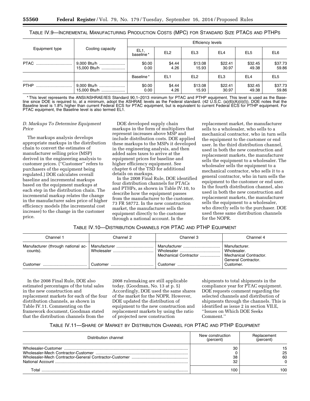| TABLE IV.9—INCREMENTAL MANUFACTURING PRODUCTION COSTS (MPC) FOR STANDARD SIZE PTACS AND PTHPS |  |  |
|-----------------------------------------------------------------------------------------------|--|--|
|-----------------------------------------------------------------------------------------------|--|--|

|                |                             | <b>Efficiency levels</b>     |                 |                  |                  |                  |                  |
|----------------|-----------------------------|------------------------------|-----------------|------------------|------------------|------------------|------------------|
| Equipment type | Cooling capacity            | EL <sub>1</sub><br>baseline* | EL <sub>2</sub> | EL <sub>3</sub>  | EL <sub>4</sub>  | EL <sub>5</sub>  | EL6              |
| PTAC           | 9,000 Btu/h<br>15,000 Btu/h | \$0.00<br>0.00               | \$4.44<br>4.26  | \$13.08<br>15.93 | \$22.41<br>30.97 | \$32.45<br>49.38 | \$37.73<br>59.86 |
|                |                             | Baseline*                    | EL <sub>1</sub> | EL <sub>2</sub>  | EL <sub>3</sub>  | EL <sub>4</sub>  | EL <sub>5</sub>  |
| <b>PTHP</b>    | 9,000 Btu/h<br>15,000 Btu/h | \$0.00<br>0.00               | \$4.44<br>4.26  | \$13.08<br>15.93 | \$22.41<br>30.97 | \$32.45<br>49.38 | \$37.73<br>59.86 |

\* This level represents the ANSI/ASHRAE/IES Standard 90.1–2013 minimum for PTAC and PTHP equipment. This level is used as the Baseline since DOE is required to, at a minimum, adopt the ASHRAE levels as the Federal standard. (42 U.S.C. (a)(6)(A)(ii)(I)). DOE notes that the Baseline level is 1.8% higher than current Federal ECS for PTAC equipment, but is equivalent to current Federal ECS for PTHP equipment. For PTAC equipment, the Baseline level is also termed EL1.

#### *D. Markups To Determine Equipment Price*

The markups analysis develops appropriate markups in the distribution chain to convert the estimates of manufacturer selling price (MSP) derived in the engineering analysis to customer prices. (''Customer'' refers to purchasers of the equipment being regulated.) DOE calculates overall baseline and incremental markups based on the equipment markups at each step in the distribution chain. The incremental markup relates the change in the manufacturer sales price of higher efficiency models (the incremental cost increase) to the change in the customer price.

DOE developed supply chain markups in the form of multipliers that represent increases above MSP and include distribution costs. DOE applied these markups to the MSPs it developed in the engineering analysis, and then added sales taxes to arrive at the equipment prices for baseline and higher efficiency equipment. See chapter 6 of the TSD for additional details on markups.

In the 2008 Final Rule, DOE identified four distribution channels for PTACs and PTHPs, as shown in Table IV.10, to describe how the equipment passes from the manufacturer to the customer. 73 FR 58772. In the new construction market, the manufacturer sells the equipment directly to the customer through a national account. In the

replacement market, the manufacturer sells to a wholesaler, who sells to a mechanical contractor, who in turn sells the equipment to the customer or end user. In the third distribution channel, used in both the new construction and replacement markets, the manufacturer sells the equipment to a wholesaler. The wholesaler sells the equipment to a mechanical contractor, who sells it to a general contractor, who in turn sells the equipment to the customer or end user. In the fourth distribution channel, also used in both the new construction and replacement markets, the manufacturer sells the equipment to a wholesaler, who directly sells to the purchaser. DOE used these same distribution channels for the NOPR.

## TABLE IV.10—DISTRIBUTION CHANNELS FOR PTAC AND PTHP EQUIPMENT

| Channel 1                                      | Channel 2    | Channel 3             | Channel 4                                                                            |
|------------------------------------------------|--------------|-----------------------|--------------------------------------------------------------------------------------|
| Manufacturer (through national ac-<br>counts). | Manufacturer | Mechanical Contractor | Manufacturer.<br>Wholesaler.<br><b>Mechanical Contractor.</b><br>General Contractor. |
| Customer                                       | Customer     | Customer              | Customer.                                                                            |

In the 2008 Final Rule, DOE also estimated percentages of the total sales in the new construction and replacement markets for each of the four distribution channels, as shown in Table IV.11. Commenting on the framework document, Goodman stated that the distribution channels from the

2008 rulemaking are still applicable today. (Goodman, No. 13 at p. 5) Accordingly, DOE used the same shares of the market for the NOPR. However, DOE updated the distribution of equipment to the new construction and replacement markets by using the ratio of projected new construction

shipments to total shipments in the compliance year for PTAC equipment. DOE requests comment regarding the selected channels and distribution of shipments through the channels. This is identified as issue 2 in section VII.E, ''Issues on Which DOE Seeks Comment.''

TABLE IV.11—SHARE OF MARKET BY DISTRIBUTION CHANNEL FOR PTAC AND PTHP EQUIPMENT

| Distribution channel | New construction<br>percent | Replacement<br>percent |
|----------------------|-----------------------------|------------------------|
|                      | 30<br>38<br>32              | 25<br>60               |
|                      | 100                         | 100                    |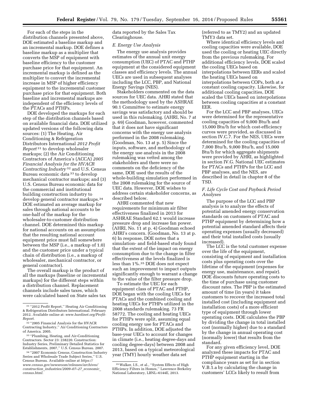For each of the steps in the distribution channels presented above, DOE estimated a baseline markup and an incremental markup. DOE defines a baseline markup as a multiplier that converts the MSP of equipment with baseline efficiency to the customer purchase price for that equipment. An incremental markup is defined as the multiplier to convert the incremental increase in MSP of higher efficiency equipment to the incremental customer purchase price for that equipment. Both baseline and incremental markups are independent of the efficiency levels of the PTACs and PTHPs.

DOE developed the markups for each step of the distribution channels based on available financial data. DOE utilized updated versions of the following data sources: (1) The Heating, Air Conditioning & Refrigeration Distributors International *2012 Profit Report* 31 to develop wholesaler markups; (2) the Air Conditioning Contractors of America's (ACCA) *2005 Financial Analysis for the HVACR Contracting Industry* 32 and U.S. Census Bureau economic data 33 to develop mechanical contractor markups; and (3) U.S. Census Bureau economic data for the commercial and institutional building construction industry to develop general contractor markups.34 DOE estimated an average markup for sales through national accounts to be one-half of the markup for the wholesaler-to-customer distribution channel. DOE determined this markup for national accounts on an assumption that the resulting national account equipment price must fall somewhere between the MSP (i.e., a markup of 1.0) and the customer price under a typical chain of distribution (i.e., a markup of wholesaler, mechanical contractor, or general contractor).

The overall markup is the product of all the markups (baseline or incremental markups) for the different steps within a distribution channel. Replacement channels include sales taxes, which were calculated based on State sales tax

data reported by the Sales Tax Clearinghouse.

#### *E. Energy Use Analysis*

The energy use analysis provides estimates of the annual unit energy consumption (UEC) of PTAC and PTHP equipment at the considered equipment classes and efficiency levels. The annual UECs are used in subsequent analyses including the LCC, PBP, and National Energy Savings (NES).

Stakeholders commented on the data sources for UEC data. AHRI stated that the methodology used by the ASHRAE 90.1 Committee to estimate energy savings was satisfactory and should be used in this rulemaking. (AHRI, No. 7 at p. 69) Goodman, however, commented that it does not have significant concerns with the energy use analysis performed in the 2008 rulemaking. (Goodman, No. 13 at p. 5) Since the inputs, software, and methodology of the energy use analysis in the 2008 rulemaking was vetted among the stakeholders and there were no comments on the deficiency of the same, DOE used the results of the whole-building simulation performed in the 2008 rulemaking for the source of UEC data. However, DOE wishes to address certain stakeholder concerns, as described below.

AHRI commented that new requirements for minimum air filter effectiveness finalized in 2013 for ASHRAE Standard 62.1 would increase pressure drop and increase fan power. (AHRI, No. 11 at p. 4) Goodman echoed AHRI's concern. (Goodman, No. 13 at p. 6) In response, DOE notes that a simulation- and field-based study found that the extent of the impact on energy consumption due to the change in filter effectiveness at the levels finalized is less than 1%.35 DOE does not expect such an improvement to impact outputs significantly enough to warrant a change to the value of the filter pressure drop.

To estimate the UEC for each equipment class of PTAC and PTHP, DOE began with the cooling UECs for PTACs and the combined cooling and heating UECs for PTHPs utilized in the 2008 standards rulemaking. 73 FR 58772. The cooling and heating UECs for PTHPs were split, assuming equal cooling energy use for PTACs and PTHPs. In addition, DOE adjusted the base-year UECs to account for changes in climate (i.e., heating degree-days and cooling degree-days) between 2008 and 2013, based on a typical meteorological year (TMY) hourly weather data set

(referred to as TMY2) and an updated TMY3 data set.

Where identical efficiency levels and cooling capacities were available, DOE used the cooling or heating UEC directly from the previous rulemaking. For additional efficiency levels, DOE scaled the cooling UECs based on interpolations between EERs and scaled the heating UECs based on interpolations between COPs, both at a constant cooling capacity. Likewise, for additional cooling capacities, DOE scaled the UECs based on interpolations between cooling capacities at a constant EER.

For the LCC and PBP analyses, UECs were determined for the representative cooling capacities of 9,000 Btu/h and 15,000 Btu/h for which cost-efficiency curves were provided, as discussed in section IV.C.7. For the NES, UECs were determined for the cooling capacities of 7,000 Btu/h, 9,000 Btu/h, and 15,000 Btu/h for which aggregate shipments were provided by AHRI, as highlighted in section IV.G. National UEC estimates for PTACs and PTHPs for the LCC and PBP analyses, and the NES, are described in detail in chapter 8 of the TSD.

## *F. Life Cycle Cost and Payback Period Analyses*

The purpose of the LCC and PBP analysis is to analyze the effects of potential amended energy conservation standards on customers of PTAC and PTHP equipment by determining how a potential amended standard affects their operating expenses (usually decreased) and their total installed costs (usually increased).

The LCC is the total customer expense over the life of the equipment, consisting of equipment and installation costs plus operating costs over the lifetime of the equipment (expenses for energy use, maintenance, and repair). DOE discounts future operating costs to the time of purchase using customer discount rates. The PBP is the estimated amount of time (in years) it takes customers to recover the increased total installed cost (including equipment and installation costs) of a more efficient type of equipment through lower operating costs. DOE calculates the PBP by dividing the change in total installed cost (normally higher) due to a standard by the change in annual operating cost (normally lower) that results from the standard.

For any given efficiency level, DOE analyzed these impacts for PTAC and PTHP equipment starting in the compliance years as set for in section V.B.1.a by calculating the change in customers' LCCs likely to result from

 $\mathrm{^{31}}$  ''2012 Profit Report,'' Heating Air Conditioning & Refrigeration Distributors International. February 2012. Available online at: *[www.hardinet.org/Profit-](http://www.hardinet.org/Profit-Report)[Report.](http://www.hardinet.org/Profit-Report)* 

<sup>32</sup> ''2005 Financial Analysis for the HVACR Contracting Industry,'' Air Conditioning Contractors of America. 2005.

<sup>33</sup> ''Plumbing, Heating, and Air-Conditioning Contractors. Sector 23: 238220. Construction: Industry Series, Preliminary Detailed Statistics for Establishments, 2007,'' U.S. Census Bureau. 2007.

<sup>34</sup> ''2007 Economic Census, Construction Industry Series and Wholesale Trade Subject Series,'' U.S. Census Bureau. Available online at *[https://](https://www.census.gov/newsroom/releases/archives/construction_industries/2009-07-27_economic_census.html) [www.census.gov/newsroom/releases/archives/](https://www.census.gov/newsroom/releases/archives/construction_industries/2009-07-27_economic_census.html) construction*\_*[industries/2009–07–27](https://www.census.gov/newsroom/releases/archives/construction_industries/2009-07-27_economic_census.html)*\_*economic*\_ *[census.html.](https://www.census.gov/newsroom/releases/archives/construction_industries/2009-07-27_economic_census.html)* 

<sup>35</sup>Walker, I.S., et al., ''System Effects of High Efficiency Filters in Homes,'' Lawrence Berkeley National Laboratory, LBNL–6144E, 2013.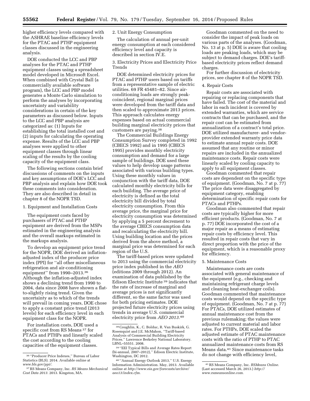higher efficiency levels compared with the ASHRAE baseline efficiency levels for the PTAC and PTHP equipment classes discussed in the engineering analysis.

DOE conducted the LCC and PBP analyses for the PTAC and PTHP equipment classes using a spreadsheet model developed in Microsoft Excel. When combined with Crystal Ball (a commercially available software program), the LCC and PBP model generates a Monte Carlo simulation to perform the analyses by incorporating uncertainty and variability considerations in certain of the key parameters as discussed below. Inputs to the LCC and PBP analysis are categorized as: (1) Inputs for establishing the total installed cost and (2) inputs for calculating the operating expense. Results of the LCC and PBP analyses were applied to other equipment classes through linear scaling of the results by the cooling capacity of the equipment class.

The following sections contain brief discussions of comments on the inputs and key assumptions of DOE's LCC and PBP analysis and explain how DOE took these comments into consideration. They are also described in detail in chapter 8 of the NOPR TSD.

1. Equipment and Installation Costs

The equipment costs faced by purchasers of PTAC and PTHP equipment are derived from the MSPs estimated in the engineering analysis and the overall markups estimated in the markups analysis.

To develop an equipment price trend for the NOPR, DOE derived an inflationadjusted index of the producer price index (PPI) for ''all other miscellaneous refrigeration and air-conditioning equipment'' from 1990–2013.36 Although the inflation-adjusted index shows a declining trend from 1990 to 2004, data since 2008 have shown a flatto-slightly rising trend. Given the uncertainty as to which of the trends will prevail in coming years, DOE chose to apply a constant price trend (2013 levels) for each efficiency level in each equipment class for the NOPR.

For installation costs, DOE used a specific cost from RS Means 37 for PTACs and PTHPs and linearly scaled the cost according to the cooling capacities of the equipment classes.

## 2. Unit Energy Consumption

The calculation of annual per-unit energy consumption at each considered efficiency level and capacity is described in section IV.E.

## 3. Electricity Prices and Electricity Price Trends

DOE determined electricity prices for PTAC and PTHP users based on tariffs from a representative sample of electric utilities. 69 FR 45481–82. Since airconditioning loads are strongly peakcoincident, regional marginal prices were developed from the tariff data and then scaled to approximate 2013 prices. This approach calculates energy expenses based on actual commercial building marginal electricity prices that customers are paying.38

The Commercial Buildings Energy Consumption Survey completed in 1992 (CBECS 1992) and in 1995 (CBECS 1995) provides monthly electricity consumption and demand for a large sample of buildings. DOE used these values to help develop usage patterns associated with various building types. Using these monthly values in conjunction with the tariff data, DOE calculated monthly electricity bills for each building. The average price of electricity is defined as the total electricity bill divided by total electricity consumption. From this average price, the marginal price for electricity consumption was determined by applying a 5 percent decrement to the average CBECS consumption data and recalculating the electricity bill. Using building location and the prices derived from the above method, a marginal price was determined for each region of the U.S.

The tariff-based prices were updated to 2013 using the commercial electricity price index published in the *AEO*  (editions 2009 through 2012). An examination of data published by the Edison Electric Institute 39 indicates that the rate of increase of marginal and average prices is not significantly different, so the same factor was used for both pricing estimates. DOE projected future electricity prices using trends in average U.S. commercial electricity price from *AEO 2013.*40

Goodman commented on the need to consider the impact of peak loads on various parts of the analyses. (Goodman, No. 13 at p. 5) DOE is aware that cooling loads are peaking loads, which may be subject to demand charges. DOE's tariffbased electricity prices reflect demand charges.

For further discussion of electricity prices, see chapter 8 of the NOPR TSD.

## 4. Repair Costs

Repair costs are associated with repairing or replacing components that have failed. The cost of the material and labor in each incident is covered by extended warranties, which are service contracts that can be purchased, and the repair cost can be estimated from annualization of a contract's total price. DOE utilized manufacturer- and vendorprovider extended warranty price data to estimate annual repair costs. DOE assumed that any routine or minor repairs are included in the annualized maintenance costs. Repair costs were linearly scaled by cooling capacity to apply to all equipment classes.

Goodman commented that repair costs are dependent on the specific type of equipment. (Goodman, No. 7 at p. 77) The price data were disaggregated by equipment category, enabling determination of specific repair costs for PTACs and PTHPs.

Goodman also commented that repair costs are typically higher for more efficient products. (Goodman, No. 7 at p. 77) DOE incorporated the cost of a major repair as a means of estimating repair costs by efficiency level. This resulted in repair costs that vary in direct proportion with the price of the equipment, which is a reasonable proxy for efficiency.

#### 5. Maintenance Costs

Maintenance costs are costs associated with general maintenance of the equipment (e.g., checking and maintaining refrigerant charge levels and cleaning heat-exchanger coils). Goodman commented that maintenance costs would depend on the specific type of equipment. (Goodman, No. 7 at p. 77) For PTACs, DOE utilized estimates of annual maintenance cost from the previous rulemaking; the values were adjusted to current material and labor rates. For PTHPs, DOE scaled the adjusted estimate of PTAC maintenance costs with the ratio of PTHP to PTAC annualized maintenance costs from RS Means data.41 Since maintenance tasks do not change with efficiency level,

<sup>36</sup> ''Producer Price Indexes,'' Bureau of Labor Statistics (BLS). 2014. Available online at *[www.bls.gov/ppi/](http://www.bls.gov/ppi/)*.

<sup>37</sup>RS Means Company, Inc. *RS Means Mechanical Cost Data 2013.* 2013. Kingston, MA.

<sup>38</sup>Coughlin, K., C. Bolduc, R. Van Buskirk, G. Rosenquist and J.E. McMahon, ''Tariff-based Analysis of Commercial Building Electricity Prices.'' Lawrence Berkeley National Laboratory. LBNL–55551. 2008.

<sup>39</sup> ''EEI Typical Bills and Average Rates Report (bi-annual, 2007–2012),'' Edison Electric Institute, Washington, DC 2012.

<sup>40</sup> ''Annual Energy Outlook 2013,'' U.S. Energy Information Administration. May, 2013. Available online at *[http://www.eia.gov/forecasts/archive/](http://www.eia.gov/forecasts/archive/aeo13/index.cfm) [aeo13/index.cfm.](http://www.eia.gov/forecasts/archive/aeo13/index.cfm)* 

<sup>41</sup>RS Means Company, Inc. *RSMeans Online.*  (Last accessed March 26, 2013.) *[http://](http://www.rsmeansonline.com) [www.rsmeansonline.com](http://www.rsmeansonline.com)*.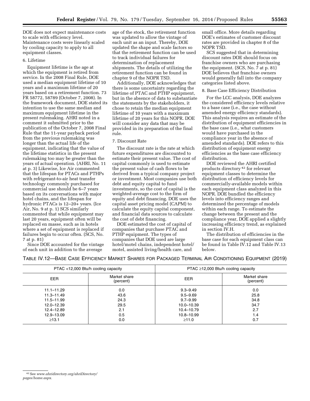DOE does not expect maintenance costs to scale with efficiency level. Maintenance costs were linearly scaled by cooling capacity to apply to all equipment classes.

#### 6. Lifetime

Equipment lifetime is the age at which the equipment is retired from service. In the 2008 Final Rule, DOE used a median equipment lifetime of 10 years and a maximum lifetime of 20 years based on a retirement function. 73 FR 58772, 58789 (October 7, 2008). In the framework document, DOE stated its intention to use the same median and maximum equipment lifetime in the present rulemaking. AHRI noted in a comment it submitted prior to the publication of the October 7, 2008 Final Rule that the 11-year payback period from the previous rulemaking was longer than the actual life of the equipment, indicating that the value of the lifetime statistics in the present rulemaking too may be greater than the years of actual operation. (AHRI, No. 11 at p. 3) Likewise, Ice Air commented that the lifespan for PTACs and PTHPs with refrigerant-to-air heat transfer technology commonly purchased for commercial use should be 6–7 years based on its conversations with major hotel chains, and the lifespan for hydronic PTACs is 12–20+ years. (Ice Air, No. 9 at p. 1) SCS similarly commented that while equipment may last 20 years, equipment often will be replaced en masse, such as in hotels where a set of equipment is replaced if failures begin to occur often. (SCS, No. 7 at p. 81)

Since DOE accounted for the vintage of each unit in addition to the average

age of the stock, the retirement function was updated to allow the vintage of each unit as an input. Thereby, DOE updated the shape and scale factors so that the retirement function can be used to track individual failures for determination of replacement shipments. The details of utilizing the retirement function can be found in chapter 9 of the NOPR TSD.

Additionally, DOE acknowledges that there is some uncertainty regarding the lifetime of PTAC and PTHP equipment, but in the absence of data to substantiate the statements by the stakeholders, it chose to retain the median equipment lifetime of 10 years with a maximum lifetime of 20 years for this NOPR. DOE will consider any data that may be provided in its preparation of the final rule.

#### 7. Discount Rate

The discount rate is the rate at which future expenditures are discounted to estimate their present value. The cost of capital commonly is used to estimate the present value of cash flows to be derived from a typical company project or investment. Most companies use both debt and equity capital to fund investments, so the cost of capital is the weighted-average cost to the firm of equity and debt financing. DOE uses the capital asset pricing model (CAPM) to calculate the equity capital component, and financial data sources to calculate the cost of debt financing.

DOE estimated the cost of capital of companies that purchase PTAC and PTHP equipment. The types of companies that DOE used are large hotel/motel chains, independent hotel/ motel, assisted living/health care, and

small office. More details regarding DOE's estimates of customer discount rates are provided in chapter 8 of the NOPR TSD.

SCS suggested that in determining discount rates DOE should focus on franchise owners who are purchasing the equipment. (SCS, No. 7 at p. 81) DOE believes that franchise owners would generally fall into the company categories listed above.

#### 8. Base Case Efficiency Distribution

For the LCC analysis, DOE analyzes the considered efficiency levels relative to a base case (i.e., the case without amended energy efficiency standards). This analysis requires an estimate of the distribution of equipment efficiencies in the base case (i.e., what customers would have purchased in the compliance year in the absence of amended standards). DOE refers to this distribution of equipment energy efficiencies as the base case efficiency distribution.

DOE reviewed the AHRI certified products directory 42 for relevant equipment classes to determine the distribution of efficiency levels for commercially-available models within each equipment class analyzed in this NOPR. DOE bundled the efficiency levels into efficiency ranges and determined the percentage of models within each range. To estimate the change between the present and the compliance year, DOE applied a slightly increasing efficiency trend, as explained in section IV.H.

The distribution of efficiencies in the base case for each equipment class can be found in Table IV.12 and Table IV.13 below.

TABLE IV.12—BASE CASE EFFICIENCY MARKET SHARES FOR PACKAGED TERMINAL AIR CONDITIONING EQUIPMENT (2019)

|                | PTAC <12,000 Btu/h cooling capacity |              | PTAC $\geq$ 12,000 Btu/h cooling capacity |
|----------------|-------------------------------------|--------------|-------------------------------------------|
| EER            | Market share<br>(percent)           | EER          | Market share<br>(percent)                 |
| $11.1 - 11.29$ | 0.0                                 | $9.3 - 9.49$ | 0.0                                       |
| $11.3 - 11.49$ | 43.6                                | $9.5 - 9.69$ | 25.8                                      |
| $11.5 - 11.99$ | 24.3                                | $9.7 - 9.99$ | 34.8                                      |
| 12.0-12.39     | 29.5                                | 10.0-10.39   | 34.7                                      |
| 12.4-12.89     | 2.1                                 | 10.4-10.79   | 2.7                                       |
| 12.9-13.09     | 0.5                                 | 10.8-10.99   | 1.4                                       |
| $\geq 13.1$    | 0.0                                 | ≥11.0        | 0.7                                       |

<sup>42</sup>See *[www.ahridirectory.org/ahriDirectory/](http://www.ahridirectory.org/ahriDirectory/pages/home.aspx) [pages/home.aspx.](http://www.ahridirectory.org/ahriDirectory/pages/home.aspx)*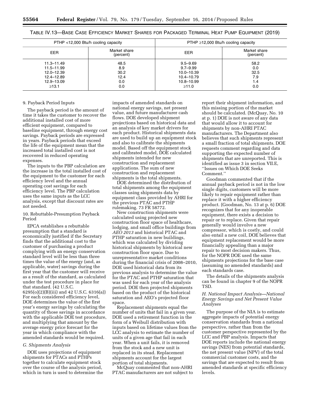TABLE IV.13—BASE CASE EFFICIENCY MARKET SHARES FOR PACKAGED TERMINAL HEAT PUMP EQUIPMENT (2019)

| PTHP <12,000 Btu/h cooling capacity |                           | PTHP $\geq$ 12,000 Btu/h cooling capacity |                           |  |
|-------------------------------------|---------------------------|-------------------------------------------|---------------------------|--|
| EER                                 | Market share<br>(percent) | EER                                       | Market share<br>(percent) |  |
| $11.3 - 11.49$                      | 48.5                      | $9.5 - 9.69$                              | 58.2                      |  |
| 11.5-11.99                          | 8.9                       | $9.7 - 9.99$                              | 0.0                       |  |
| 12.0-12.39                          | 30.2                      | 10.0-10.39                                | 32.5                      |  |
| 12.4-12.89                          | 12.4                      | 10.4-10.79                                | 7.9                       |  |
| 12.9-13.09                          | 0.0                       | 10.8-10.99                                | 1.4                       |  |
| $\geq 13.1$                         | 0.0                       | ≥11.0                                     | 0.0                       |  |

#### 9. Payback Period Inputs

The payback period is the amount of time it takes the customer to recover the additional installed cost of more efficient equipment, compared to baseline equipment, through energy cost savings. Payback periods are expressed in years. Payback periods that exceed the life of the equipment mean that the increased total installed cost is not recovered in reduced operating expenses.

The inputs to the PBP calculation are the increase in the total installed cost of the equipment to the customer for each efficiency level and the annual operating cost savings for each efficiency level. The PBP calculation uses the same inputs as the LCC analysis, except that discount rates are not needed.

10. Rebuttable-Presumption Payback Period

EPCA establishes a rebuttable presumption that a standard is economically justified if the Secretary finds that the additional cost to the customer of purchasing a product complying with an energy conservation standard level will be less than three times the value of the energy (and, as applicable, water) savings during the first year that the customer will receive as a result of the standard, as calculated under the test procedure in place for that standard. (42 U.S.C. 6295(o)(2)(B)(iii) and 42 U.S.C. 6316(a)) For each considered efficiency level, DOE determines the value of the first year's energy savings by calculating the quantity of those savings in accordance with the applicable DOE test procedure, and multiplying that amount by the average energy price forecast for the year in which compliance with the amended standards would be required.

## *G. Shipments Analysis*

DOE uses projections of equipment shipments for PTACs and PTHPs together to calculate equipment stock over the course of the analysis period, which in turn is used to determine the

impacts of amended standards on national energy savings, net present value, and future manufacturer cash flows. DOE developed shipment projections based on historical data and an analysis of key market drivers for each product. Historical shipments data are used to build up an equipment stock and also to calibrate the shipments model. Based off the equipment stock and calibrated model, DOE calculated shipments intended for new construction and replacement applications. The sum of new construction and replacement shipments is the total shipments.

DOE determined the distribution of total shipments among the equipment classes using shipments data by equipment class provided by AHRI for the previous PTAC and PTHP rulemaking. 73 FR 58772.

New construction shipments were calculated using projected new construction floor space of healthcare, lodging, and small office buildings from *AEO 2013* and historical PTAC and PTHP saturation in new buildings, which was calculated by dividing historical shipments by historical new construction floor space. Due to unrepresentative market conditions during the financial crisis of 2008–2010, DOE used historical data from its previous analysis to determine the value for the PTAC and PTHP saturation that was used for each year of the analysis period. DOE then projected shipments based on the product of the historical saturation and AEO's projected floor space.

Replacement shipments equal the number of units that fail in a given year. DOE used a retirement function in the form of a Weibull distribution with inputs based on lifetime values from the LCC analysis to estimate the number of units of a given age that fail in each year. When a unit fails, it is removed from the stock and a new unit is replaced in its stead. Replacement shipments account for the largest portion of total shipments.

McQuay commented that non-AHRI PTAC manufacturers are not subject to

report their shipment information, and this missing portion of the market should be calculated. (McQuay, No. 10 at p. 1) DOE is not aware of any data that would allow it to account for shipments by non-AHRI PTAC manufacturers. The Department also believes that such shipments represent a small fraction of total shipments. DOE requests comment regarding and data supporting the expected number of shipments that are unreported. This is identified as issue 3 in section VII.E, ''Issues on Which DOE Seeks Comment.''

Goodman commented that if the annual payback period is not in the low single digits, customers will be more likely to repair equipment rather than replace it with a higher efficiency product. (Goodman, No. 13 at p. 6) DOE recognizes that for any inoperable equipment, there exists a decision to repair or to replace. Given that repair generally would involve a new compressor, which is costly, and could also entail a new coil, DOE believes that equipment replacement would be more financially appealing than a major repair to most decision makers. Thus, for the NOPR DOE used the same shipments projections for the base case (assuming no amended standards) and each standards case.

The details of the shipments analysis can be found in chapter 9 of the NOPR TSD.

## *H. National Impact Analysis—National Energy Savings and Net Present Value Analyses*

The purpose of the NIA is to estimate aggregate impacts of potential energy conservation standards from a national perspective, rather than from the customer perspective represented by the LCC and PBP analysis. Impacts that DOE reports include the national energy savings (NES) from potential standards, the net present value (NPV) of the total commercial customer costs, and the savings that are expected to result from amended standards at specific efficiency levels.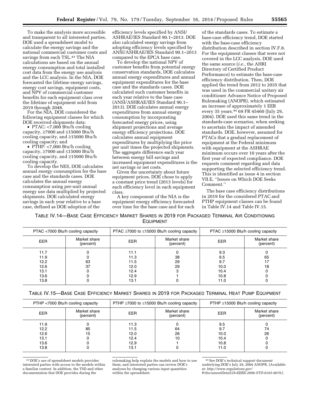To make the analysis more accessible and transparent to all interested parties, DOE used a spreadsheet model to calculate the energy savings and the national commercial customer costs and savings from each TSL.<sup>43</sup> The NIA calculations are based on the annual energy consumption and total installed cost data from the energy use analysis and the LCC analysis. In the NIA, DOE forecasted the lifetime energy savings, energy cost savings, equipment costs, and NPV of commercial customer benefits for each equipment class over the lifetime of equipment sold from 2019 through 2048.

For the NIA, DOE considered the following equipment classes for which DOE received shipments data:

• PTAC: <7,000 Btu/h cooling capacity, ≥7000 and ≤15000 Btu/h cooling capacity, and ≥15000 Btu/h cooling capacity; and

• PTHP: <7,000 Btu/h cooling capacity, ≥7000 and ≤15000 Btu/h cooling capacity, and ≥15000 Btu/h cooling capacity.

To develop the NES, DOE calculates annual energy consumption for the base case and the standards cases. DOE calculates the annual energy consumption using per-unit annual energy use data multiplied by projected shipments. DOE calculated energy savings in each year relative to a base case, defined as DOE adoption of the

efficiency levels specified by ANSI/ ASHRAE/IES Standard 90.1–2013. DOE also calculated energy savings from adopting efficiency levels specified by ANSI/ASHRAE/IES Standard 90.1–2013 compared to the EPCA base case.

To develop the national NPV of customer benefits from potential energy conservation standards, DOE calculates annual energy expenditures and annual equipment expenditures for the base case and the standards cases. DOE calculated such customer benefits in each year relative to the base case (ANSI/ASHRAE/IES Standard 90.1– 2013). DOE calculates annual energy expenditures from annual energy consumption by incorporating forecasted energy prices, using shipment projections and average energy efficiency projections. DOE calculates annual equipment expenditures by multiplying the price per unit times the projected shipments. The aggregate difference each year between energy bill savings and increased equipment expenditures is the net savings or net costs.

Given the uncertainty about future equipment prices, DOE chose to apply a constant price trend (2013 levels) for each efficiency level in each equipment class.

A key component of the NIA is the equipment energy efficiency forecasted over time for the base case and for each

of the standards cases. To estimate a base-case efficiency trend, DOE started with the base-case efficiency distribution described in section IV.F.8. For the equipment classes that were not covered in the LCC analysis, DOE used the same source (*i.e.,* the AHRI Directory of Certified Product Performance) to estimate the base-case efficiency distribution. Then, DOE applied the trend from 2012 to 2035 that was used in the commercial unitary air conditioner Advance Notice of Proposed Rulemaking (ANOPR), which estimated an increase of approximately 1 EER every 35 years.44 69 FR 45460 (July 29, 2004). DOE used this same trend in the standards-case scenarios, when seeking to ascertain the impact of amended standards. DOE, however, assumed for PTACs that a gradual replacement of equipment at the Federal minimum with equipment at the ASHRAE minimum occurs over 10 years after the first year of expected compliance. DOE requests comment regarding and data supporting the selected efficiency trend. This is identified as issue 4 in section VII.E, ''Issues on Which DOE Seeks Comment.''

The base case efficiency distributions in 2019 for the considered PTAC and PTHP equipment classes can be found in Table IV.14 and Table IV.15.

TABLE IV.14—BASE CASE EFFICIENCY MARKET SHARES IN 2019 FOR PACKAGED TERMINAL AIR CONDITIONING EQUIPMENT

| PTAC <7000 Btu/h cooling capacity                    |                           | PTAC ≥7000 to ≤15000 Btu/h cooling capacity          |                           | PTAC $\geq$ 15000 Btu/h cooling capacity          |                           |
|------------------------------------------------------|---------------------------|------------------------------------------------------|---------------------------|---------------------------------------------------|---------------------------|
| <b>EER</b>                                           | Market share<br>(percent) | EER                                                  | Market share<br>(percent) | EER                                               | Market share<br>(percent) |
| 11.7<br>11.9<br>12.2<br>12.6<br>13.1<br>13.6<br>13.8 | 63<br>37                  | 11.1<br>11.3<br>11.5<br>12.0<br>12.4<br>12.9<br>13.1 | 38<br>29<br>29            | 9.3<br>9.5<br>9.7<br>10.0<br>10.4<br>10.8<br>11.0 | 65<br>18                  |

TABLE IV.15—BASE CASE EFFICIENCY MARKET SHARES IN 2019 FOR PACKAGED TERMINAL HEAT PUMP EQUIPMENT

| PTHP <7000 Btu/h cooling capacity            |                           | PTHP $\geq$ 7000 to $\leq$ 15000 Btu/h cooling capacity |                           | PTHP $\geq$ 15000 Btu/h cooling capacity   |                           |
|----------------------------------------------|---------------------------|---------------------------------------------------------|---------------------------|--------------------------------------------|---------------------------|
| EER.                                         | Market share<br>(percent) | EER                                                     | Market share<br>(percent) | EER                                        | Market share<br>(percent) |
| 11.9<br>12.2<br>12.6<br>13.1<br>13.6<br>13.8 | 85<br>15                  | 11.3<br>11.5<br>12.0<br>12.4<br>12.9<br>13.1            | 64<br>26<br>10            | 9.5<br>9.7<br>10.0<br>10.4<br>10.8<br>11.0 | 74<br>26                  |

43 DOE's use of spreadsheet models provides interested parties with access to the models within a familiar context. In addition, the TSD and other documentation that DOE provides during the

rulemaking help explain the models and how to use them, and interested parties can review DOE's analyses by changing various input quantities within the spreadsheet.

44See DOE's technical support document underlying DOE's July 29, 2004 ANOPR. (Available at: *[http://www.regulations.gov/](http://www.regulations.gov/#!documentDetail;D=EERE-2006-STD-0103-0078)*

*[#!documentDetail;D=EERE-2006-STD-0103-0078](http://www.regulations.gov/#!documentDetail;D=EERE-2006-STD-0103-0078)*.)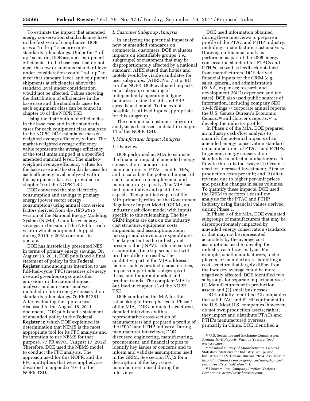To estimate the impact that amended energy conservation standards may have in the first year of compliance, DOE uses a ''roll-up'' scenario in its standards rulemakings. Under the ''rollup'' scenario, DOE assumes equipment efficiencies in the base case that do not meet the new or amended standard level under consideration would ''roll up'' to meet that standard level, and equipment shipments at efficiencies above the standard level under consideration would not be affected. Tables showing the distribution of efficiencies in the base case and the standards cases for each equipment class can be found in chapter 10 of the NOPR TSD.

Using the distribution of efficiencies in the base case and in the standards cases for each equipment class analyzed in the NOPR, DOE calculated marketweighted average efficiency values. The market-weighted average efficiency value represents the average efficiency of the total units shipped at a specified amended standard level. The marketweighted average efficiency values for the base case and the standards cases for each efficiency level analyzed within the equipment classes is provided in chapter 10 of the NOPR TSD.

DOE converted the site electricity consumption and savings to primary energy (power sector energy consumption) using annual conversion factors derived from the *AEO 2013*  version of the National Energy Modeling System (NEMS). Cumulative energy savings are the sum of the NES for each year in which equipment shipped during 2019 to 2048 continues to operate.

DOE has historically presented NES in terms of primary energy savings. On August 18, 2011, DOE published a final statement of policy in the **Federal Register** announcing its intention to use full-fuel-cycle (FFC) measures of energy use and greenhouse gas and other emissions in the national impact analyses and emissions analyses included in future energy conservation standards rulemakings. 76 FR 51281. After evaluating the approaches discussed in the August 18, 2011 document, DOE published a statement of amended policy in the **Federal Register** in which DOE explained its determination that NEMS is the most appropriate tool for its FFC analysis and its intention to use NEMS for that purpose. 77 FR 49701 (August 17, 2012). Therefore, DOE used the NEMS model to conduct the FFC analysis. The approach used for this NOPR, and the FFC multipliers that were applied, are described in appendix 10–B of the NOPR TSD.

#### *I. Customer Subgroup Analysis*

In analyzing the potential impacts of new or amended standards on commercial customers, DOE evaluates impacts on identifiable groups (*i.e.,*  subgroups) of customers that may be disproportionately affected by a national standard. AHRI stated that hotels and motels would be viable candidates for user subgroups. (AHRI, No. 7 at p. 91) For the NOPR, DOE evaluated impacts on a subgroup consisting of independently-operating lodging businesses using the LCC and PBP spreadsheet model. To the extent possible, it utilized inputs appropriate for this subgroup.

The commercial customer subgroup analysis is discussed in detail in chapter 11 of the NOPR TSD.

## *J. Manufacturer Impact Analysis*

#### 1. Overview

DOE performed an MIA to estimate the financial impact of amended energy conservation standards on manufacturers of PTACs and PTHPs, and to calculate the potential impact of such standards on employment and manufacturing capacity. The MIA has both quantitative and qualitative aspects. The quantitative part of the MIA primarily relies on the Government Regulatory Impact Model (GRIM), an industry cash-flow model with inputs specific to this rulemaking. The key GRIM inputs are data on the industry cost structure, equipment costs, shipments, and assumptions about markups and conversion expenditures. The key output is the industry net present value (INPV). Different sets of assumptions (markup scenarios) will produce different results. The qualitative part of the MIA addresses factors such as product characteristics, impacts on particular subgroups of firms, and important market and product trends. The complete MIA is outlined in chapter 13 of the NOPR TSD.

DOE conducted the MIA for this rulemaking in three phases. In Phase 1 of the MIA, DOE conducted structured, detailed interviews with a representative cross-section of manufacturers and prepared a profile of the PTAC and PTHP industry. During manufacturer interviews, DOE discussed engineering, manufacturing, procurement, and financial topics to identify key issues or concerns and to inform and validate assumptions used in the GRIM. See section IV.J.2 for a description of the key issues manufacturers raised during the interviews.

DOE used information obtained during these interviews to prepare a profile of the PTAC and PTHP industry, including a manufacturer cost analysis. Drawing on financial analysis performed as part of the 2008 energy conservation standard for PTACs and PTHPs, as well as feedback obtained from manufacturers, DOE derived financial inputs for the GRIM (*e.g.,*  sales, general, and administration (SG&A) expenses; research and development (R&D) expenses; and tax rates). DOE also used public sources of information, including company SEC 10–K filings,45 corporate annual reports, the U.S. Census Bureau's Economic Census,46 and Hoover's reports,47 to develop the industry profile.

In Phase 2 of the MIA, DOE prepared an industry cash-flow analysis to quantify the potential impacts of an amended energy conservation standard on manufacturers of PTACs and PTHPs. In general, energy conservation standards can affect manufacturer cash flow in three distinct ways: (1) Create a need for increased investment; (2) raise production costs per unit; and (3) alter revenue due to higher per-unit prices and possible changes in sales volumes. To quantify these impacts, DOE used the GRIM to perform a cash-flow analysis for the PTAC and PTHP industry using financial values derived during Phase 1.

In Phase 3 of the MIA, DOE evaluated subgroups of manufacturers that may be disproportionately impacted by amended energy conservation standards or that may not be represented accurately by the average cost assumptions used to develop the industry cash-flow analysis. For example, small manufacturers, niche players, or manufacturers exhibiting a cost structure that largely differs from the industry average could be more negatively affected. DOE identified two subgroups for separate impact analyses: (1) Manufacturers with production assets; and (2) small businesses.

DOE initially identified 22 companies that sell PTAC and PTHP equipment in the U.S. Most U.S. companies, however, do not own production assets; rather, they import and distribute PTACs and PTHPs manufactured overseas, primarily in China. DOE identified a

47Hoovers, Inc. *Company Profiles.* Various Companies. *<http://www.hoovers.com>*.

<sup>45</sup>U.S. Securities and Exchange Commission. *Annual 10–K Reports.* Various Years. *[http://](http://www.sec.gov) [www.sec.gov](http://www.sec.gov)*.

<sup>46</sup> ''Annual Survey of Manufacturers: General Statistics: Statistics for Industry Groups and Industries.'' U.S. Census Bureau. 2014. Available at: *[http://factfinder2.census.gov/faces/nav/jsf/pages/](http://factfinder2.census.gov/faces/nav/jsf/pages/searchresults.xhtml?refresh=t) [searchresults.xhtml?refresh=t](http://factfinder2.census.gov/faces/nav/jsf/pages/searchresults.xhtml?refresh=t)*.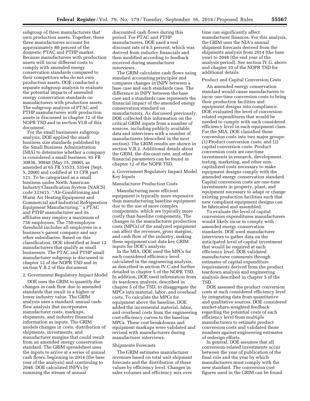subgroup of three manufacturers that own production assets. Together, these three manufacturers account for approximately 80 percent of the domestic PTAC and PTHP market. Because manufacturers with production assets will incur different costs to comply with amended energy conservation standards compared to their competitors who do not own production assets, DOE conducted a separate subgroup analysis to evaluate the potential impacts of amended energy conservation standards on manufacturers with production assets. The subgroup analysis of PTAC and PTHP manufacturers with production assets is discussed in chapter 12 of the NOPR TSD and in section VI.B of this document.

For the small businesses subgroup analysis, DOE applied the small business size standards published by the Small Business Administration (SBA) to determine whether a company is considered a small business. 65 FR 30836, 30848 (May 15, 2000), as amended at 65 FR 53533, 53544 (Sept. 5, 2000) and codified at 13 CFR part 121. To be categorized as a small business under North American Industry Classification System (NAICS) code 333415, ''Air-Conditioning and Warm Air Heating Equipment and Commercial and Industrial Refrigeration Equipment Manufacturing,'' a PTAC and PTHP manufacturer and its affiliates may employ a maximum of 750 employees. The 750-employee threshold includes all employees in a business's parent company and any other subsidiaries. Based on this classification, DOE identified at least 12 manufacturers that qualify as small businesses. The PTAC and PTHP small manufacturer subgroup is discussed in chapter 12 of the NOPR TSD and in section V.B.2 of this document.

## 2. Government Regulatory Impact Model

DOE uses the GRIM to quantify the changes in cash flow due to amended standards that result in a higher or lower industry value. The GRIM analysis uses a standard, annual cashflow analysis that incorporates manufacturer costs, markups, shipments, and industry financial information as inputs. The GRIM models changes in costs, distribution of shipments, investments, and manufacturer margins that could result from an amended energy conservation standard. The GRIM spreadsheet uses the inputs to arrive at a series of annual cash flows, beginning in 2014 (the base year of the analysis) and continuing to 2048. DOE calculated INPVs by summing the stream of annual

discounted cash flows during this period. For PTAC and PTHP manufacturers, DOE used a real discount rate of 8.5 percent, which was derived from industry financials and then modified according to feedback received during manufacturer interviews.

The GRIM calculates cash flows using standard accounting principles and compares changes in INPV between a base case and each standards case. The difference in INPV between the base case and a standards case represents the financial impact of the amended energy conservation standard on manufacturers. As discussed previously, DOE collected this information on the critical GRIM inputs from a number of sources, including publicly available data and interviews with a number of manufacturers (described in the next section). The GRIM results are shown in section V.B.2. Additional details about the GRIM, the discount rate, and other financial parameters can be found in chapter 12 of the NOPR TSD.

a. Government Regulatory Impact Model Key Inputs

#### Manufacturer Production Costs

Manufacturing more efficient equipment is typically more expensive than manufacturing baseline equipment due to the use of more complex components, which are typically more costly than baseline components. The changes in the manufacturer production costs (MPCs) of the analyzed equipment can affect the revenues, gross margins, and cash flow of the industry, making these equipment cost data key GRIM inputs for DOE's analysis.

In the MIA, DOE used the MPCs for each considered efficiency level calculated in the engineering analysis, as described in section IV.C and further detailed in chapter 5 of the NOPR TSD. In addition, DOE used information from its teardown analysis, described in chapter 5 of the TSD, to disaggregate the MPCs into material, labor, and overhead costs. To calculate the MPCs for equipment above the baseline, DOE added the incremental material, labor, and overhead costs from the engineering cost-efficiency curves to the baseline MPCs. These cost breakdowns and equipment markups were validated and revised with manufacturers during manufacturer interviews.

#### Shipments Forecasts

The GRIM estimates manufacturer revenues based on total unit shipment forecasts and the distribution of these values by efficiency level. Changes in sales volumes and efficiency mix over

time can significantly affect manufacturer finances. For this analysis, the GRIM uses the NIA's annual shipment forecasts derived from the shipments analysis from 2014 (the base year) to 2048 (the end year of the analysis period). See section IV.G. above and chapter 10 of the NOPR TSD for additional details.

#### Product and Capital Conversion Costs

An amended energy conservation standard would cause manufacturers to incur one-time conversion costs to bring their production facilities and equipment designs into compliance. DOE evaluated the level of conversionrelated expenditures that would be needed to comply with each considered efficiency level in each equipment class. For the MIA, DOE classified these conversion costs into two major groups: (1) Product conversion costs; and (2) capital conversion costs. Product conversion costs are one-time investments in research, development, testing, marketing, and other noncapitalized costs necessary to make equipment designs comply with the amended energy conservation standard. Capital conversion costs are one-time investments in property, plant, and equipment necessary to adapt or change existing production facilities such that new compliant equipment designs can be fabricated and assembled.

To evaluate the level of capital conversion expenditures manufacturers would likely incur to comply with amended energy conservation standards, DOE used manufacturer interviews to gather data on the anticipated level of capital investment that would be required at each efficiency level. DOE validated manufacturer comments through estimates of capital expenditure requirements derived from the product teardown analysis and engineering analysis described in chapter 5 of the TSD.

DOE assessed the product conversion costs at each considered efficiency level by integrating data from quantitative and qualitative sources. DOE considered market-share-weighted feedback regarding the potential costs of each efficiency level from multiple manufacturers to estimate product conversion costs and validated those numbers against engineering estimates of redesign efforts.

In general, DOE assumes that all conversion-related investments occur between the year of publication of the final rule and the year by which manufacturers must comply with the new standard. The conversion cost figures used in the GRIM can be found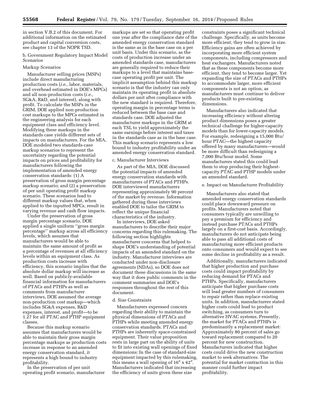in section V.B.2 of this document. For additional information on the estimated product and capital conversion costs, see chapter 13 of the NOPR TSD.

b. Government Regulatory Impact Model Scenarios

#### Markup Scenarios

Manufacturer selling prices (MSPs) include direct manufacturing production costs (*i.e.,* labor, materials, and overhead estimated in DOE's MPCs) and all non-production costs (*i.e.,*  SG&A, R&D, and interest), along with profit. To calculate the MSPs in the GRIM, DOE applied non-production cost markups to the MPCs estimated in the engineering analysis for each equipment class and efficiency level. Modifying these markups in the standards case yields different sets of impacts on manufacturers. For the MIA, DOE modeled two standards-case markup scenarios to represent the uncertainty regarding the potential impacts on prices and profitability for manufacturers following the implementation of amended energy conservation standards: (1) A preservation of gross margin percentage markup scenario; and (2) a preservation of per unit operating profit markup scenario. These scenarios lead to different markup values that, when applied to the inputted MPCs, result in varying revenue and cash flow impacts.

Under the preservation of gross margin percentage scenario, DOE applied a single uniform ''gross margin percentage'' markup across all efficiency levels, which assumes that manufacturers would be able to maintain the same amount of profit as a percentage of revenues at all efficiency levels within an equipment class. As production costs increase with efficiency, this scenario implies that the absolute dollar markup will increase as well. Based on publicly-available financial information for manufacturers of PTACs and PTHPs as well as comments from manufacturer interviews, DOE assumed the average non-production cost markup—which includes SG&A expenses, R&D expenses, interest, and profit—to be 1.27 for all PTAC and PTHP equipment classes.

Because this markup scenario assumes that manufacturers would be able to maintain their gross margin percentage markups as production costs increase in response to an amended energy conservation standard, it represents a high bound to industry profitability.

In the preservation of per unit operating profit scenario, manufacturer

markups are set so that operating profit one year after the compliance date of the amended energy conservation standard is the same as in the base case on a per unit basis. Under this scenario, as the costs of production increase under an amended standards case, manufacturers are generally required to reduce their markups to a level that maintains basecase operating profit per unit. The implicit assumption behind this markup scenario is that the industry can only maintain its operating profit in absolute dollars per unit after compliance with the new standard is required. Therefore, operating margin in percentage terms is reduced between the base case and standards case. DOE adjusted the manufacturer markups in the GRIM at each TSL to yield approximately the same earnings before interest and taxes in the standards case as in the base case. This markup scenario represents a low bound to industry profitability under an amended energy conservation standard.

#### c. Manufacturer Interviews

As part of the MIA, DOE discussed the potential impacts of amended energy conservation standards with manufacturers of PTACs and PTHPs. DOE interviewed manufacturers representing approximately 90 percent of the market by revenue. Information gathered during these interviews enabled DOE to tailor the GRIM to reflect the unique financial characteristics of the industry.

In interviews, DOE asked manufacturers to describe their major concerns regarding this rulemaking. The following section highlights manufacturer concerns that helped to shape DOE's understanding of potential impacts of an amended standard on the industry. Manufacturer interviews are conducted under non-disclosure agreements (NDAs), so DOE does not document these discussions in the same way that it does public comments in the comment summaries and DOE's responses throughout the rest of this document.

#### d. Size Constraints

Manufacturers expressed concern regarding their ability to maintain the physical dimensions of PTACs and PTHPs while meeting amended energy conservation standards. PTACs and PTHPs are inherently space-constrained equipment. Their value proposition rests in large part on the ability of units to fit into existing wall openings of fixed dimensions: In the case of standard-size equipment impacted by this rulemaking, this means a wall opening of 16″ x 42″. Manufacturers indicated that increasing the efficiency of units given these size

constraints poses a significant technical challenge. Specifically, as units become more efficient, they tend to grow in size. Efficiency gains are often achieved by incorporating more efficient system components, including compressors and heat exchangers. Manufacturers noted that as these components become more efficient, they tend to become larger. Yet expanding the size of PTACs and PTHPs to accommodate larger, more efficient components is not an option, as manufacturers must continue to deliver products built to pre-existing dimensions.

Manufacturers also indicated that increasing efficiency without altering product dimensions poses a greater technical challenge for higher-capacity models than for lower-capacity models. For example, redesigning a 15,000 Btu/ hour PTAC—the highest capacity offered by many manufacturers—would be more difficult than redesigning a 7,000 Btu/hour model. Some manufacturers stated this could lead them to stop producing their highestcapacity PTAC and PTHP models under an amended standard.

#### e. Impact on Manufacturer Profitability

Manufacturers also stated that amended energy conservation standards could place downward pressure on profits. Manufacturers noted that consumers typically are unwilling to pay a premium for efficiency and instead purchase PTACs and PTHPs largely on a first-cost basis. Accordingly, manufacturers do not anticipate being able to pass all additional costs of manufacturing more efficient products onto consumers and would expect to see some decline in profitability as a result.

Additionally, manufacturers indicated that higher production and purchase costs could impact profitability by reducing demand for PTACs and PTHPs. Specifically, manufacturers anticipate that higher purchase costs will lead greater numbers of consumers to repair rather than replace existing units. In addition, manufacturers stated higher costs could lead to product switching, as consumers turn to alternative HVAC systems. Presently, the market for PTACs and PTHPs is predominantly a replacement market: Approximately 80 percent of sales go toward replacement compared to 20 percent for new construction. Manufacturers indicated that higher costs could drive the new construction market to seek alternatives. The potential for market contraction in this manner could further impact profitability.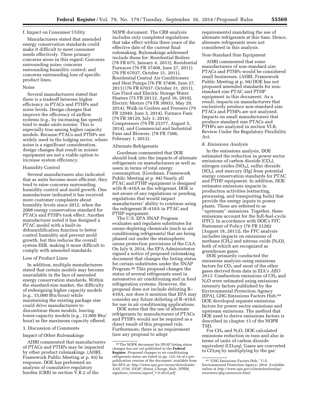## f. Impact on Consumer Utility

Manufacturers stated that amended energy conservation standards could make it difficult to meet consumer needs effectively. Three primary concerns arose in this regard: Concerns surrounding noise; concerns surrounding humidity control; and concerns surrounding loss of specific product lines.

#### Noise

Several manufacturers stated that there is a tradeoff between higher efficiency in PTACs and PTHPs and noise levels. Design changes that improve the efficiency of airflow systems (e.g., by increasing fan speed) tend to make units noisier. This is especially true among higher capacity models. Because PTACs and PTHPs are widely used in the lodging sector, where noise is a significant consideration, design changes that result in noisier equipment are not a viable option to increase system efficiency.

#### Humidity Control

Several manufacturers also indicated that as units become more efficient, they tend to raise concerns surrounding humidity control and mold growth. One manufacturer indicated it has received more customer complaints about humidity levels since 2012, when the 2008 energy conservation standard for PTACs and PTHPs took effect. Another manufacturer noted it has designed a PTAC model with a built-in dehumidification function to better control humidity and prevent mold growth, but this reduces the overall system EER, making it more difficult to comply with amended standards.

#### Loss of Product Lines

In addition, multiple manufacturers stated that certain models may become unavailable in the face of amended energy conservation standards. Within the standard-size market, the difficulty of redesigning higher capacity models (e.g., 15,000 Btu/hour) while maintaining the existing package size could drive manufacturers to discontinue those models, leaving lower-capacity models (e.g., 12,000 Btu/ hour) as the maximum capacity offered.

#### 3. Discussion of Comments

#### Impact of Other Rulemakings

AHRI commented that manufacturers of PTACs and PTHPs may be impacted by other product rulemakings. (AHRI, Framework Public Meeting at p. 93) In response, DOE has performed an analysis of cumulative regulatory burden (CRB) in section V.B.2 of the

NOPR document. The CRB analysis includes only completed regulations that take effect within three years of the effective date of the current final rulemaking. Rulemakings addressed include those for: Residential Boilers (78 FR 675, January 4, 2013), Residential Furnaces (76 FR 37408, June 27, 2011) (76 FR 67037, October 31, 2011), Residential Central Air Conditioners and Heat Pumps (76 FR 37408, June 27, 2011) (76 FR 67037, October 31, 2011), Gas Fired and Electric Storage Water Heaters (75 FR 20112, April 16, 2010), Electric Motors (79 FR 30933, May 29, 2014), Walk-in Coolers and Freezers (79 FR 32049, June 3, 2014), Furnace Fans (79 FR 38129, July 3, 2014), Compressors (79 FR 25377, August 5, 2014), and Commercial and Industrial Fans and Blowers. (78 FR 7306, February 1, 2013).

#### Alternate Refrigerants

Goodman commented that DOE should look into the impacts of alternate refrigerants on manufacturers as well as users in terms of total energy consumption. (Goodman, Framework Public Meeting at p. 94) Nearly all PTAC and PTHP equipment is designed with R–410A as the refrigerant. DOE is not aware of any regulations or pending regulations that would impact manufacturers' ability to continue using the refrigerant R–410A in PTAC and PTHP equipment.

The U.S. EPA SNAP Program evaluates and regulates substitutes for ozone-depleting chemicals (such as air conditioning refrigerants) that are being phased out under the stratospheric ozone protection provisions of the CAA. On July 9, 2014, the EPA Administrator signed a notice of proposed rulemaking document that changes the listing status for certain substitutes under the SNAP Program.48 This proposal changes the status of several refrigerants used in automotive air conditioning and in food refrigeration systems. However, the proposal does not include delisting R– 410A, nor does it mention that EPA may consider any future delisting of R–410A for use in air conditioning applications.

DOE notes that the use of alternate refrigerants by manufacturers of PTACs and PTHPs would not be required as a direct result of this proposed rule. Furthermore, there is no requirement (nor any proposal to adopt

requirements) mandating the use of alternate refrigerants at this time. Hence, alternate refrigerants were not considered in this analysis.

#### Non-Standard Size Equipment

AHRI commented that some manufacturers of non-standard size PTACs and PTHPs would be considered small businesses. (AHRI, Framework Public Meeting at p. 94) DOE has not proposed amended standards for nonstandard size PTAC and PTHP equipment in this document. As a result, impacts on manufacturers that exclusively produce non-standard size PTACs and PTHPs are not analyzed. Impacts on small manufacturers that produce standard size PTACs and PTHPs are analyzed in section VI.B, Review Under the Regulatory Flexibility Act.

#### *K. Emissions Analysis*

In the emissions analysis, DOE estimated the reduction in power sector emissions of carbon dioxide  $(CO<sub>2</sub>)$ , nitrogen oxides  $(NO<sub>X</sub>)$ , sulfur dioxide  $(SO<sub>2</sub>)$ , and mercury  $(Hg)$  from potential energy conservation standards for PTAC and PTHP equipment. In addition, DOE estimates emissions impacts in production activities (extracting, processing, and transporting fuels) that provide the energy inputs to power plants. These are referred to as ''upstream'' emissions. Together, these emissions account for the full-fuel-cycle (FFC). In accordance with DOE's FFC Statement of Policy (76 FR 51282 (August 18, 2011)), the FFC analysis includes impacts on emissions of methane (CH<sub>4</sub>) and nitrous oxide (N<sub>2</sub>O), both of which are recognized as greenhouse gases.

DOE primarily conducted the emissions analysis using emissions factors for  $CO<sub>2</sub>$  and most of the other gases derived from data in EIA's *AEO*  2013. Combustion emissions of CH<sub>4</sub> and N2O were estimated using emissions intensity factors published by the Environmental Protection Agency (EPA), GHG Emissions Factors Hub.49 DOE developed separate emissions factors for power sector emissions and upstream emissions. The method that DOE used to derive emissions factors is described in chapter 13 of the NOPR TSD.

For CH4 and N2O, DOE calculated emissions reduction in tons and also in terms of units of carbon dioxide equivalent  $(CO<sub>2</sub>eq)$ . Gases are converted to  $CO<sub>2</sub>$ eq by multiplying by the gas'

<sup>48</sup>The NOPR document for SNAP listing status changes has not yet published in the **Federal Register**. Proposed changes to air conditioning refrigerants status are listed in pp. 132–34 of a prepublication version of the document, available from the EPA at: *[http://www.epa.gov/ozone/downloads/](http://www.epa.gov/ozone/downloads/SAN_5750_SNAP_Status_Change_Rule_NPRM_signature_version-signed_7-9-2014.pdf) SAN*\_*5750*\_*SNAP*\_*Status*\_*[Change](http://www.epa.gov/ozone/downloads/SAN_5750_SNAP_Status_Change_Rule_NPRM_signature_version-signed_7-9-2014.pdf)*\_*Rule*\_*NPRM*\_ *signature*\_*[version-signed](http://www.epa.gov/ozone/downloads/SAN_5750_SNAP_Status_Change_Rule_NPRM_signature_version-signed_7-9-2014.pdf)*\_*7-9-2014.pdf.* 

<sup>49</sup> ''GHG Emissions Factors Hub,'' U.S. Environmental Protection Agency. 2014. Available online at *[http://www.epa.gov/climateleadership/](http://www.epa.gov/climateleadership/inventory/ghg-emissions.html) [inventory/ghg-emissions.html.](http://www.epa.gov/climateleadership/inventory/ghg-emissions.html)*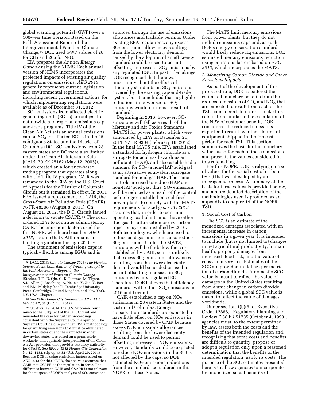global warming potential (GWP) over a 100-year time horizon. Based on the Fifth Assessment Report of the Intergovernmental Panel on Climate Change,50 DOE used GWP values of 28 for  $CH_4$  and 265 for  $N_2O$ .

EIA prepares the *Annual Energy Outlook* using the NEMS. Each annual version of NEMS incorporates the projected impacts of existing air quality regulations on emissions. *AEO 2013*  generally represents current legislation and environmental regulations, including recent government actions, for which implementing regulations were available as of December 31, 2012.

SO2 emissions from affected electric generating units (EGUs) are subject to nationwide and regional emissions capand-trade programs. Title IV of the Clean Air Act sets an annual emissions cap on  $SO<sub>2</sub>$  for affected EGUs in the 48 contiguous States and the District of Columbia (DC).  $SO<sub>2</sub>$  emissions from 28 eastern states and DC were also limited under the Clean Air Interstate Rule (CAIR; 70 FR 25162 (May 12, 2005)), which created an allowance-based trading program that operates along with the Title IV program. CAIR was remanded to the EPA by the U.S. Court of Appeals for the District of Columbia Circuit but it remained in effect. In 2011 EPA issued a replacement for CAIR, the Cross-State Air Pollution Rule (CSAPR). 76 FR 48208 (August 8, 2011). On August 21, 2012, the D.C. Circuit issued a decision to vacate CSAPR.51 The court ordered EPA to continue administering CAIR. The emissions factors used for this NOPR, which are based on *AEO 2013,* assume that CAIR remains a binding regulation through 2040.52

The attainment of emissions caps is typically flexible among EGUs and is

51See *EME Homer City Generation, LP* v. *EPA,*  696 F.3d 7, 38 (D.C. Cir. 2012).

52On April 29, 2014, the U.S. Supreme Court reversed the judgment of the D.C. Circuit and remanded the case for further proceedings consistent with the Supreme Court's opinion. The Supreme Court held in part that EPA's methodology for quantifying emissions that must be eliminated in certain states due to their impacts in other downwind states was based on a permissible, workable, and equitable interpretation of the Clean Air Act provision that provides statutory authority for CSAPR. See *EPA* v. *EME Homer City Generation,*  No 12–1182, slip op. at 32 (U.S. April 29, 2014). Because DOE is using emissions factors based on AEO 2013 for this NOPR, the analysis assumes that CAIR, not CSAPR, is the regulation in force. The difference between CAIR and CSAPR is not relevant for the purpose of DOE's analysis of  $SO<sub>2</sub>$  emissions.

enforced through the use of emissions allowances and tradable permits. Under existing EPA regulations, any excess SO2 emissions allowances resulting from the lower electricity demand caused by the adoption of an efficiency standard could be used to permit offsetting increases in  $SO<sub>2</sub>$  emissions by any regulated EGU. In past rulemakings, DOE recognized that there was uncertainty about the effects of efficiency standards on  $SO<sub>2</sub>$  emissions covered by the existing cap-and-trade system, but it concluded that negligible reductions in power sector  $SO<sub>2</sub>$ emissions would occur as a result of standards.

Beginning in 2016, however, SO2 emissions will fall as a result of the Mercury and Air Toxics Standards (MATS) for power plants, which were announced by EPA on December 21, 2011. 77 FR 9304 (February 16, 2012). In the final MATS rule, EPA established a standard for hydrogen chloride as a surrogate for acid gas hazardous air pollutants (HAP), and also established a standard for  $SO<sub>2</sub>$  (a non-HAP acid gas) as an alternative equivalent surrogate standard for acid gas HAP. The same controls are used to reduce HAP and non-HAP acid gas; thus,  $SO<sub>2</sub>$  emissions will be reduced as a result of the control technologies installed on coal-fired power plants to comply with the MATS requirements for acid gas. *AEO 2013*  assumes that, in order to continue operating, coal plants must have either flue gas desulfurization or dry sorbent injection systems installed by 2016. Both technologies, which are used to reduce acid gas emissions, also reduce SO2 emissions. Under the MATS, emissions will be far below the cap established by CAIR, so it is unlikely that excess  $SO<sub>2</sub>$  emissions allowances resulting from the lower electricity demand would be needed or used to permit offsetting increases in SO<sub>2</sub> emissions by any regulated EGU. Therefore, DOE believes that efficiency standards will reduce  $SO<sub>2</sub>$  emissions in 2016 and beyond.

CAIR established a cap on  $NO<sub>x</sub>$ emissions in 28 eastern States and the District of Columbia. Energy conservation standards are expected to have little effect on  $NO<sub>x</sub>$  emissions in those States covered by CAIR because  $excess NO<sub>x</sub>$  emissions allowances resulting from the lower electricity demand could be used to permit offsetting increases in  $NO<sub>x</sub>$  emissions. However, standards would be expected to reduce  $NO<sub>X</sub>$  emissions in the States not affected by the caps, so DOE estimated  $NO<sub>X</sub>$  emissions reductions from the standards considered in this NOPR for these States.

The MATS limit mercury emissions from power plants, but they do not include emissions caps and, as such, DOE's energy conservation standards would likely reduce Hg emissions. DOE estimated mercury emissions reduction using emissions factors based on *AEO 2013,* which incorporates the MATS.

## *L. Monetizing Carbon Dioxide and Other Emissions Impacts*

As part of the development of this proposed rule, DOE considered the estimated monetary benefits from the reduced emissions of  $CO<sub>2</sub>$  and  $NO<sub>x</sub>$  that are expected to result from each of the TSLs considered. In order to make this calculation similar to the calculation of the NPV of customer benefit, DOE considered the reduced emissions expected to result over the lifetime of equipment shipped in the forecast period for each TSL. This section summarizes the basis for the monetary values used for each of these emissions and presents the values considered in this rulemaking.

For this NOPR, DOE is relying on a set of values for the social cost of carbon (SCC) that was developed by an interagency process. A summary of the basis for these values is provided below, and a more detailed description of the methodologies used is provided as an appendix to chapter 14 of the NOPR TSD.

#### 1. Social Cost of Carbon

The SCC is an estimate of the monetized damages associated with an incremental increase in carbon emissions in a given year. It is intended to include (but is not limited to) changes in net agricultural productivity, human health, property damages from increased flood risk, and the value of ecosystem services. Estimates of the SCC are provided in dollars per metric ton of carbon dioxide. A domestic SCC value is meant to reflect the value of damages in the United States resulting from a unit change in carbon dioxide emissions, while a global SCC value is meant to reflect the value of damages worldwide.

Under section 1(b)(6) of Executive Order 12866, ''Regulatory Planning and Review,'' 58 FR 51735 (October 4, 1993), agencies must, to the extent permitted by law, assess both the costs and the benefits of the intended regulation and, recognizing that some costs and benefits are difficult to quantify, propose or adopt a regulation only upon a reasoned determination that the benefits of the intended regulation justify its costs. The purpose of the SCC estimates presented here is to allow agencies to incorporate the monetized social benefits of

<sup>50</sup> IPCC, 2013: *Climate Change 2013: The Physical Science Basis. Contribution of Working Group I to the Fifth Assessment Report of the Intergovernmental Panel on Climate Change*  [Stocker, T.F., D. Qin, G.-K. Plattner, M. Tignor, S.K. Allen, J. Boschung, A. Nauels, Y. Xia, V. Bex and P.M. Midgley (eds.)]. Cambridge University Press, Cambridge, United Kingdom and New York, NY, USA. Chapter 8.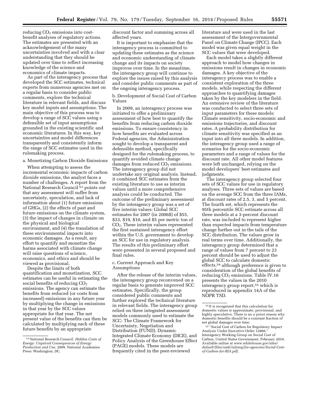$reducing CO<sub>2</sub> emissions into cost$ benefit analyses of regulatory actions. The estimates are presented with an acknowledgement of the many uncertainties involved and with a clear understanding that they should be updated over time to reflect increasing knowledge of the science and economics of climate impacts.

As part of the interagency process that developed the SCC estimates, technical experts from numerous agencies met on a regular basis to consider public comments, explore the technical literature in relevant fields, and discuss key model inputs and assumptions. The main objective of this process was to develop a range of SCC values using a defensible set of input assumptions grounded in the existing scientific and economic literatures. In this way, key uncertainties and model differences transparently and consistently inform the range of SCC estimates used in the rulemaking process.

a. Monetizing Carbon Dioxide Emissions

When attempting to assess the incremental economic impacts of carbon dioxide emissions, the analyst faces a number of challenges. A report from the National Research Council<sup>53</sup> points out that any assessment will suffer from uncertainty, speculation, and lack of information about (1) future emissions of GHGs, (2) the effects of past and future emissions on the climate system, (3) the impact of changes in climate on the physical and biological environment, and (4) the translation of these environmental impacts into economic damages. As a result, any effort to quantify and monetize the harms associated with climate change will raise questions of science, economics, and ethics and should be viewed as provisional.

Despite the limits of both quantification and monetization, SCC estimates can be useful in estimating the social benefits of reducing  $CO<sub>2</sub>$ emissions. The agency can estimate the benefits from reduced (or costs from increased) emissions in any future year by multiplying the change in emissions in that year by the SCC values appropriate for that year. The net present value of the benefits can then be calculated by multiplying each of these future benefits by an appropriate

discount factor and summing across all affected years.

It is important to emphasize that the interagency process is committed to updating these estimates as the science and economic understanding of climate change and its impacts on society improves over time. In the meantime, the interagency group will continue to explore the issues raised by this analysis and consider public comments as part of the ongoing interagency process.

b. Development of Social Cost of Carbon Values

In 2009, an interagency process was initiated to offer a preliminary assessment of how best to quantify the benefits from reducing carbon dioxide emissions. To ensure consistency in how benefits are evaluated across Federal agencies, the Administration sought to develop a transparent and defensible method, specifically designed for the rulemaking process, to quantify avoided climate change damages from reduced  $CO<sub>2</sub>$  emissions. The interagency group did not undertake any original analysis. Instead, it combined SCC estimates from the existing literature to use as interim values until a more comprehensive analysis could be conducted. The outcome of the preliminary assessment by the interagency group was a set of five interim values: Global SCC estimates for 2007 (in 2006\$) of \$55, \$33, \$19, \$10, and \$5 per metric ton of CO2. These interim values represented the first sustained interagency effort within the U.S. government to develop an SCC for use in regulatory analysis. The results of this preliminary effort were presented in several proposed and final rules.

c. Current Approach and Key Assumptions

After the release of the interim values, the interagency group reconvened on a regular basis to generate improved SCC estimates. Specifically, the group considered public comments and further explored the technical literature in relevant fields. The interagency group relied on three integrated assessment models commonly used to estimate the SCC: The Climate Framework for Uncertainty, Negotiation and Distribution (FUND), Dynamic Integrated Climate Economy (DICE), and Policy Analysis of the Greenhouse Effect (PAGE) models. These models are frequently cited in the peer-reviewed

literature and were used in the last assessment of the Intergovernmental Panel on Climate Change (IPCC). Each model was given equal weight in the SCC values that were developed.

Each model takes a slightly different approach to model how changes in emissions result in changes in economic damages. A key objective of the interagency process was to enable a consistent exploration of the three models, while respecting the different approaches to quantifying damages taken by the key modelers in the field. An extensive review of the literature was conducted to select three sets of input parameters for these models: Climate sensitivity, socio-economic and emissions trajectories, and discount rates. A probability distribution for climate sensitivity was specified as an input into all three models. In addition, the interagency group used a range of scenarios for the socio-economic parameters and a range of values for the discount rate. All other model features were left unchanged, relying on the model developers' best estimates and judgments.

The interagency group selected four sets of SCC values for use in regulatory analyses. Three sets of values are based on the average SCC from the three IAMs, at discount rates of 2.5, 3, and 5 percent. The fourth set, which represents the 95th percentile SCC estimate across all three models at a 3-percent discount rate, was included to represent higher than expected impacts from temperature change further out in the tails of the SCC distribution. The values grow in real terms over time. Additionally, the interagency group determined that a range of values from 7 percent to 23 percent should be used to adjust the global SCC to calculate domestic effects,54 although preference is given to consideration of the global benefits of reducing CO<sub>2</sub> emissions. Table IV.16 presents the values in the 2010 interagency group report,55 which is reproduced in appendix 14A of the NOPR TSD.

<sup>53</sup>National Research Council. *Hidden Costs of Energy: Unpriced Consequences of Energy Production and Use.* 2009. National Academies Press: Washington, DC.

<sup>54</sup> It is recognized that this calculation for domestic values is approximate, provisional, and highly speculative. There is no *a priori* reason why domestic benefits should be a constant fraction of net global damages over time.

<sup>55</sup> ''Social Cost of Carbon for Regulatory Impact Analysis Under Executive Order 12866,'' Interagency Working Group on Social Cost of Carbon, United States Government, February 2010. Available online at *[www.whitehouse.gov/sites/](http://www.whitehouse.gov/sites/default/files/omb/inforeg/for-agencies/Social-Cost-of-Carbon-for-RIA.pdf) [default/files/omb/inforeg/for-agencies/Social-Cost](http://www.whitehouse.gov/sites/default/files/omb/inforeg/for-agencies/Social-Cost-of-Carbon-for-RIA.pdf)[of-Carbon-for-RIA.pdf.](http://www.whitehouse.gov/sites/default/files/omb/inforeg/for-agencies/Social-Cost-of-Carbon-for-RIA.pdf)*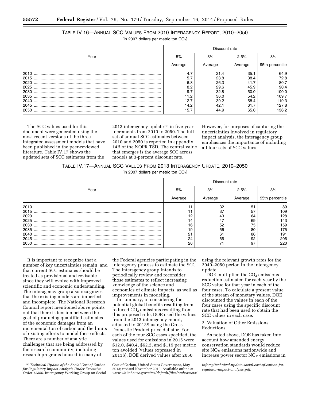## TABLE IV.16—ANNUAL SCC VALUES FROM 2010 INTERAGENCY REPORT, 2010–2050 [In 2007 dollars per metric ton  $CO<sub>2</sub>$ ]

|      | Discount rate |         |         |                 |  |  |
|------|---------------|---------|---------|-----------------|--|--|
| Year | 5%            | 3%      | 2.5%    | 3%              |  |  |
|      | Average       | Average | Average | 95th percentile |  |  |
| 2010 | 4.7           | 21.4    | 35.1    | 64.9            |  |  |
| 2015 | 5.7           | 23.8    | 38.4    | 72.8            |  |  |
| 2020 | 6.8           | 26.3    | 41.7    | 80.7            |  |  |
| 2025 | 8.2           | 29.6    | 45.9    | 90.4            |  |  |
| 2030 | 9.7           | 32.8    | 50.0    | 100.0           |  |  |
| 2035 |               | 36.0    | 54.2    | 109.7           |  |  |
| 2040 | 12.7          | 39.2    | 58.4    | 119.3           |  |  |
| 2045 | 14.2          | 42.1    | 61.7    | 127.8           |  |  |
| 2050 | 15.7          | 44.9    | 65.0    | 136.2           |  |  |

The SCC values used for this document were generated using the most recent versions of the three integrated assessment models that have been published in the peer-reviewed literature. Table IV.17 shows the updated sets of SCC estimates from the

2013 interagency update 56 in five-year increments from 2010 to 2050. The full set of annual SCC estimates between 2010 and 2050 is reported in appendix 14B of the NOPR TSD. The central value that emerges is the average SCC across models at 3-percent discount rate.

However, for purposes of capturing the uncertainties involved in regulatory impact analysis, the interagency group emphasizes the importance of including all four sets of SCC values.

|  | TABLE IV.17-ANNUAL SCC VALUES FROM 2013 INTERAGENCY UPDATE, 2010-2050 |  |
|--|-----------------------------------------------------------------------|--|
|--|-----------------------------------------------------------------------|--|

[In 2007 dollars per metric ton  $CO<sub>2</sub>$ ]

|      | Discount rate |         |         |                 |  |  |
|------|---------------|---------|---------|-----------------|--|--|
| Year | 5%            | 3%      | 2.5%    | 3%              |  |  |
|      | Average       | Average | Average | 95th percentile |  |  |
| 2010 |               | 32      | 51      | 89              |  |  |
| 2015 |               | 37      | 57      | 109             |  |  |
| 2020 | 12            | 43      | 64      | 128             |  |  |
| 2025 | ،4            | 47      | 69      | 143             |  |  |
| 2030 | 16            | 52      | 75      | 159             |  |  |
| 2035 | 19            | 56      | 80      | 175             |  |  |
| 2040 | 21            | 61      | 86      | 191             |  |  |
| 2045 | 24            | 66      | 92      | 206             |  |  |
| 2050 | 26            | 71      | 97      | 220             |  |  |

It is important to recognize that a number of key uncertainties remain, and that current SCC estimates should be treated as provisional and revisable since they will evolve with improved scientific and economic understanding. The interagency group also recognizes that the existing models are imperfect and incomplete. The National Research Council report mentioned above points out that there is tension between the goal of producing quantified estimates of the economic damages from an incremental ton of carbon and the limits of existing efforts to model these effects. There are a number of analytic challenges that are being addressed by the research community, including research programs housed in many of

the Federal agencies participating in the interagency process to estimate the SCC. The interagency group intends to periodically review and reconsider those estimates to reflect increasing knowledge of the science and economics of climate impacts, as well as improvements in modeling.

In summary, in considering the potential global benefits resulting from reduced  $CO<sub>2</sub>$  emissions resulting from this proposed rule, DOE used the values from the 2013 interagency report, adjusted to 2013\$ using the Gross Domestic Product price deflator. For each of the four SCC cases specified, the values used for emissions in 2015 were \$12.0, \$40.4, \$62.2, and \$119 per metric ton avoided (values expressed in 2013\$). DOE derived values after 2050

using the relevant growth rates for the 2040–2050 period in the interagency update.

DOE multiplied the  $CO<sub>2</sub>$  emissions reduction estimated for each year by the SCC value for that year in each of the four cases. To calculate a present value of the stream of monetary values, DOE discounted the values in each of the four cases using the specific discount rate that had been used to obtain the SCC values in each case.

## 2. Valuation of Other Emissions Reductions

As noted above, DOE has taken into account how amended energy conservation standards would reduce site  $NO<sub>x</sub>$  emissions nationwide and increase power sector  $NO<sub>x</sub>$  emissions in

<sup>56</sup>*Technical Update of the Social Cost of Carbon for Regulatory Impact Analysis Under Executive Order 12866.* Interagency Working Group on Social

Cost of Carbon, United States Government, May 2013; revised November 2013. Available online at *[www.whitehouse.gov/sites/default/files/omb/assets/](http://www.whitehouse.gov/sites/default/files/omb/assets/inforeg/technical-update-social-cost-of-carbon-for-regulator-impact-analysis.pdf)*

*[inforeg/technical-update-social-cost-of-carbon-for](http://www.whitehouse.gov/sites/default/files/omb/assets/inforeg/technical-update-social-cost-of-carbon-for-regulator-impact-analysis.pdf)[regulator-impact-analysis.pdf.](http://www.whitehouse.gov/sites/default/files/omb/assets/inforeg/technical-update-social-cost-of-carbon-for-regulator-impact-analysis.pdf)*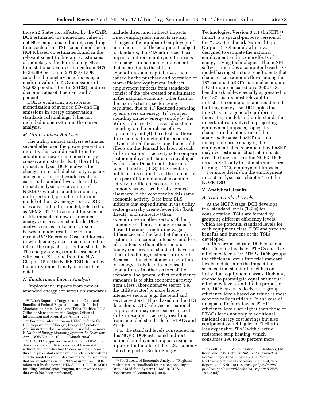those 22 States not affected by the CAIR. DOE estimated the monetized value of net  $NO<sub>x</sub>$  emissions reductions resulting from each of the TSLs considered for the NOPR based on estimates found in the relevant scientific literature. Estimates of monetary value for reducing  $NO<sub>X</sub>$ from stationary sources range from \$476 to \$4,889 per ton in 2013\$.57 DOE calculated monetary benefits using a medium value for  $NO<sub>X</sub>$  emissions of \$2,683 per short ton (in 2013\$), and real discount rates of 3 percent and 7 percent.

DOE is evaluating appropriate monetization of avoided  $SO<sub>2</sub>$  and Hg emissions in energy conservation standards rulemakings. It has not included monetization in the current analysis.

#### *M. Utility Impact Analysis*

The utility impact analysis estimates several effects on the power generation industry that would result from the adoption of new or amended energy conservation standards. In the utility impact analysis, DOE analyzes the changes in installed electricity capacity and generation that would result for each trial standard level. The utility impact analysis uses a variant of NEMS,58 which is a public domain, multi-sectored, partial equilibrium model of the U.S. energy sector. DOE uses a variant of this model, referred to as NEMS–BT,59 to account for selected utility impacts of new or amended energy conservation standards. DOE's analysis consists of a comparison between model results for the most recent *AEO* Reference Case and for cases in which energy use is decremented to reflect the impact of potential standards. The energy savings inputs associated with each TSL come from the NIA. Chapter 15 of the NOPR TSD describes the utility impact analysis in further detail.

#### *N. Employment Impact Analysis*

Employment impacts from new or amended energy conservation standards

<sup>58</sup> For more information on NEMS, refer to the U.S. Department of Energy, Energy Information Administration documentation. A useful summary is *National Energy Modeling System: An Overview* 

 $^{59}\rm{DOE/EIA}$  approves use of the name NEMS to describe only an official version of the model without any modification to code or data. Because this analysis entails some minor code modifications and the model is run under various policy scenarios that are variations on DOE/EIA assumptions, DOE refers to it by the name ''NEMS–BT'' (''BT'' is DOE's Building Technologies Program, under whose aegis this work has been performed).

include direct and indirect impacts. Direct employment impacts are any changes in the number of employees of manufacturers of the equipment subject to standards; the MIA addresses those impacts. Indirect employment impacts are changes in national employment that occur due to the shift in expenditures and capital investment caused by the purchase and operation of more-efficient equipment. Indirect employment impacts from standards consist of the jobs created or eliminated in the national economy, other than in the manufacturing sector being regulated, due to: (1) Reduced spending by end users on energy; (2) reduced spending on new energy supply by the utility industry; (3) increased customer spending on the purchase of new equipment; and (4) the effects of those three factors throughout the economy.

One method for assessing the possible effects on the demand for labor of such shifts in economic activity is to compare sector employment statistics developed by the Labor Department's Bureau of Labor Statistics (BLS). BLS regularly publishes its estimates of the number of jobs per million dollars of economic activity in different sectors of the economy, as well as the jobs created elsewhere in the economy by this same economic activity. Data from BLS indicate that expenditures in the utility sector generally create fewer jobs (both directly and indirectly) than expenditures in other sectors of the economy.60 There are many reasons for these differences, including wage differences and the fact that the utility sector is more capital-intensive and less labor-intensive than other sectors. Energy conservation standards have the effect of reducing customer utility bills. Because reduced customer expenditures for energy likely lead to increased expenditures in other sectors of the economy, the general effect of efficiency standards is to shift economic activity from a less labor-intensive sector (*i.e.,*  the utility sector) to more laborintensive sectors (*e.g.,* the retail and service sectors). Thus, based on the BLS data alone, DOE believes net national employment may increase because of shifts in economic activity resulting from amended standards for PTACs and PTHPs.

For the standard levels considered in this NOPR, DOE estimated indirect national employment impacts using an input/output model of the U.S. economy called Impact of Sector Energy

Technologies, Version 3.1.1 (ImSET).61 ImSET is a special-purpose version of the ''U.S. Benchmark National Input-Output'' (I–O) model, which was designed to estimate the national employment and income effects of energy-saving technologies. The ImSET software includes a computer-based I–O model having structural coefficients that characterize economic flows among the 187 sectors. ImSET's national economic I–O structure is based on a 2002 U.S. benchmark table, specially aggregated to the 187 sectors most relevant to industrial, commercial, and residential building energy use. DOE notes that ImSET is not a general equilibrium forecasting model, and understands the uncertainties involved in projecting employment impacts, especially changes in the later years of the analysis. Because ImSET does not incorporate price changes, the employment effects predicted by ImSET may over-estimate actual job impacts over the long run. For the NOPR, DOE used ImSET only to estimate short-term (through 2023) employment impacts.

For more details on the employment impact analysis, see chapter 16 of the NOPR TSD.

## **V. Analytical Results**

#### *A. Trial Standard Levels*

At the NOPR stage, DOE develops trial standard levels (TSLs) for consideration. TSLs are formed by grouping different efficiency levels, which are potential standard levels for each equipment class. DOE analyzed the benefits and burdens of the TSLs developed.

In this proposed rule, DOE considers six efficiency levels for PTACs and five efficiency levels for PTHPs. DOE groups the efficiency levels into trial standard levels to determine the impact the selected trial standard level has on individual equipment classes. DOE may choose to promulgate equal or unequal efficiency levels, and, in the proposed rule, DOE bases its decision to group efficiency levels based on which is most economically justifiable. In the case of unequal efficiency levels, PTHP efficiency levels set higher than those of PTACs leads not only to additional national energy cost savings but also equipment switching from PTHPs to a less expensive PTAC with electric resistance strip heating, which consumes 190 to 280 percent more

<sup>57</sup> ''2006 Report to Congress on the Costs and Benefits of Federal Regulations and Unfunded Mandates on State, Local, and Tribal Entities,'' U.S. Office of Management and Budget, Office of<br>Information and Regulatory Affairs. 2006.

<sup>60</sup>See Bureau of Economic Analysis, ''Regional Multipliers: A Handbook for the Regional Input-Output Modeling System (RIMS II),'' U.S. Department of Commerce (1992).

<sup>61</sup>Scott, M.J., O.V. Livingston, P.J. Balducci, J.M. Roop, and R.W. Schultz. *ImSET 3.1: Impact of Sector Energy Technologies.* 2009. Pacific Northwest National Laboratory, Richland, WA. Report No. PNNL–18412. *[www.pnl.gov/main/](http://www.pnl.gov/main/publications/external/technical_reports/PNNL-18412.pdf)  [publications/external/technical](http://www.pnl.gov/main/publications/external/technical_reports/PNNL-18412.pdf)*\_*reports/PNNL-[18412.pdf](http://www.pnl.gov/main/publications/external/technical_reports/PNNL-18412.pdf)*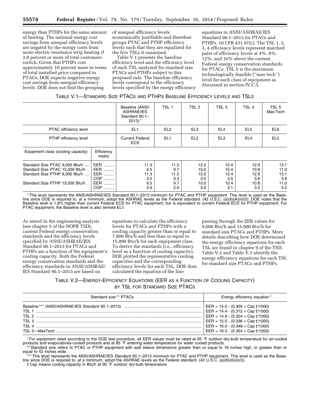energy than PTHPs for the same amount of heating. The national energy cost savings from unequal efficiency levels are negated by the energy costs from more electric resistance strip heating if 2.8 percent or more of total customers switch. Given that PTHPs cost approximately 10 percent more in terms of total installed price compared to PTACs, DOE expects negative energy cost savings from unequal efficiency levels. DOE does not find the grouping

of unequal efficiency levels economically justifiable and therefore groups PTAC and PTHP efficiency levels such that they are equalized for the five TSLs it examined.

Table V.1 presents the baseline efficiency level and the efficiency level of each TSL analyzed for standard size PTACs and PTHPs subject to this proposed rule. The baseline efficiency levels correspond to the efficiency levels specified by the energy efficiency

equations in ANSI/ASHRAE/IES Standard 90.1–2013 for PTACs and PTHPs. 10 CFR 431.97(c). The TSL 1, 2, 3, 4 efficiency levels represent matched pairs of efficiency levels at 4%, 8%, 12%, and 16% above the current Federal energy conservation standards for PTACs. TSL 5 is the maximum technologically feasible (''max tech'') level for each class of equipment as discussed in section IV.C.5.

| TABLE V.1-STANDARD SIZE PTACS AND PTHPS BASELINE EFFICIENCY LEVELS AND TSLS |  |
|-----------------------------------------------------------------------------|--|
|-----------------------------------------------------------------------------|--|

|                                                                                                                                        |                                                          | Baseline (ANSI/<br>ASHRAE/IES<br>Standard 90.1-<br>$2013$ <sup>*</sup> | TSL <sub>1</sub>                         | TSL <sub>2</sub>                           | TSL <sub>3</sub>                           | TSL <sub>4</sub>                           | TSL <sub>5</sub><br>Max-Tech               |
|----------------------------------------------------------------------------------------------------------------------------------------|----------------------------------------------------------|------------------------------------------------------------------------|------------------------------------------|--------------------------------------------|--------------------------------------------|--------------------------------------------|--------------------------------------------|
| PTAC efficiency level                                                                                                                  |                                                          | EL <sub>1</sub>                                                        | EL <sub>2</sub>                          | EL <sub>3</sub>                            | EL <sub>4</sub>                            | EL <sub>5</sub>                            | EL6                                        |
| PTHP efficiency level                                                                                                                  |                                                          | <b>Current Federal</b><br><b>ECS</b>                                   | EL <sub>1</sub>                          | EL <sub>2</sub>                            | EL <sub>3</sub>                            | EL <sub>4</sub>                            | EL <sub>5</sub>                            |
| Equipment class (cooling capacity)                                                                                                     | Efficiency<br>metric                                     |                                                                        |                                          |                                            |                                            |                                            |                                            |
| Standard Size PTAC 9,000 Btu/h<br>Standard Size PTAC 15,000 Btu/h<br>Standard Size PTHP 9,000 Btu/h<br>Standard Size PTHP 15,000 Btu/h | EER<br>EER<br>EER<br>COP<br><b>EER</b><br><b>COP</b><br> | 11.3<br>9.5<br>11.3<br>3.2<br>9.5<br>2.9                               | 11.5<br>9.7<br>11.5<br>3.3<br>9.7<br>2.9 | 12.0<br>10.0<br>12.0<br>3.4<br>10.0<br>3.0 | 12.4<br>10.4<br>12.4<br>3.5<br>10.4<br>3.1 | 12.9<br>10.8<br>12.9<br>3.6<br>10.8<br>3.2 | 13.1<br>11.0<br>13.1<br>3.6<br>11.0<br>3.2 |

\* This level represents the ANSI/ASHRAE/IES Standard 90.1–2013 minimum for PTAC and PTHP equipment. This level is used as the Baseline since DOE is required to, at a minimum, adopt the ASHRAE levels as the Federal standard. (42 U.S.C. (a)(6)(A)(ii)(I)). DOE notes that the Baseline level is 1.8% higher than current Federal ECS for PTAC equipment, but is equivalent to current Federal ECS for PTHP equipment. For PTAC equipment, the Baseline level is also termed EL1.

As stated in the engineering analysis (see chapter 5 of the NOPR TSD), current Federal energy conservation standards and the efficiency levels specified by ANSI/ASHRAE/IES Standard 90.1–2013 for PTACs and PTHPs are a function of the equipment's cooling capacity. Both the Federal energy conservation standards and the efficiency standards in ANSI/ASHRAE/ IES Standard 90.1–2013 are based on

equations to calculate the efficiency levels for PTACs and PTHPs with a cooling capacity greater than or equal to 7,000 Btu/h and less than or equal to 15,000 Btu/h for each equipment class. To derive the standards (i.e., efficiency level as a function of cooling capacity), DOE plotted the representative cooling capacities and the corresponding efficiency levels for each TSL. DOE then calculated the equation of the line

passing through the EER values for 9,000 Btu/h and 15,000 Btu/h for standard size PTACs and PTHPs. More details describing how DOE determined the energy efficiency equations for each TSL are found in chapter 9 of the TSD. Table V.2 and Table V.3 identify the energy efficiency equations for each TSL for standard size PTACs and PTHPs.

## TABLE V.2—ENERGY-EFFICIENCY EQUATIONS (EER AS A FUNCTION OF COOLING CAPACITY) BY TSL FOR STANDARD SIZE PTACS

| Standard size** PTACs | Energy efficiency equation*                                                                                                                                                                                                                                                                                |
|-----------------------|------------------------------------------------------------------------------------------------------------------------------------------------------------------------------------------------------------------------------------------------------------------------------------------------------------|
| TSI 1<br>TSI.3        | $EER = 14.0 - (0.300 \times Cap \dagger/1000)$<br>$EER = 14.4 - (0.312 \times Cap \dagger/1000)$<br>EER = $14.9 - (0.324 \times Cap \frac{1}{1000})$<br>EER = $15.5 - (0.336 \times Cap \dagger/1000)$<br>$EER = 16.0 - (0.348 \times Cap \dagger/1000)$<br>EER = $16.3 - (0.354 \times Cap \dagger/1000)$ |

\* For equipment rated according to the DOE test procedure, all EER values must be rated at 95 °F outdoor dry-bulb temperature for air-cooled products and evaporatively-cooled products and at 85 °F entering water temperature for water cooled products.

\*Standard size refers to PTAC or PTHP equipment with wall sleeve dimensions greater than or equal to 16 inches high, or greater than or equal to 42 inches wide.

This level represents the ANSI/ASHRAE/IES Standard 90.1–2013 minimum for PTAC and PTHP equipment. This level is used as the Baseline since DOE is required to, at a minimum, adopt the ASHRAE levels as the Federal standard. (42 U.S.C. (a)(6)(A)(ii)(I)).

† Cap means cooling capacity in Btu/h at 95 °F outdoor dry-bulb temperature.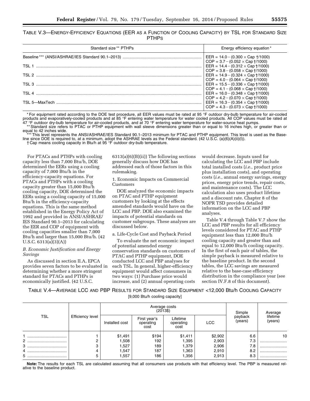TABLE V.3—ENERGY-EFFICIENCY EQUATIONS (EER AS A FUNCTION OF COOLING CAPACITY) BY TSL FOR STANDARD SIZE **PTHPS** 

| Standard size ** PTHPs | Energy efficiency equation*                                                                                                                                                                                                                                                                                                                                                                                                                                                                     |
|------------------------|-------------------------------------------------------------------------------------------------------------------------------------------------------------------------------------------------------------------------------------------------------------------------------------------------------------------------------------------------------------------------------------------------------------------------------------------------------------------------------------------------|
|                        | $EER = 14.0 - (0.300 \times Cap + (1000))$<br>$COP = 3.7 - (0.052 \times Cap \frac{1}{1000})$<br>EER = $14.4 - (0.312 \times Cap + (1000))$<br>$COP = 3.8 - (0.058 \times Cap + (1000))$<br>EER = $14.9 - (0.324 \times Cap \frac{1}{1000})$<br>$COP = 4.0 - (0.064 \times Cap + (1000))$<br>$EER = 15.5 - (0.336 \times Cap \frac{1}{1000})$<br>$COP = 4.1 - (0.068 \times Cap \dagger/1000)$<br>$EER = 16.0 - (0.348 \times Cap \frac{1}{1000})$<br>$COP = 4.2 - (0.070 \times Cap + (1000))$ |
|                        | EER = $16.3 - (0.354 \times Cap \dagger/1000)$<br>$COP = 4.3 - (0.073 \times Cap + (1000))$                                                                                                                                                                                                                                                                                                                                                                                                     |

\* For equipment rated according to the DOE test procedure, all EER values must be rated at 95 °F outdoor dry-bulb temperature for air-cooled products and evaporatively-cooled products and at 85 °F entering water temperature for water cooled products. All COP values must be rated at 47 °F outdoor dry-bulb temperature for air-cooled products, and at 70 °F entering water temperature for water-source heat pumps.<br>\*\*Standard size refers to PTAC or PTHP equipment with wall sleeve dimensions greater than or

equal to 42 inches wide.

\*\*\* This level represents the ANSI/ASHRAE/IES Standard 90.1–2013 minimum for PTAC and PTHP equipment. This level is used as the Baseline since DOE is required to, at a minimum, adopt the ASHRAE levels as the Federal standard. (42 U.S.C. (a)(6)(A)(ii)(I)).

† Cap means cooling capacity in Btu/h at 95 °F outdoor dry-bulb temperature.

For PTACs and PTHPs with cooling capacity less than 7,000 Btu/h, DOE determined the EERs using a cooling capacity of 7,000 Btu/h in the efficiency-capacity equations. For PTACs and PTHPs with a cooling capacity greater than 15,000 Btu/h cooling capacity, DOE determined the EERs using a cooling capacity of 15,000 Btu/h in the efficiency-capacity equations. This is the same method established in the Energy Policy Act of 1992 and provided in ANSI/ASHRAE/ IES Standard 90.1–2013 for calculating the EER and COP of equipment with cooling capacities smaller than 7,000 Btu/h and larger than 15,000 Btu/h. (42 U.S.C. 6313(a)(3)(A))

#### *B. Economic Justification and Energy Savings*

As discussed in section II.A, EPCA provides seven factors to be evaluated in determining whether a more stringent standard for PTACs and PTHPs is economically justified. (42 U.S.C.

6313(a)(6)(B)(ii)) The following sections generally discuss how DOE has addressed each of those factors in this rulemaking.

1. Economic Impacts on Commercial Customers

DOE analyzed the economic impacts on PTAC and PTHP equipment customers by looking at the effects amended standards would have on the LCC and PBP. DOE also examined the impacts of potential standards on customer subgroups. These analyses are discussed below.

a. Life-Cycle Cost and Payback Period

To evaluate the net economic impact of potential amended energy conservation standards on customers of PTAC and PTHP equipment, DOE conducted LCC and PBP analyses for each TSL. In general, higher-efficiency equipment would affect consumers in two ways: (1) Purchase price would increase, and (2) annual operating costs

would decrease. Inputs used for calculating the LCC and PBP include total installed costs (*i.e.,* product price plus installation costs), and operating costs (*i.e.,* annual energy savings, energy prices, energy price trends, repair costs, and maintenance costs). The LCC calculation also uses product lifetime and a discount rate. Chapter 8 of the NOPR TSD provides detailed information on the LCC and PBP analyses.

Table V.4 through Table V.7 show the LCC and PBP results for all efficiency levels considered for PTAC and PTHP equipment less than 12,000 Btu/h cooling capacity and greater than and equal to 12,000 Btu/h cooling capacity. In the first of each pair of tables, the simple payback is measured relative to the baseline product. In the second tables, the LCC savings are measured relative to the base-case efficiency distribution in the compliance year (see section IV.F.8 of this document).

TABLE V.4—AVERAGE LCC AND PBP RESULTS FOR STANDARD SIZE EQUIPMENT <12,000 Btu/h COOLING CAPACITY [9,000 Btu/h cooling capacity]

|                          |                  | Average costs<br>$(2013\$ |                                   |                               |            | Simple             | Average             |
|--------------------------|------------------|---------------------------|-----------------------------------|-------------------------------|------------|--------------------|---------------------|
| TSL                      | Efficiency level | Installed cost            | First year's<br>operating<br>cost | Lifetime<br>operating<br>cost | <b>LCC</b> | payback<br>(years) | lifetime<br>(years) |
|                          |                  | \$1,491                   | \$194                             | \$1,411                       | \$2,902    | 6.6                | 10                  |
| $\mathbf{2}^{\circ}$<br> |                  | 1,508                     | 192                               | 1,395                         | 2,903      | 7.3                |                     |
|                          |                  | 1,527                     | 189                               | 1,379                         | 2,906      | 7.8                |                     |
|                          |                  | 1,547                     | 187                               | 1,363                         | 2,910      | 8.2                |                     |
|                          |                  | ,557                      | 186                               | 1,356                         | 2,913      | 8.3                |                     |

**Note:** The results for each TSL are calculated assuming that all consumers use products with that efficiency level. The PBP is measured relative to the baseline product.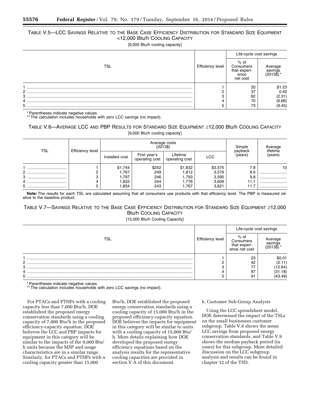## TABLE V.5—LCC SAVINGS RELATIVE TO THE BASE CASE EFFICIENCY DISTRIBUTION FOR STANDARD SIZE EQUIPMENT <12,000 Btu/h COOLING CAPACITY

[9,000 Btu/h cooling capacity]

|                |                  | Life-cycle cost savings                               |                                |  |
|----------------|------------------|-------------------------------------------------------|--------------------------------|--|
| TSL            | Efficiency level | % of<br>Consumers<br>that experi-<br>ence<br>net cost | Average<br>savings<br>(2013\$) |  |
|                |                  | 20                                                    | \$1.23                         |  |
| $\overline{2}$ |                  | 37                                                    | 0.40                           |  |
| З              | C                | 62                                                    | (2.31)                         |  |
|                |                  | 70                                                    | (6.66)                         |  |
|                |                  | 73                                                    | (9.45)                         |  |

\* Parentheses indicate negative values.

\*\* The calculation includes households with zero LCC savings (no impact).

## TABLE V.6—AVERAGE LCC AND PBP RESULTS FOR STANDARD SIZE EQUIPMENT ≥12,000 Btu/h COOLING CAPACITY [9,000 Btu/h cooling capacity]

| TSL                      | <b>Efficiency level</b> |                | Average costs<br>$(2013\$      | Simple                     | Average<br>lifetime |                    |         |
|--------------------------|-------------------------|----------------|--------------------------------|----------------------------|---------------------|--------------------|---------|
|                          |                         | Installed cost | First year's<br>operating cost | Lifetime<br>operating cost | <b>LCC</b>          | payback<br>(years) | (years) |
|                          |                         | \$1,744        | \$252                          | \$1,832                    | \$3,575             | 7.8                | 10      |
| $\mathbf{2}^{\circ}$<br> |                         | 1,767          | 249                            | 1,812                      | 3,579               | 8.6                |         |
| 3<br>                    |                         | 1,797          | 246                            | 1,793                      | 3,590               | 9.8                |         |
|                          |                         | 1,833          | 244                            | 1,776                      | 3,609               | 11.1               |         |
| 5                        |                         | 1,854          | 243                            | 1,767                      | 3,621               | 11.7               |         |

**Note:** The results for each TSL are calculated assuming that all consumers use products with that efficiency level. The PBP is measured relative to the baseline product.

## TABLE V.7—SAVINGS RELATIVE TO THE BASE CASE EFFICIENCY DISTRIBUTION FOR STANDARD SIZE EQUIPMENT ≥12,000 Btu/h COOLING CAPACITY

[15,000 Btu/h Cooling Capacity]

|     |                  | Life-cycle cost savings                            |                                |  |
|-----|------------------|----------------------------------------------------|--------------------------------|--|
| TSL | Efficiency level | % of<br>Consumers<br>that experi-<br>ence net cost | Average<br>savings<br>(2013\$) |  |
|     |                  | 23                                                 | \$0.01                         |  |
| 2   |                  | 42                                                 | (2.11)                         |  |
| 3   | ◠                |                                                    | 12.64)                         |  |
| 4   |                  | 87                                                 | (31.18)                        |  |
| 5   |                  | 91                                                 | 43.49)                         |  |

\* Parentheses indicate negative values.

\*\* The calculation includes households with zero LCC savings (no impact).

For PTACs and PTHPs with a cooling capacity less than 7,000 Btu/h, DOE established the proposed energy conservation standards using a cooling capacity of 7,000 Btu/h in the proposed efficiency-capacity equation. DOE believes the LCC and PBP impacts for equipment in this category will be similar to the impacts of the 9,000 Btu/ h units because the MSP and usage characteristics are in a similar range. Similarly, for PTACs and PTHPs with a cooling capacity greater than 15,000

Btu/h, DOE established the proposed energy conservation standards using a cooling capacity of 15,000 Btu/h in the proposed efficiency-capacity equation. DOE believes the impacts for equipment in this category will be similar to units with a cooling capacity of 15,000 Btu/ h. More details explaining how DOE developed the proposed energy efficiency equations based on the analysis results for the representative cooling capacities are provided in section V.A of this document.

#### b. Customer Sub-Group Analysis

Using the LCC spreadsheet model, DOE determined the impact of the TSLs on the small businesses customer subgroup. Table V.8 shows the mean LCC savings from proposed energy conservation standards, and Table V.9 shows the median payback period (in years) for this subgroup. More detailed discussion on the LCC subgroup analysis and results can be found in chapter 12 of the TSD.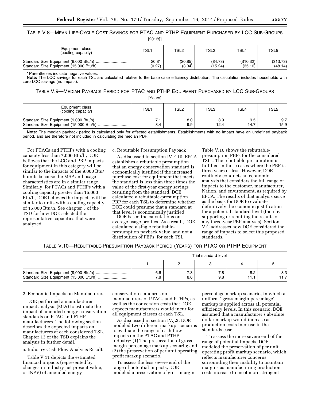TABLE V.8—MEAN LIFE-CYCLE COST SAVINGS FOR PTAC AND PTHP EQUIPMENT PURCHASED BY LCC SUB-GROUPS [2013\$]

| Equipment class<br>(cooling capacity) | TSL <sup>-</sup> | TSL2     | TSL3     | TSL4      | TSL <sub>5</sub> |
|---------------------------------------|------------------|----------|----------|-----------|------------------|
|                                       | \$0.81           | (\$0.85) | (\$4.73) | (\$10.32) | (\$13.73)        |
|                                       | (0.27)           | (3.34)   | (15.24)  | (35.16)   | (48.14)          |

\* Parentheses indicate negative values.

**Note:** The LCC savings for each TSL are calculated relative to the base case efficiency distribution. The calculation includes households with zero LCC savings (no impact).

TABLE V.9—MEDIAN PAYBACK PERIOD FOR PTAC AND PTHP EQUIPMENT PURCHASED BY LCC SUB-GROUPS

[Years]

| Equipment class<br>(cooling capacity) | TSL <sub>1</sub> | TSL <sub>2</sub> | TSL3 | TSL4 | TSL <sub>5</sub> |
|---------------------------------------|------------------|------------------|------|------|------------------|
|                                       | 8.4              | 8.0              | 8.9  | 9.5  | 9.7              |
|                                       |                  | 9.9              | 12.4 | 14.7 | 15.9             |

**Note:** The median payback period is calculated only for affected establishments. Establishments with no impact have an undefined payback period, and are therefore not included in calculating the median PBP.

For PTACs and PTHPs with a cooling capacity less than 7,000 Btu/h, DOE believes that the LCC and PBP impacts for equipment in this category will be similar to the impacts of the 9,000 Btu/ h units because the MSP and usage characteristics are in a similar range. Similarly, for PTACs and PTHPs with a cooling capacity greater than 15,000 Btu/h, DOE believes the impacts will be similar to units with a cooling capacity of 15,000 Btu/h. See chapter 5 of the TSD for how DOE selected the representative capacities that were analyzed.

c. Rebuttable Presumption Payback

As discussed in section IV.F.10, EPCA establishes a rebuttable presumption that an energy conservation standard is economically justified if the increased purchase cost for equipment that meets the standard is less than three times the value of the first-year energy savings resulting from the standard. DOE calculated a rebuttable-presumption PBP for each TSL to determine whether DOE could presume that a standard at that level is economically justified.

DOE based the calculations on average usage profiles. As a result, DOE calculated a single rebuttablepresumption payback value, and not a distribution of PBPs, for each TSL.

Table V.10 shows the rebuttablepresumption PBPs for the considered TSLs. The rebuttable presumption is fulfilled in those cases where the PBP is three years or less. However, DOE routinely conducts an economic analysis that considers the full range of impacts to the customer, manufacturer, Nation, and environment, as required by EPCA. The results of that analysis serve as the basis for DOE to evaluate definitively the economic justification for a potential standard level (thereby supporting or rebutting the results of any three-year PBP analysis). Section V.C addresses how DOE considered the range of impacts to select this proposed standards.

## TABLE V.10—REBUTTABLE-PRESUMPTION PAYBACK PERIOD (YEARS) FOR PTAC OR PTHP EQUIPMENT

| Trial standard level |             |            |             |             |  |  |  |
|----------------------|-------------|------------|-------------|-------------|--|--|--|
|                      |             |            |             |             |  |  |  |
| 6.6<br>7.8           | ن. ا<br>8.6 | 7.8<br>9.8 | 8.2<br>11.1 | 8.3<br>11.7 |  |  |  |

#### 2. Economic Impacts on Manufacturers

DOE performed a manufacturer impact analysis (MIA) to estimate the impact of amended energy conservation standards on PTAC and PTHP manufacturers. The following section describes the expected impacts on manufacturers at each considered TSL. Chapter 13 of the TSD explains the analysis in further detail.

a. Industry Cash Flow Analysis Results

Table V.11 depicts the estimated financial impacts (represented by changes in industry net present value, or INPV) of amended energy

conservation standards on manufacturers of PTACs and PTHPs, as well as the conversion costs that DOE expects manufacturers would incur for all equipment classes at each TSL.

As discussed in section IV.J.2, DOE modeled two different markup scenarios to evaluate the range of cash flow impacts on the PTAC and PTHP industry: (1) The preservation of gross margin percentage markup scenario; and (2) the preservation of per unit operating profit markup scenario.

To assess the less severe end of the range of potential impacts, DOE modeled a preservation of gross margin

percentage markup scenario, in which a uniform ''gross margin percentage'' markup is applied across all potential efficiency levels. In this scenario, DOE assumed that a manufacturer's absolute dollar markup would increase as production costs increase in the standards case.

To assess the more severe end of the range of potential impacts, DOE modeled the preservation of per unit operating profit markup scenario, which reflects manufacturer concerns surrounding their inability to maintain margins as manufacturing production costs increase to meet more stringent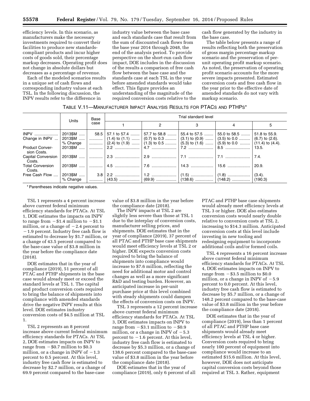efficiency levels. In this scenario, as manufacturers make the necessary investments required to convert their facilities to produce new standardscompliant products and incur higher costs of goods sold, their percentage markup decreases. Operating profit does not change in absolute dollars but decreases as a percentage of revenue.

Each of the modeled scenarios results in a unique set of cash flows and corresponding industry values at each TSL. In the following discussion, the INPV results refer to the difference in

industry value between the base case and each standards case that result from the sum of discounted cash flows from the base year 2014 through 2048, the end of the analysis period. To provide perspective on the short-run cash flow impact, DOE includes in the discussion of the results a comparison of free cash flow between the base case and the standards case at each TSL in the year before amended standards would take effect. This figure provides an understanding of the magnitude of the required conversion costs relative to the

cash flow generated by the industry in the base case.

The table below presents a range of results reflecting both the preservation of gross margin percentage markup scenario and the preservation of perunit operating profit markup scenario. As noted, the preservation of operating profit scenario accounts for the more severe impacts presented. Estimated conversion costs and free cash flow in the year prior to the effective date of amended standards do not vary with markup scenario.

|  | TABLE V.11—MANUFACTURER IMPACT ANALYSIS RESULTS FOR PTACS AND PTHPS* |
|--|----------------------------------------------------------------------|
|--|----------------------------------------------------------------------|

|                                       | Base                   |      | Trial standard level |                                                                                                                                                                                                                             |  |  |              |  |  |  |  |
|---------------------------------------|------------------------|------|----------------------|-----------------------------------------------------------------------------------------------------------------------------------------------------------------------------------------------------------------------------|--|--|--------------|--|--|--|--|
|                                       | Units                  | case |                      |                                                                                                                                                                                                                             |  |  | 5            |  |  |  |  |
| <b>INPV</b>                           | 2013\$M                |      |                      | .58.5   57.1 to 57.4    57.7 to 58.8    55.4 to 57.5    55.0 to 58.5    51.8 to 55.9                                                                                                                                        |  |  |              |  |  |  |  |
| Change in INPV                        | 2013\$M <sup>∣</sup>   |      |                      |                                                                                                                                                                                                                             |  |  |              |  |  |  |  |
|                                       | % Change               |      |                      | $\ldots$ (2.4) to (1.9) $\ldots$ (1.3) to 0.5 $\ldots$ (5.3) to (1.6) $\ldots$ (5.9) to 0.0 $\ldots$ (11.4) to (4.4).                                                                                                       |  |  |              |  |  |  |  |
| <b>Product Conver-</b><br>sion Costs. | 2013\$M                |      |                      | $\ldots \ldots \ldots \ldots \mid 2.2 \ldots \ldots \ldots \ldots \ldots \mid 4.7 \ldots \ldots \ldots \ldots \ldots \mid 7.2 \ldots \ldots \ldots \ldots \ldots \ldots \mid 8.5 \ldots \ldots \ldots \ldots \ldots \ldots$ |  |  | $\pm$ 13.5.  |  |  |  |  |
| Capital Conversion<br>Costs.          | 2013\$M                |      |                      |                                                                                                                                                                                                                             |  |  | $\vert 7.4.$ |  |  |  |  |
| <b>Total Conversion</b><br>Costs.     | 2013\$M                |      |                      |                                                                                                                                                                                                                             |  |  | $\pm 20.9.$  |  |  |  |  |
| Free Cash Flow                        | 2013\$M  I<br>% Change |      |                      |                                                                                                                                                                                                                             |  |  |              |  |  |  |  |

\* Parentheses indicate negative values.

TSL 1 represents a 4 percent increase above current federal minimum efficiency standards for PTACs. At TSL 1, DOE estimates the impacts on INPV to range from  $- $1.4$  million to  $- $1.1$ million, or a change of  $-2.4$  percent to  $-1.9$  percent. Industry free cash flow is estimated to decrease by \$1.7 million, or a change of 43.5 percent compared to the base-case value of \$3.8 million in the year before the compliance date (2018).

DOE estimates that in the year of compliance (2019), 51 percent of all PTAC and PTHP shipments in the base case would already meet or exceed the standard levels at TSL 1. The capital and product conversion costs required to bring the balance of shipments into compliance with amended standards drive the negative INPV results at this level. DOE estimates industry conversion costs of \$4.5 million at TSL 1.

TSL 2 represents an 8 percent increase above current federal minimum efficiency standards for PTACs. At TSL 2, DOE estimates impacts on INPV to range from  $-$  \$0.7 million to \$0.3 million, or a change in INPV of  $-1.3$ percent to 0.5 percent. At this level, industry free cash flow is estimated to decrease by \$2.7 million, or a change of 69.9 percent compared to the base-case

value of \$3.8 million in the year before the compliance date (2018).

The INPV impacts at TSL 2 are slightly less severe than those at TSL 1 due to the interplay of conversion costs, manufacturer selling prices, and shipments. DOE estimates that in the year of compliance (2019), 37 percent of all PTAC and PTHP base case shipments would meet efficiency levels at TSL 2 or higher. DOE expects conversion costs required to bring the balance of shipments into compliance would increase to \$7.6 million, reflecting the need for additional motor and control changes as well as a more significant R&D and testing burden. However, an anticipated increase in per-unit purchase price at this level combined with steady shipments could dampen the effects of conversion costs on INPV.

TSL 3 represents a 12 percent increase above current federal minimum efficiency standards for PTACs. At TSL 3, DOE estimates impacts on INPV to range from  $-$  \$3.1 million to  $-$  \$0.9 million, or a change in INPV of  $-5.3$ percent to  $-1.6$  percent. At this level, industry free cash flow is estimated to decrease by \$5.3 million, or a change of 138.6 percent compared to the base-case value of \$3.8 million in the year before the compliance date (2018).

DOE estimates that in the year of compliance (2019), only 6 percent of all

PTAC and PTHP base case shipments would already meet efficiency levels at TSL 3 or higher. DOE also estimates conversion costs would nearly double relative to conversion costs at TSL 2, increasing to \$14.3 million. Anticipated conversion costs at this level include investing in new tooling and redesigning equipment to incorporate additional coils and/or formed coils.

TSL 4 represents a 16 percent increase above current federal minimum efficiency standards for PTACs. At TSL 4, DOE estimates impacts on INPV to range from  $-$  \$3.5 million to \$0.0 million, or a change in INPV of  $-5.9$ percent to 0.0 percent. At this level, industry free cash flow is estimated to decrease by \$5.7 million, or a change of 148.2 percent compared to the base-case value of \$3.8 million in the year before the compliance date (2018).

DOE estimates that in the year of compliance (2019), less than 1 percent of all PTAC and PTHP base case shipments would already meet efficiency levels at TSL 4 or higher. Conversion costs required to bring nearly 100 percent of equipment into compliance would increase to an estimated \$15.6 million. At this level, however, DOE does not anticipate capital conversion costs beyond those required at TSL 3. Rather, equipment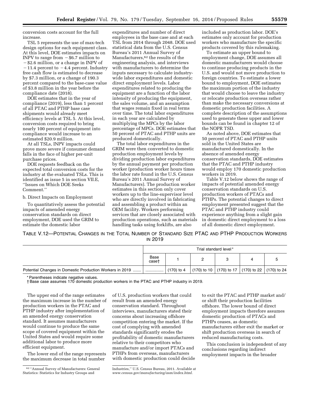conversion costs account for the full increase.

TSL 5 represents the use of max-tech design options for each equipment class. At this level, DOE estimates impacts on INPV to range from  $-$  \$6.7 million to  $-$ \$2.6 million, or a change in INPV of  $-11.4$  percent to  $-4.4$  percent. Industry free cash flow is estimated to decrease by \$7.3 million, or a change of 190.3 percent compared to the base-case value of \$3.8 million in the year before the compliance date (2018).

DOE estimates that in the year of compliance (2019), less than 1 percent of all PTAC and PTHP base case shipments would already meet efficiency levels at TSL 5. At this level, conversion costs required to bring nearly 100 percent of equipment into compliance would increase to an estimated \$20.9 million.

At all TSLs, INPV impacts could prove more severe if consumer demand falls in the face of higher per-unit purchase prices.

DOE requests feedback on the expected total conversion costs for the industry at the evaluated TSLs. This is identified as issue 5 in section VII.E, ''Issues on Which DOE Seeks Comment.''

b. Direct Impacts on Employment

To quantitatively assess the potential impacts of amended energy conservation standards on direct employment, DOE used the GRIM to estimate the domestic labor

expenditures and number of direct employees in the base case and at each TSL from 2014 through 2048. DOE used statistical data from the U.S. Census Bureau's 2011 Annual Survey of Manufacturers,62 the results of the engineering analysis, and interviews with manufacturers to determine the inputs necessary to calculate industrywide labor expenditures and domestic direct employment levels. Labor expenditures related to producing the equipment are a function of the labor intensity of producing the equipment, the sales volume, and an assumption that wages remain fixed in real terms over time. The total labor expenditures in each year are calculated by multiplying the MPCs by the labor percentage of MPCs. DOE estimates that 50 percent of PTAC and PTHP units are produced domestically.

The total labor expenditures in the GRIM were then converted to domestic production employment levels by dividing production labor expenditures by the annual payment per production worker (production worker hours times the labor rate found in the U.S. Census Bureau's 2011 Annual Survey of Manufacturers). The production worker estimates in this section only cover workers up to the line-supervisor level who are directly involved in fabricating and assembling a product within an OEM facility. Workers performing services that are closely associated with production operations, such as materials handling tasks using forklifts, are also

included as production labor. DOE's estimates only account for production workers who manufacture the specific products covered by this rulemaking.

To estimate an upper bound to employment change, DOE assumes all domestic manufacturers would choose to continue producing products in the U.S. and would not move production to foreign countries. To estimate a lower bound to employment, DOE estimates the maximum portion of the industry that would choose to leave the industry or relocate production overseas rather than make the necessary conversions at domestic production facilities. A complete description of the assumptions used to generate these upper and lower bounds can be found in chapter 12 of the NOPR TSD.

As noted above, DOE estimates that 50 percent of PTAC and PTHP units sold in the United States are manufactured domestically. In the absence of amended energy conservation standards, DOE estimates that the PTAC and PTHP industry would employ 170 domestic production workers in 2019.

Table V.12 below shows the range of impacts of potential amended energy conservation standards on U.S. production workers of PTACs and PTHPs. The potential changes to direct employment presented suggest that the PTAC and PTHP industry could experience anything from a slight gain in domestic direct employment to a loss of all domestic direct employment.

TABLE V.12—POTENTIAL CHANGES IN THE TOTAL NUMBER OF STANDARD SIZE PTAC AND PTHP PRODUCTION WORKERS IN 2019

|                                                          | Trial standard level* |  |                                                                                               |  |  |  |  |  |
|----------------------------------------------------------|-----------------------|--|-----------------------------------------------------------------------------------------------|--|--|--|--|--|
|                                                          | Base<br>case†         |  |                                                                                               |  |  |  |  |  |
| Potential Changes in Domestic Production Workers in 2019 |                       |  | $^{+}$ (170) to 4 $^{-}$ (170) to 10 $^{+}$ (170) to 17 $^{+}$ (170) to 22 $^{+}$ (170) to 24 |  |  |  |  |  |

\* Parentheses indicate negative values.

† Base case assumes 170 domestic production workers in the PTAC and PTHP industry in 2019.

The upper end of the range estimates the maximum increase in the number of production workers in the PTAC and PTHP industry after implementation of an amended energy conservation standard. It assumes manufacturers would continue to produce the same scope of covered equipment within the United States and would require some additional labor to produce more efficient equipment.

The lower end of the range represents the maximum decrease in total number

of U.S. production workers that could result from an amended energy conservation standard. Throughout interviews, manufacturers stated their concerns about increasing offshore competition entering the market. If the cost of complying with amended standards significantly erodes the profitability of domestic manufacturers relative to their competitors who manufacture and/or import PTACs and PTHPs from overseas, manufacturers with domestic production could decide

to exit the PTAC and PTHP market and/ or shift their production facilities offshore. The lower bound of direct employment impacts therefore assumes domestic production of PTACs and PTHPs ceases, as domestic manufacturers either exit the market or shift production overseas in search of reduced manufacturing costs.

This conclusion is independent of any conclusions regarding indirect employment impacts in the broader

<sup>62</sup> ''Annual Survey of Manufacturers: General Statistics: Statistics for Industry Groups and

Industries,'' U.S. Census Bureau, 2011. Available at *[www.census.gov/manufacturing/asm/index.html.](http://www.census.gov/manufacturing/asm/index.html)*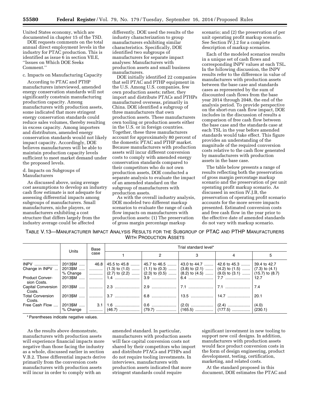United States economy, which are documented in chapter 15 of the TSD.

DOE requests comments on the total annual direct employment levels in the industry for PTAC production. This is identified as issue 6 in section VII.E, ''Issues on Which DOE Seeks Comment.''

## c. Impacts on Manufacturing Capacity

According to PTAC and PTHP manufacturers interviewed, amended energy conservation standards will not significantly constrain manufacturing production capacity. Among manufacturers with production assets, some indicated that more stringent energy conservation standards could reduce sales volumes, thereby resulting in excess capacity. Among importers and distributors, amended energy conservation standards would not likely impact capacity. Accordingly, DOE believes manufacturers will be able to maintain production capacity levels sufficient to meet market demand under the proposed levels.

d. Impacts on Subgroups of Manufacturers

As discussed above, using average cost assumptions to develop an industry cash flow estimate is not adequate for assessing differential impacts among subgroups of manufacturers. Small manufacturers, niche players, or manufacturers exhibiting a cost structure that differs largely from the industry average could be affected

differently. DOE used the results of the industry characterization to group manufacturers exhibiting similar characteristics. Specifically, DOE identified two subgroups of manufacturers for separate impact analyses: Manufacturers with production assets and small business manufacturers.

DOE initially identified 22 companies that sell PTAC and PTHP equipment in the U.S. Among U.S. companies, few own production assets; rather, they import and distribute PTACs and PTHPs manufactured overseas, primarily in China. DOE identified a subgroup of three manufacturers that own production assets. These manufacturers own tooling or production assets either in the U.S. or in foreign countries. Together, these three manufacturers account for approximately 80 percent of the domestic PTAC and PTHP market. Because manufacturers with production assets will incur different conversion costs to comply with amended energy conservation standards compared to their competitors who do not own production assets, DOE conducted a separate analysis to evaluate the impact of an amended standard on the subgroup of manufacturers with production assets.

As with the overall industry analysis, DOE modeled two different markup scenarios to evaluate the range of cash flow impacts on manufacturers with production assets: (1) The preservation of gross margin percentage markup

scenario; and (2) the preservation of per unit operating profit markup scenario. See Section IV.J.2 for a complete description of markup scenarios.

Each of the modeled scenarios results in a unique set of cash flows and corresponding INPV values at each TSL. In the following discussion, the INPV results refer to the difference in value of manufacturers with production assets between the base case and standards cases as represented by the sum of discounted cash flows from the base year 2014 through 2048, the end of the analysis period. To provide perspective on the short-run cash flow impact, DOE includes in the discussion of results a comparison of free cash flow between the base case and the standards case at each TSL in the year before amended standards would take effect. This figure provides an understanding of the magnitude of the required conversion costs relative to the cash flow generated by manufacturers with production assets in the base case.

The table below presents a range of results reflecting both the preservation of gross margin percentage markup scenario and the preservation of per unit operating profit markup scenario. As discussed in section IV.J.B, the preservation of operating profit scenario accounts for the more severe impacts presented. Estimated conversion costs and free cash flow in the year prior to the effective date of amended standards do not vary with markup scenario.

TABLE V.13—MANUFACTURER IMPACT ANALYSIS RESULTS FOR THE SUBGROUP OF PTAC AND PTHP MANUFACTURERS WITH PRODUCTION ASSETS

|                                       |          | Base | Trial standard level* |                                        |  |                                                                                     |         |  |  |  |
|---------------------------------------|----------|------|-----------------------|----------------------------------------|--|-------------------------------------------------------------------------------------|---------|--|--|--|
|                                       | Units    | case |                       | 2                                      |  |                                                                                     | 5       |  |  |  |
| $INPV$                                | 2013\$M  |      |                       |                                        |  | 46.8 45.5 to 45.8 …… 45.7 to 46.5 …… 43.0 to 44.7 …… 42.6 to 45.3 …… 39.4 to 42.7   |         |  |  |  |
| Change in INPV                        | 2013\$M  | . 1  |                       | $(1.3)$ to $(1.0)$ $(1.1)$ to $(0.3)$  |  | $(3.8)$ to $(2.1)$ $(4.2)$ to $(1.5)$ $(7.3)$ to $(4.1)$                            |         |  |  |  |
|                                       | % Change | . 1  |                       | $(2.7)$ to $(2.2)$ $ (2.3)$ to $(0.5)$ |  | $(8.2)$ to $(4.5)$ $(9.0)$ to $(3.1)$ $(15.7)$ to $(8.7)$                           |         |  |  |  |
| <b>Product Conver-</b><br>sion Costs. | 2013\$M  | . 1  |                       |                                        |  |                                                                                     | -12.7   |  |  |  |
| <b>Capital Conversion</b><br>Costs.   |          |      |                       |                                        |  | 2013\$M ……   …………   2.3 ……………………   2.9 ……………………   7.1 ……………………   7.1 ……………………   7.4 |         |  |  |  |
| <b>Total Conversion</b><br>Costs.     |          |      |                       |                                        |  |                                                                                     | 20.1    |  |  |  |
| Free Cash Flow                        | 2013\$M  |      |                       |                                        |  |                                                                                     | (4.0)   |  |  |  |
|                                       | % Change |      |                       |                                        |  |                                                                                     | (230.1) |  |  |  |

\* Parentheses indicate negative values.

As the results above demonstrate, manufacturers with production assets will experience financial impacts more negative than those facing the industry as a whole, discussed earlier in section V.B.2. These differential impacts derive primarily from the conversion costs manufacturers with production assets will incur in order to comply with an

amended standard. In particular, manufacturers with production assets will face capital conversion costs not shared by their competitors who import and distribute PTACs and PTHPs and do not require tooling investments. In interviews, manufacturers with production assets indicated that more stringent standards could require

significant investment in new tooling to support new coil designs. In addition, manufacturers with production assets would face product conversion costs in the form of design engineering, product development, testing, certification, marketing, and related costs.

At the standard proposed in this document, DOE estimates the PTAC and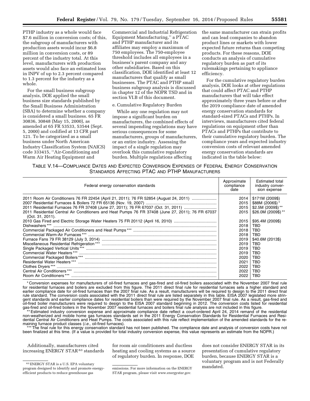PTHP industry as a whole would face \$7.6 million in conversion costs; of this, the subgroup of manufacturers with production assets would incur \$6.8 million in conversion costs, or 89 percent of the industry total. At this level, manufacturers with production assets would also face an estimated loss in INPV of up to 2.3 percent compared to 1.3 percent for the industry as a whole.

For the small business subgroup analysis, DOE applied the small business size standards published by the Small Business Administration (SBA) to determine whether a company is considered a small business. 65 FR 30836, 30848 (May 15, 2000), as amended at 65 FR 53533, 53544 (Sept. 5, 2000) and codified at 13 CFR part 121. To be categorized as a small business under North American Industry Classification System (NAICS) code 333415, ''Air-Conditioning and Warm Air Heating Equipment and

Commercial and Industrial Refrigeration Equipment Manufacturing,'' a PTAC and PTHP manufacturer and its affiliates may employ a maximum of 750 employees. The 750-employee threshold includes all employees in a business's parent company and any other subsidiaries. Based on this classification, DOE identified at least 12 manufacturers that qualify as small businesses. The PTAC and PTHP small business subgroup analysis is discussed in chapter 12 of the NOPR TSD and in section VI.B of this document.

#### e. Cumulative Regulatory Burden

While any one regulation may not impose a significant burden on manufacturers, the combined effects of several impending regulations may have serious consequences for some manufacturers, groups of manufacturers, or an entire industry. Assessing the impact of a single regulation may overlook this cumulative regulatory burden. Multiple regulations affecting

the same manufacturer can strain profits and can lead companies to abandon product lines or markets with lower expected future returns than competing products. For these reasons, DOE conducts an analysis of cumulative regulatory burden as part of its rulemakings pertaining to appliance efficiency.

For the cumulative regulatory burden analysis, DOE looks at other regulations that could affect PTAC and PTHP manufacturers that will take effect approximately three years before or after the 2019 compliance date of amended energy conservation standards for standard-sized PTACs and PTHPs. In interviews, manufacturers cited federal regulations on equipment other than PTACs and PTHPs that contribute to their cumulative regulatory burden. The compliance years and expected industry conversion costs of relevant amended energy conservation standards are indicated in the table below:

| TABLE V.14—COMPLIANCE DATES AND EXPECTED CONVERSION EXPENSES OF FEDERAL ENERGY CONSERVATION |
|---------------------------------------------------------------------------------------------|
| STANDARDS AFFECTING PTAC AND PTHP MANUFACTURERS                                             |

| Federal energy conservation standards                                                                                                                                                                                                                                                                 | Approximate<br>compliance<br>date                                                                                            | Estimated total<br>industry conver-<br>sion expense                                                                                                                                         |
|-------------------------------------------------------------------------------------------------------------------------------------------------------------------------------------------------------------------------------------------------------------------------------------------------------|------------------------------------------------------------------------------------------------------------------------------|---------------------------------------------------------------------------------------------------------------------------------------------------------------------------------------------|
| 2011 Room Air Conditioners 76 FR 22454 (April 21, 2011); 76 FR 52854 (August 24, 2011)<br>2011 Residential Furnaces 76 FR 37408 (June 27, 2011); 76 FR 67037 (Oct. 31, 2011)<br>2011 Residential Central Air Conditioners and Heat Pumps 76 FR 37408 (June 27, 2011); 76 FR 67037<br>(Oct. 31, 2011). | 2014<br>2015<br>2015<br>2015<br>2015<br>2018<br>2018<br>2018<br>2019<br>2019<br>2019<br>2019<br>2020<br>2021<br>2022<br>2022 | \$171M (2009\$)<br>\$88M (2006\$)*<br>\$2.5M (2009\$)**<br>\$26.0M (2009\$)**<br>\$95.4M (2009\$)<br>TBD<br>TRD<br>TBD<br>\$40.6M (2013\$)<br>TBD<br>TBD<br>TBD<br>TBD<br>TBD<br>TBD<br>TBD |
| Room Air Conditioners***                                                                                                                                                                                                                                                                              | 2022                                                                                                                         | TBD                                                                                                                                                                                         |

\* Conversion expenses for manufacturers of oil-fired furnaces and gas-fired and oil-fired boilers associated with the November 2007 final rule for residential furnaces and boilers are excluded from this figure. The 2011 direct final rule for residential furnaces sets a higher standard and earlier compliance date for oil-fired furnaces than the 2007 final rule. As a result, manufacturers will be required to design to the 2011 direct final rule standard. The conversion costs associated with the 2011 direct final rule are listed separately in this table. EISA 2007 legislated more stringent standards and earlier compliance dates for residential boilers than were required by the November 2007 final rule. As a result, gas-fired and oil-fired boiler manufacturers were required to design to the EISA 2007 standard beginning in 2012. The conversion costs listed for residential gas-fired and oil-fired boilers in the November 2007 residential furnaces and boilers final rule analysis are not included in this figure.

Estimated industry conversion expense and approximate compliance date reflect a court-ordered April 24, 2014 remand of the residential non-weatherized and mobile home gas furnaces standards set in the 2011 Energy Conservation Standards for Residential Furnaces and Residential Central Air Conditioners and Heat Pumps. The costs associated with this rule reflect implementation of the amended standards for the remaining furnace product classes (*i.e.,* oil-fired furnaces).

\*\*\* The final rule for this energy conservation standard has not been published. The compliance date and analysis of conversion costs have not been finalized at this time. (If a value is provided for total industry conversion expense, this value represents an estimate from the NOPR.)

Additionally, manufacturers cited increasing ENERGY STAR<sup>63</sup> standards

for room air conditioners and ductless heating and cooling systems as a source of regulatory burden. In response, DOE

does not consider ENERGY STAR in its presentation of cumulative regulatory burden, because ENERGY STAR is a voluntary program and is not Federally mandated.

<sup>63</sup>ENERGY STAR is a U.S. EPA voluntary program designed to identify and promote energyefficient products to reduce greenhouse gas

emissions. For more information on the ENERGY STAR program, please visit *[www.energystar.gov.](http://www.energystar.gov)*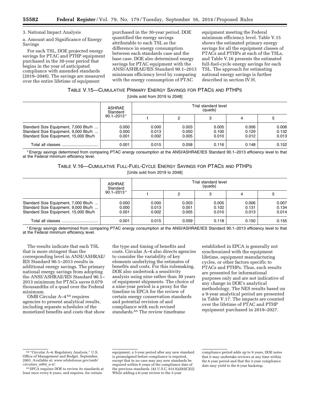## 3. National Impact Analysis

a. Amount and Significance of Energy Savings

For each TSL, DOE projected energy savings for PTAC and PTHP equipment purchased in the 30-year period that begins in the year of anticipated compliance with amended standards (2019–2048). The savings are measured over the entire lifetime of equipment

purchased in the 30-year period. DOE quantified the energy savings attributable to each TSL as the difference in energy consumption between each standards case and the base case. DOE also determined energy savings for PTAC equipment with the ANSI/ASHRAE/IES Standard 90.1–2013 minimum efficiency level by comparing with the energy consumption of PTAC

equipment meeting the Federal minimum efficiency level. Table V.15 shows the estimated primary energy savings for all the equipment classes of PTACs and PTHPs at each of the TSLs, and Table V.16 presents the estimated full-fuel-cycle energy savings for each TSL. The approach for estimating national energy savings is further described in section IV.H.

## TABLE V.15—CUMULATIVE PRIMARY ENERGY SAVINGS FOR PTACS AND PTHPS

[Units sold from 2019 to 2048]

|                                                                                                                       | ASHRAE<br>Standard<br>$90.1 - 2013*$ |                         |                         | Trial standard level<br>(quads) |                         |                         |
|-----------------------------------------------------------------------------------------------------------------------|--------------------------------------|-------------------------|-------------------------|---------------------------------|-------------------------|-------------------------|
|                                                                                                                       |                                      |                         |                         |                                 | 4                       | 5                       |
| Standard Size Equipment, 7,000 Btu/h<br>Standard Size Equipment, 9,000 Btu/h<br>Standard Size Equipment, 15,000 Btu/h | 0.000<br>0.000<br>0.001              | 0.000<br>0.013<br>0.002 | 0.003<br>0.050<br>0.005 | 0.005<br>0.100<br>0.010         | 0.006<br>0.129<br>0.012 | 0.006<br>0.132<br>0.013 |
| Total all classes                                                                                                     | 0.001                                | 0.015                   | 0.058                   | 0.116                           | 0.148                   | 0.152                   |

\* Energy savings determined from comparing PTAC energy consumption at the ANSI/ASHRAE/IES Standard 90.1–2013 efficiency level to that at the Federal minimum efficiency level.

TABLE V.16—CUMULATIVE FULL-FUEL-CYCLE ENERGY SAVINGS FOR PTACS AND PTHPS

[Units sold from 2019 to 2048]

|                                                                                                                       | ASHRAE<br>Standard<br>$90.1 - 2013*$ |                         |                         | Trial standard level<br>(quads) |                         |                         |
|-----------------------------------------------------------------------------------------------------------------------|--------------------------------------|-------------------------|-------------------------|---------------------------------|-------------------------|-------------------------|
|                                                                                                                       |                                      |                         | 2                       | з                               | 4                       | ა                       |
| Standard Size Equipment, 7,000 Btu/h<br>Standard Size Equipment, 9,000 Btu/h<br>Standard Size Equipment, 15,000 Btu/h | 0.000<br>0.000<br>0.001              | 0.000<br>0.013<br>0.002 | 0.003<br>0.051<br>0.005 | 0.005<br>0.102<br>0.010         | 0.006<br>0.131<br>0.013 | 0.007<br>0.134<br>0.014 |
|                                                                                                                       | 0.001                                | 0.015                   | 0.059                   | 0.118                           | 0.150                   | 0.155                   |

\* Energy savings determined from comparing PTAC energy consumption at the ANSI/ASHRAE/IES Standard 90.1–2013 efficiency level to that at the Federal minimum efficiency level.

The results indicate that each TSL that is more stringent than the corresponding level in ANSI/ASHRAE/ IES Standard 90.1–2013 results in additional energy savings. The primary national energy savings from adopting the ANSI/ASHRAE/IES Standard 90.1– 2013 minimum for PTACs saves 0.079 thousandths of a quad over the Federal minimum.

OMB Circular A–4 64 requires agencies to present analytical results, including separate schedules of the monetized benefits and costs that show the type and timing of benefits and costs. Circular A–4 also directs agencies to consider the variability of key elements underlying the estimates of benefits and costs. For this rulemaking, DOE also undertook a sensitivity analysis using nine rather than 30 years of equipment shipments. The choice of a nine-year period is a proxy for the timeline in EPCA for the review of certain energy conservation standards and potential revision of and compliance with such revised standards.<sup>65</sup> The review timeframe

established in EPCA is generally not synchronized with the equipment lifetime, equipment manufacturing cycles, or other factors specific to PTACs and PTHPs. Thus, such results are presented for informational purposes only and are not indicative of any change in DOE's analytical methodology. The NES results based on a 9-year analytical period are presented in Table V.17. The impacts are counted over the lifetime of PTAC and PTHP equipment purchased in 2019–2027.

<sup>64</sup> ''Circular A–4: Regulatory Analysis,'' U.S. Office of Management and Budget, September, 2003. Available at: *[www.whitehouse.gov/omb/](http://www.whitehouse.gov/omb/circulars_a004_a-4/) [circulars](http://www.whitehouse.gov/omb/circulars_a004_a-4/)*\_*a004*\_*a-4/.* 

<sup>65</sup>EPCA requires DOE to review its standards at least once every 6 years, and requires, for certain

equipment, a 3-year period after any new standard is promulgated before compliance is required, except that in no case may any new standards be required within 6 years of the compliance date of the previous standards.  $(42 \text{ U.S.C. } 6313(a)(6)(C)(i))$ While adding a 6-year review to the 3-year

compliance period adds up to 9 years, DOE notes that it may undertake reviews at any time within the 6 year period and that the 3-year compliance date may yield to the 6-year backstop.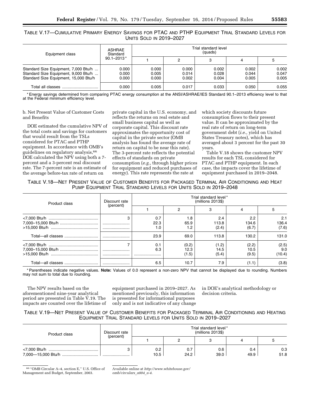TABLE V.17—CUMULATIVE PRIMARY ENERGY SAVINGS FOR PTAC AND PTHP EQUIPMENT TRIAL STANDARD LEVELS FOR UNITS SOLD IN 2019–2027

| Equipment class                                                                                                       | ASHRAE<br>Standard      | Trial standard level<br>(quads) |                         |                         |                         |                         |  |  |
|-----------------------------------------------------------------------------------------------------------------------|-------------------------|---------------------------------|-------------------------|-------------------------|-------------------------|-------------------------|--|--|
|                                                                                                                       | $90.1 - 2013*$          |                                 | 2                       |                         | 4                       | 5                       |  |  |
| Standard Size Equipment, 7,000 Btu/h<br>Standard Size Equipment, 9,000 Btu/h<br>Standard Size Equipment, 15,000 Btu/h | 0.000<br>0.000<br>0.000 | 0.000<br>0.005<br>0.000         | 0.000<br>0.014<br>0.002 | 0.002<br>0.028<br>0.004 | 0.002<br>0.044<br>0.005 | 0.002<br>0.047<br>0.005 |  |  |
|                                                                                                                       | 0.000                   | 0.005                           | 0.017                   | 0.033                   | 0.050                   | 0.055                   |  |  |

\* Energy savings determined from comparing PTAC energy consumption at the ANSI/ASHRAE/IES Standard 90.1–2013 efficiency level to that at the Federal minimum efficiency level.

b. Net Present Value of Customer Costs and Benefits

DOE estimated the cumulative NPV of the total costs and savings for customers that would result from the TSLs considered for PTAC and PTHP equipment. In accordance with OMB's guidelines on regulatory analysis,<sup>66</sup> DOE calculated the NPV using both a 7 percent and a 3-percent real discount rate. The 7-percent rate is an estimate of the average before-tax rate of return on

private capital in the U.S. economy, and reflects the returns on real estate and small business capital as well as corporate capital. This discount rate approximates the opportunity cost of capital in the private sector (OMB analysis has found the average rate of return on capital to be near this rate). The 3-percent rate reflects the potential effects of standards on private consumption (*e.g.,* through higher prices for equipment and reduced purchases of energy). This rate represents the rate at

which society discounts future consumption flows to their present value. It can be approximated by the real rate of return on long-term government debt (*i.e.,* yield on United States Treasury notes), which has averaged about 3 percent for the past 30 years.

Table V.18 shows the customer NPV results for each TSL considered for PTAC and PTHP equipment. In each case, the impacts cover the lifetime of equipment purchased in 2019–2048.

TABLE V.18—NET PRESENT VALUE OF CUSTOMER BENEFITS FOR PACKAGED TERMINAL AIR CONDITIONING AND HEAT PUMP EQUIPMENT TRIAL STANDARD LEVELS FOR UNITS SOLD IN 2019–2048

| Product class | Discount rate | Trial standard level*<br>(millions 2013\$) |                        |                        |                        |                        |  |  |
|---------------|---------------|--------------------------------------------|------------------------|------------------------|------------------------|------------------------|--|--|
|               | (percent)     |                                            | ŋ                      |                        |                        | 5                      |  |  |
|               |               | 0.7<br>22.3<br>1.0                         | 1.8<br>65.9<br>1.2     | 2.4<br>113.8<br>(2.4)  | 2.2<br>134.6<br>(6.7)  | 2.1<br>136.4<br>(7.6)  |  |  |
|               |               | 23.9                                       | 69.0                   | 113.8                  | 130.2                  | 131.0                  |  |  |
|               |               | 0.1<br>6.3<br>                             | (0.2)<br>12.3<br>(1.5) | (1.2)<br>14.5<br>(5.4) | (2.2)<br>10.5<br>(9.5) | (2.5)<br>9.0<br>(10.4) |  |  |
|               |               | 6.5                                        | 10.7                   | 7.9                    | (1.1)                  | (3.8)                  |  |  |

\* Parentheses indicate negative values. **Note:** Values of 0.0 represent a non-zero NPV that cannot be displayed due to rounding. Numbers may not sum to total due to rounding.

The NPV results based on the aforementioned nine-year analytical period are presented in Table V.19. The impacts are counted over the lifetime of

equipment purchased in 2019–2027. As mentioned previously, this information is presented for informational purposes only and is not indicative of any change in DOE's analytical methodology or decision criteria.

## TABLE V.19—NET PRESENT VALUE OF CUSTOMER BENEFITS FOR PACKAGED TERMINAL AIR CONDITIONING AND HEATING EQUIPMENT TRIAL STANDARD LEVELS FOR UNITS SOLD IN 2019–2027

| Product class | Discount rate<br>(percent) | Trial standard level*<br>$(millions 2013\$ |             |             |             |             |  |
|---------------|----------------------------|--------------------------------------------|-------------|-------------|-------------|-------------|--|
|               |                            |                                            |             |             |             |             |  |
|               |                            | 0.2<br>10.5                                | 0.7<br>24.2 | 0.6<br>39.0 | 0.4<br>49.9 | 0.3<br>51.8 |  |

66 ''OMB Circular A–4, section E,'' U.S. Office of Management and Budget, September, 2003.

Available online at *[http://www.whitehouse.gov/](http://www.whitehouse.gov/omb/circulars_a004_a-4) [omb/circulars](http://www.whitehouse.gov/omb/circulars_a004_a-4)*\_*a004*\_*a-4.*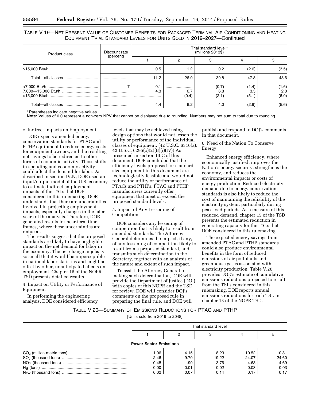TABLE V.19—NET PRESENT VALUE OF CUSTOMER BENEFITS FOR PACKAGED TERMINAL AIR CONDITIONING AND HEATING EQUIPMENT TRIAL STANDARD LEVELS FOR UNITS SOLD IN 2019–2027—Continued

| Product class | Discount rate | Trial standard level*<br>$(millions 2013\$ |                  |                       |                       |                       |  |  |
|---------------|---------------|--------------------------------------------|------------------|-----------------------|-----------------------|-----------------------|--|--|
|               | (percent)     |                                            |                  |                       |                       |                       |  |  |
|               |               | 0.5                                        | 1.2              | 0.2                   | (2.6)                 | (3.5)                 |  |  |
|               |               | 11.2                                       | 26.0             | 39.8                  | 47.8                  | 48.6                  |  |  |
|               | <br>          | 0.1<br>4.3<br>                             | <br>6.7<br>(0.4) | (0.7)<br>6.8<br>(2.1) | (1.4)<br>3.5<br>(5.1) | (1.6)<br>2.0<br>(6.0) |  |  |
|               |               | 4.4                                        | 6.2              | 4.0                   | (2.9)                 | (5.6)                 |  |  |

Parentheses indicate negative values.

**Note:** Values of 0.0 represent a non-zero NPV that cannot be displayed due to rounding. Numbers may not sum to total due to rounding.

#### c. Indirect Impacts on Employment

DOE expects amended energy conservation standards for PTAC and PTHP equipment to reduce energy costs for equipment owners, and the resulting net savings to be redirected to other forms of economic activity. Those shifts in spending and economic activity could affect the demand for labor. As described in section IV.N, DOE used an input/output model of the U.S. economy to estimate indirect employment impacts of the TSLs that DOE considered in this rulemaking. DOE understands that there are uncertainties involved in projecting employment impacts, especially changes in the later years of the analysis. Therefore, DOE generated results for near-term time frames, where these uncertainties are reduced.

The results suggest that the proposed standards are likely to have negligible impact on the net demand for labor in the economy. The net change in jobs is so small that it would be imperceptible in national labor statistics and might be offset by other, unanticipated effects on employment. Chapter 16 of the NOPR TSD presents detailed results.

4. Impact on Utility or Performance of Equipment

In performing the engineering analysis, DOE considered efficiency

levels that may be achieved using design options that would not lessen the utility or performance of the individual classes of equipment. (42 U.S.C. 6316(a); 42 U.S.C. 6295(o)(2)(B)(i)(IV)) As presented in section III.C of this document, DOE concluded that the efficiency levels proposed for standard size equipment in this document are technologically feasible and would not reduce the utility or performance of PTACs and PTHPs. PTAC and PTHP manufacturers currently offer equipment that meet or exceed the proposed standard levels.

#### 5. Impact of Any Lessening of Competition

DOE considers any lessening of competition that is likely to result from amended standards. The Attorney General determines the impact, if any, of any lessening of competition likely to result from a proposed standard, and transmits such determination to the Secretary, together with an analysis of the nature and extent of such impact.

To assist the Attorney General in making such determination, DOE will provide the Department of Justice (DOJ) with copies of this NOPR and the TSD for review. DOE will consider DOJ's comments on the proposed rule in preparing the final rule, and DOE will

publish and respond to DOJ's comments in that document.

6. Need of the Nation To Conserve Energy

Enhanced energy efficiency, where economically justified, improves the Nation's energy security, strengthens the economy, and reduces the environmental impacts or costs of energy production. Reduced electricity demand due to energy conservation standards is also likely to reduce the cost of maintaining the reliability of the electricity system, particularly during peak-load periods. As a measure of this reduced demand, chapter 15 of the TSD presents the estimated reduction in generating capacity for the TSLs that DOE considered in this rulemaking.

The expected energy savings from amended PTAC and PTHP standards could also produce environmental benefits in the form of reduced emissions of air pollutants and greenhouse gases associated with electricity production. Table V.20 provides DOE's estimate of cumulative emissions reductions projected to result from the TSLs considered in this rulemaking. DOE reports annual emissions reductions for each TSL in chapter 13 of the NOPR TSD.

## TABLE V.20—SUMMARY OF EMISSIONS REDUCTIONS FOR PTAC AND PTHP

[Units sold from 2019 to 2048]

|                               | Trial standard level |      |       |       |       |  |  |  |  |
|-------------------------------|----------------------|------|-------|-------|-------|--|--|--|--|
|                               |                      |      |       |       |       |  |  |  |  |
| <b>Power Sector Emissions</b> |                      |      |       |       |       |  |  |  |  |
|                               | 1.06                 | 4.15 | 8.23  | 10.52 | 10.81 |  |  |  |  |
|                               | 2.46                 | 9.70 | 19.22 | 24.07 | 24.60 |  |  |  |  |
|                               | 0.48                 | 1.90 | 3.76  | 4.63  | 4.69  |  |  |  |  |
|                               | 0.00                 | 0.01 | 0.02  | 0.03  | 0.03  |  |  |  |  |
|                               | 0.02                 | 0.07 | 0.14  | 0.17  | 0.17  |  |  |  |  |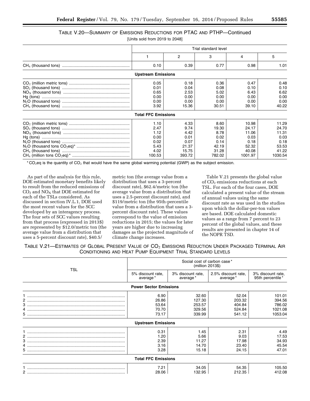## TABLE V.20—SUMMARY OF EMISSIONS REDUCTIONS FOR PTAC AND PTHP—Continued

[Units sold from 2019 to 2048]

| Trial standard level                                 |                                                        |                                                         |                                                           |                                                           |  |
|------------------------------------------------------|--------------------------------------------------------|---------------------------------------------------------|-----------------------------------------------------------|-----------------------------------------------------------|--|
|                                                      | 2                                                      | 3                                                       | 4                                                         | 5                                                         |  |
| 0.10                                                 | 0.39                                                   | 0.77                                                    | 0.98                                                      | 1.01                                                      |  |
| <b>Upstream Emissions</b>                            |                                                        |                                                         |                                                           |                                                           |  |
| 0.05<br>0.01                                         | 0.18<br>0.04                                           | 0.36<br>0.08                                            | 0.47<br>0.10                                              | 0.48<br>0.10                                              |  |
| 0.65<br>0.00<br>0.00<br>3.92                         | 2.53<br>0.00<br>0.00<br>15.36                          | 5.02<br>0.00<br>0.00<br>30.51                           | 6.43<br>0.00<br>0.00<br>39.10                             | 6.62<br>0.00<br>0.00<br>40.22                             |  |
| <b>Total FFC Emissions</b>                           |                                                        |                                                         |                                                           |                                                           |  |
| 1.10<br>2.47<br>1.12<br>0.00<br>0.02<br>5.43<br>4.02 | 4.33<br>9.74<br>4.42<br>0.01<br>0.07<br>21.37<br>15.75 | 8.60<br>19.30<br>8.78<br>0.02<br>0.14<br>42.19<br>31.28 | 10.98<br>24.17<br>11.06<br>0.03<br>0.18<br>52.32<br>40.08 | 11.29<br>24.70<br>11.31<br>0.03<br>0.18<br>53.53<br>41.22 |  |
| 100.53                                               | 393.72                                                 | 782.02                                                  | 1001.97                                                   | 1030.54                                                   |  |

 $*CO<sub>2</sub>$ eq is the quantity of  $CO<sub>2</sub>$  that would have the same global warming potential (GWP) as the subject emission.

As part of the analysis for this rule, DOE estimated monetary benefits likely to result from the reduced emissions of CO2 and NOX that DOE estimated for each of the TSLs considered. As discussed in section IV.L.1, DOE used the most recent values for the SCC developed by an interagency process. The four sets of SCC values resulting from that process (expressed in 2013\$) are represented by \$12.0/metric ton (the average value from a distribution that uses a 5-percent discount rate), \$40.5/

metric ton (the average value from a distribution that uses a 3-percent discount rate), \$62.4/metric ton (the average value from a distribution that uses a 2.5-percent discount rate), and \$119/metric ton (the 95th-percentile value from a distribution that uses a 3 percent discount rate). These values correspond to the value of emission reductions in 2015; the values for later years are higher due to increasing damages as the projected magnitude of climate change increases.

Table V.21 presents the global value of CO<sub>2</sub> emissions reductions at each TSL. For each of the four cases, DOE calculated a present value of the stream of annual values using the same discount rate as was used in the studies upon which the dollar-per-ton values are based. DOE calculated domestic values as a range from 7 percent to 23 percent of the global values, and these results are presented in chapter 14 of the NOPR TSD.

| TABLE V.21—ESTIMATES OF GLOBAL PRESENT VALUE OF CO <sub>2</sub> EMISSIONS REDUCTION UNDER PACKAGED TERMINAL AIR |  |
|-----------------------------------------------------------------------------------------------------------------|--|
| CONDITIONING AND HEAT PUMP EQUIPMENT TRIAL STANDARD LEVELS                                                      |  |

|     | Social cost of carbon case*<br>(million 2013\$) |                               |                                 |                                       |  |  |  |
|-----|-------------------------------------------------|-------------------------------|---------------------------------|---------------------------------------|--|--|--|
| TSL | 5% discount rate,<br>average*                   | 3% discount rate,<br>average* | 2.5% discount rate,<br>average* | 3% discount rate,<br>95th percentile* |  |  |  |
|     | <b>Power Sector Emissions</b>                   |                               |                                 |                                       |  |  |  |
|     | 6.90                                            | 32.60                         | 52.04                           | 101.01                                |  |  |  |
|     | 26.86                                           | 127.30                        | 203.32                          | 394.56                                |  |  |  |
|     | 53.64                                           | 253.57                        | 404.84                          | 786.02                                |  |  |  |
|     | 70.70                                           | 329.56                        | 524.84                          | 1021.08                               |  |  |  |
|     | 73.17                                           | 339.99                        | 541.12                          | 1053.04                               |  |  |  |
|     | <b>Upstream Emissions</b>                       |                               |                                 |                                       |  |  |  |
|     | 0.31                                            | 1.45                          | 2.31                            | 4.49                                  |  |  |  |
|     | 1.20                                            | 5.66                          | 9.03                            | 17.53                                 |  |  |  |
|     | 2.39                                            | 11.27                         | 17.98                           | 34.93                                 |  |  |  |
|     | 3.16                                            | 14.70                         | 23.40                           | 45.54                                 |  |  |  |
|     | 3.28                                            | 15.18                         | 24.15                           | 47.01                                 |  |  |  |
|     | <b>Total FFC Emissions</b>                      |                               |                                 |                                       |  |  |  |
|     | 7.21                                            | 34.05                         | 54.35                           | 105.50                                |  |  |  |
|     | 28.06                                           | 132.95                        | 212.35                          | 412.08                                |  |  |  |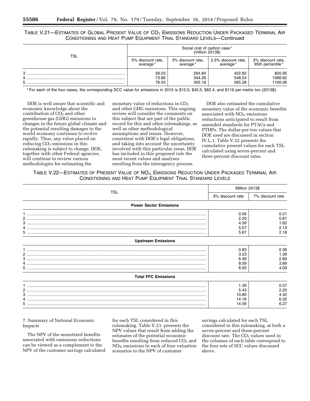TABLE V.21—ESTIMATES OF GLOBAL PRESENT VALUE OF CO<sub>2</sub> EMISSIONS REDUCTION UNDER PACKAGED TERMINAL AIR CONDITIONING AND HEAT PUMP EQUIPMENT TRIAL STANDARD LEVELS—Continued

| TSL | Social cost of carbon case*<br>(million 2013\$) |                   |                     |                   |  |  |  |
|-----|-------------------------------------------------|-------------------|---------------------|-------------------|--|--|--|
|     | 5% discount rate,                               | 3% discount rate, | 2.5% discount rate, | 3% discount rate, |  |  |  |
|     | average*                                        | average*          | average*            | 95th percentile*  |  |  |  |
| 3   | 56.03                                           | 264.84            | 422.82              | 820.95            |  |  |  |
| 5   | 73.86                                           | 344.26            | 548.24              | 1066.62           |  |  |  |
|     | 76.45                                           | 355.18            | 565.28              | 1100.06           |  |  |  |

\* For each of the four cases, the corresponding SCC value for emissions in 2015 is \$12.0, \$40.5, \$62.4, and \$119 per metric ton (2013\$).

DOE is well aware that scientific and economic knowledge about the contribution of  $CO<sub>2</sub>$  and other greenhouse gas (GHG) emissions to changes in the future global climate and the potential resulting damages to the world economy continues to evolve rapidly. Thus, any value placed on reducing  $CO<sub>2</sub>$  emissions in this rulemaking is subject to change. DOE, together with other Federal agencies, will continue to review various methodologies for estimating the

monetary value of reductions in  $CO<sub>2</sub>$ and other GHG emissions. This ongoing review will consider the comments on this subject that are part of the public record for this and other rulemakings, as well as other methodological assumptions and issues. However, consistent with DOE's legal obligations, and taking into account the uncertainty involved with this particular issue, DOE has included in this proposed rule the most recent values and analyses resulting from the interagency process.

DOE also estimated the cumulative monetary value of the economic benefits associated with  $NO<sub>x</sub>$  emissions reductions anticipated to result from amended standards for PTACs and PTHPs. The dollar-per-ton values that DOE used are discussed in section IV.L.1. Table V.22 presents the cumulative present values for each TSL calculated using seven-percent and three-percent discount rates.

## TABLE V.22—ESTIMATES OF PRESENT VALUE OF  $NO<sub>X</sub>$  EMISSIONS REDUCTION UNDER PACKAGED TERMINAL AIR CONDITIONING AND HEAT PUMP EQUIPMENT TRIAL STANDARD LEVELS

|                                           | Million 2013\$                          |                                      |  |
|-------------------------------------------|-----------------------------------------|--------------------------------------|--|
| TSL                                       | 3% discount rate                        | 7% discount rate                     |  |
| <b>Power Sector Emissions</b>             |                                         |                                      |  |
| 2<br>5.                                   | 0.56<br>2.20<br>4.39<br>5.57<br>5.67    | 0.21<br>0.81<br>1.62<br>2.13<br>2.18 |  |
| <b>Upstream Emissions</b>                 |                                         |                                      |  |
| 2<br>3<br>4<br><b>Total FFC Emissions</b> | 0.83<br>3.23<br>6.46<br>8.59<br>8.92    | 0.36<br>1.39<br>2.80<br>3.89<br>4.09 |  |
| 3                                         | 1.39<br>5.43<br>10.85<br>14.16<br>14.59 | 0.57<br>2.20<br>4.42<br>6.02<br>6.27 |  |

7. Summary of National Economic Impacts

The NPV of the monetized benefits associated with emissions reductions can be viewed as a complement to the NPV of the customer savings calculated

for each TSL considered in this rulemaking. Table V.23. presents the NPV values that result from adding the estimates of the potential economic benefits resulting from reduced  $CO<sub>2</sub>$  and  $NO<sub>x</sub>$  emissions in each of four valuation scenarios to the NPV of customer

savings calculated for each TSL considered in this rulemaking, at both a seven-percent and three-percent discount rate. The CO<sub>2</sub> values used in the columns of each table correspond to the four sets of SCC values discussed above.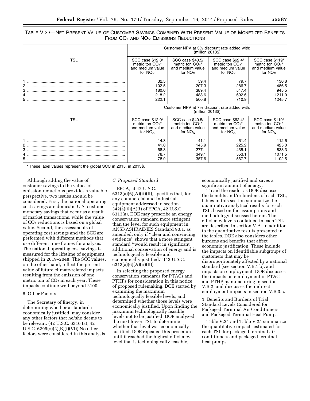## TABLE V.23—NET PRESENT VALUE OF CUSTOMER SAVINGS COMBINED WITH PRESENT VALUE OF MONETIZED BENEFITS FROM  $CO<sub>2</sub>$  and  $NO<sub>X</sub>$  Emissions Reductions

|            | Customer NPV at 3% discount rate added with:<br>(million 2013\$) |                                |                    |                    |  |  |  |
|------------|------------------------------------------------------------------|--------------------------------|--------------------|--------------------|--|--|--|
| <b>TSL</b> | SCC case \$12.0/                                                 | SCC case \$40.5/               | SCC case \$62.4/   | SCC case \$119/    |  |  |  |
|            | metric ton $CO2^*$                                               | metric ton $CO2*$              | metric ton $CO2^*$ | metric ton $CO2$ * |  |  |  |
|            | and medium value                                                 | and medium value               | and medium value   | and medium value   |  |  |  |
|            | for $NO_x$                                                       | for $NO_{x}$                   | for $NO_x$         | for $NO_x$         |  |  |  |
| 2          | 32.5                                                             | 59.4                           | 79.7               | 130.8              |  |  |  |
|            | 102.5                                                            | 207.3                          | 286.7              | 486.5              |  |  |  |
|            | 180.6                                                            | 389.4                          | 547.4              | 945.5              |  |  |  |
|            | 218.2                                                            | 488.6                          | 692.6              | 1211.0             |  |  |  |
|            | 222.1                                                            | 500.8                          | 710.9              | 1245.7             |  |  |  |
|            | Customer NPV at 7% discount rate added with:<br>$(million 2013\$ |                                |                    |                    |  |  |  |
| <b>TSL</b> | SCC case \$12.0/                                                 | SCC case \$40.5/               | SCC case \$62.4/   | SCC case \$119/    |  |  |  |
|            | metric ton $CO2^*$                                               | metric ton $CO_2$ <sup>*</sup> | metric ton $CO2*$  | metric ton $CO2$ * |  |  |  |
|            | and medium value                                                 | and medium value               | and medium value   | and medium value   |  |  |  |
|            | for $NO_x$                                                       | for $NO_{x}$                   | for $NO_x$         | for $NO_x$         |  |  |  |
|            | 14.3                                                             | 41.1                           | 61.4               | 112.6              |  |  |  |
|            | 41.0                                                             | 145.9                          | 225.2              | 425.0              |  |  |  |
|            | 68.3                                                             | 277.1                          | 435.1              | 833.3              |  |  |  |
|            | 78.7                                                             | 349.1                          | 553.1              | 1071.5             |  |  |  |
|            | 78.9                                                             | 357.6                          | 567.7              | 1102.5             |  |  |  |

\* These label values represent the global SCC in 2015, in 2013\$.

Although adding the value of customer savings to the values of emission reductions provides a valuable perspective, two issues should be considered. First, the national operating cost savings are domestic U.S. customer monetary savings that occur as a result of market transactions, while the value of CO2 reductions is based on a global value. Second, the assessments of operating cost savings and the SCC are performed with different methods that use different time frames for analysis. The national operating cost savings is measured for the lifetime of equipment shipped in 2019–2048. The SCC values, on the other hand, reflect the present value of future climate-related impacts resulting from the emission of one metric ton of  $CO<sub>2</sub>$  in each year. These impacts continue well beyond 2100.

#### 8. Other Factors

The Secretary of Energy, in determining whether a standard is economically justified, may consider any other factors that he/she deems to be relevant. (42 U.S.C. 6316 (a); 42 U.S.C. 6295(o)(2)(B)(i)(VI)) No other factors were considered in this analysis.

#### *C. Proposed Standard*

EPCA, at 42 U.S.C.  $6313(a)(6)(A)(ii)(II)$ , specifies that, for any commercial and industrial equipment addressed in section 342(a)(6)(A)(i) of EPCA, 42 U.S.C. 6313(a), DOE may prescribe an energy conservation standard more stringent than the level for such equipment in ANSI/ASHRAE/IES Standard 90.1, as amended, only if ''clear and convincing evidence'' shows that a more stringent standard ''would result in significant additional conservation of energy and is technologically feasible and economically justified.'' (42 U.S.C. 6313(a)(6)(A)(ii)(II))

In selecting the proposed energy conservation standards for PTACs and PTHPs for consideration in this notice of proposed rulemaking, DOE started by examining the maximum technologically feasible levels, and determined whether those levels were economically justified. Upon finding the maximum technologically feasible levels not to be justified, DOE analyzed the next lower TSL to determine whether that level was economically justified. DOE repeated this procedure until it reached the highest efficiency level that is technologically feasible,

economically justified and saves a significant amount of energy.

To aid the reader as DOE discusses the benefits and/or burdens of each TSL, tables in this section summarize the quantitative analytical results for each TSL, based on the assumptions and methodology discussed herein. The efficiency levels contained in each TSL are described in section V.A. In addition to the quantitative results presented in the tables, DOE also considers other burdens and benefits that affect economic justification. These include the impacts on identifiable subgroups of customers that may be disproportionately affected by a national standard (see section V.B.1.b), and impacts on employment. DOE discusses the impacts on employment in PTAC and PTHP manufacturing in section V.B.2, and discusses the indirect employment impacts in section V.B.3.c.

1. Benefits and Burdens of Trial Standard Levels Considered for Packaged Terminal Air Conditioners and Packaged Terminal Heat Pumps

Table V.24 and Table V.25 summarize the quantitative impacts estimated for each TSL for packaged terminal air conditioners and packaged terminal heat pumps.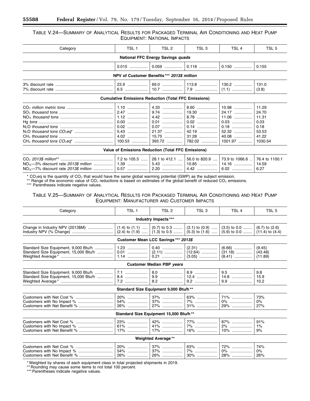## TABLE V.24—SUMMARY OF ANALYTICAL RESULTS FOR PACKAGED TERMINAL AIR CONDITIONING AND HEAT PUMP EQUIPMENT: NATIONAL IMPACTS

| Category                                    | TSL <sub>1</sub> | TSL 2                                                       | TSL <sub>3</sub> | TSL <sub>4</sub>          | TSL 5                                                                |  |  |  |
|---------------------------------------------|------------------|-------------------------------------------------------------|------------------|---------------------------|----------------------------------------------------------------------|--|--|--|
| <b>National FFC Energy Savings quads</b>    |                  |                                                             |                  |                           |                                                                      |  |  |  |
|                                             |                  |                                                             |                  |                           | 0.155                                                                |  |  |  |
| NPV of Customer Benefits *** 2013\$ million |                  |                                                             |                  |                           |                                                                      |  |  |  |
|                                             |                  | 23.9    69.0    113.8    130.2                              |                  |                           | 131.0<br>(3.8)                                                       |  |  |  |
|                                             |                  | <b>Cumulative Emissions Reduction (Total FFC Emissions)</b> |                  |                           |                                                                      |  |  |  |
|                                             |                  |                                                             |                  | $0.03$<br>$0.18$<br>40.08 | 11.29<br>24.70<br>11.31<br>0.03<br>0.18<br>53.53<br>41.22<br>1030.54 |  |  |  |

## **Value of Emissions Reduction (Total FFC Emissions)**

| NO <sub>x</sub> —3% discount rate <i>2013\$ million ……………</i> …   1.39 ………………   5.43 ………………   10.85 ………………   14.16 ……………   14.59 |  |  |  |
|----------------------------------------------------------------------------------------------------------------------------------|--|--|--|
|                                                                                                                                  |  |  |  |

\* CO<sub>2</sub>eq is the quantity of CO<sub>2</sub> that would have the same global warming potential (GWP) as the subject emission.

\*\* Range of the economic value of CO<sub>2</sub> reductions is based on estimates of the global benefit of reduced CO<sub>2</sub> emissions.<br>\*\*\* Parentheses indicate negative values.

## TABLE V.25—SUMMARY OF ANALYTICAL RESULTS FOR PACKAGED TERMINAL AIR CONDITIONING AND HEAT PUMP EQUIPMENT: MANUFACTURER AND CUSTOMER IMPACTS

| Category                                                                      | TSL <sub>1</sub>                         | TSL <sub>2</sub>                      | TSL <sub>3</sub>    | TSL <sub>4</sub>                                    | TSL <sub>5</sub>                          |  |  |  |
|-------------------------------------------------------------------------------|------------------------------------------|---------------------------------------|---------------------|-----------------------------------------------------|-------------------------------------------|--|--|--|
| Industry Impacts ***                                                          |                                          |                                       |                     |                                                     |                                           |  |  |  |
| Change in Industry NPV (2013\$M)                                              | $(1.4)$ to $(1.1)$<br>$(2.4)$ to $(1.9)$ | $(0.7)$ to 0.3<br>$(1.3)$ to 0.5      | $(3.1)$ to $(0.9)$  | $(3.5)$ to 0.0<br>$(5.3)$ to $(1.6)$ $(5.9)$ to 0.0 | $(6.7)$ to $(2.6)$<br>$(11.4)$ to $(4.4)$ |  |  |  |
|                                                                               |                                          | Customer Mean LCC Savings *** 2013\$  |                     |                                                     |                                           |  |  |  |
| Standard Size Equipment, 9,000 Btu/h<br>Standard Size Equipment, 15,000 Btu/h | $1.23$                                   | $0.40$                                | $(2.31)$            | $(6.66)$                                            | (9.45)<br>(43.48)<br>(11.89)              |  |  |  |
|                                                                               |                                          | Customer Median PBP years             |                     |                                                     |                                           |  |  |  |
| Standard Size Equipment, 9,000 Btu/h<br>Standard Size Equipment, 15,000 Btu/h | 7.2                                      | 8.2                                   |                     | 14.8<br>$9.9$                                       | 9.8<br>15.9<br>10.2                       |  |  |  |
|                                                                               |                                          | Standard Size Equipment 9,000 Btu/h** |                     |                                                     |                                           |  |  |  |
|                                                                               | $20\%$                                   | $37\%$<br>$37\%$<br>$27\%$            | 63%<br>7%<br>31%    | 71%<br>0%<br>29%                                    | 73%<br>$0\%$<br>27%                       |  |  |  |
| Standard Size Equipment 15,000 Btu/h**                                        |                                          |                                       |                     |                                                     |                                           |  |  |  |
|                                                                               | 23%<br>61%<br>$17\%$                     | $42\%$<br>41%<br>$17\%$               | 77%<br>7%<br>$16\%$ | 87%<br>2%<br>$10\%$                                 | 91%<br>$1\%$<br>9%                        |  |  |  |
|                                                                               |                                          | <b>Weighted Average**</b>             |                     |                                                     |                                           |  |  |  |
| Custamore with Not Cost %                                                     | 200                                      | 270/                                  | 00 <sup>2</sup>     | 700/                                                | 710/                                      |  |  |  |

#### Customers with Net Cost *%* ................................. 20% .................. 37% .................. 63% .................. 72% .................. 74% Customers with No Impact *%* ............................... 54% .................. 37% .................. 7% .................... 0% .................... 0% Customers with Net Benefit *%* .............................. 26% .................. 26% .................. 30% .................. 28% .................. 26%

\* Weighted by shares of each equipment class in total projected shipments in 2019.

\*\* Rounding may cause some items to not total 100 percent.

\*\*\* Parentheses indicate negative values.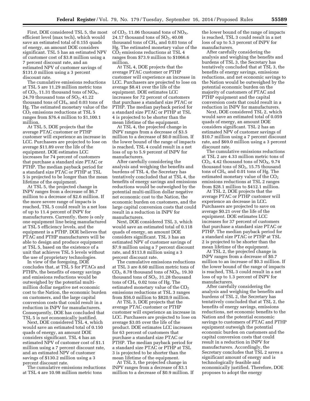First, DOE considered TSL 5, the most efficient level (max tech), which would save an estimated total of 0.155 quads of energy, an amount DOE considers significant. TSL 5 has an estimated NPV of customer cost of \$3.8 million using a 7 percent discount rate, and an estimated NPV of customer savings of \$131.0 million using a 3 percent discount rate.

The cumulative emissions reductions at TSL 5 are 11.29 million metric tons of  $CO<sub>2</sub>$ , 11.31 thousand tons of  $NO<sub>X</sub>$ , 24.70 thousand tons of  $SO<sub>2</sub>$ , 41.22 thousand tons of  $CH<sub>4</sub>$ , and 0.03 tons of Hg. The estimated monetary value of the  $CO<sub>2</sub>$  emissions reductions at TSL 5 ranges from \$76.4 million to \$1,100.1 million.

At TSL 5, DOE projects that the average PTAC customer or PTHP customer will experience an increase in LCC. Purchasers are projected to lose on average \$11.89 over the life of the equipment. DOE estimates LCC increases for 74 percent of customers that purchase a standard size PTAC or PTHP. The median payback period for a standard size PTAC or PTHP at TSL 5 is projected to be longer than the mean lifetime of the equipment.

At TSL 5, the projected change in INPV ranges from a decrease of \$6.7 million to a decrease of \$2.6 million. If the more severe range of impacts is reached, TSL 5 could result in a net loss of up to 11.4 percent of INPV for manufacturers. Currently, there is only one equipment line being manufactured at TSL 5 efficiency levels, and the equipment is a PTHP. DOE believes that PTAC and PTHP manufacturers will be able to design and produce equipment at TSL 5, based on the existence of a unit that achieves TSL 5 levels without the use of proprietary technologies.

In view of the foregoing, DOE concludes that, at TSL 5 for PTACs and PTHPs, the benefits of energy savings and emissions reductions would be outweighed by the potential multimillion dollar negative net economic cost to the Nation, the economic burden on customers, and the large capital conversion costs that could result in a reduction in INPV for manufacturers. Consequently, DOE has concluded that TSL 5 is not economically justified.

Next, DOE considered TSL 4, which would save an estimated total of 0.150 quads of energy, an amount DOE considers significant. TSL 4 has an estimated NPV of customer cost of \$1.1 million using a 7 percent discount rate, and an estimated NPV of customer savings of \$130.2 million using a 3 percent discount rate.

The cumulative emissions reductions at TSL 4 are 10.98 million metric tons

of  $CO<sub>2</sub>$ , 11.06 thousand tons of  $NO<sub>X</sub>$ , 24.17 thousand tons of  $SO<sub>2</sub>$ , 40.08 thousand tons of  $CH<sub>4</sub>$  and 0.03 tons of Hg. The estimated monetary value of the CO2 emissions reductions at TSL 4 ranges from \$73.9 million to \$1066.6 million.

At TSL 4, DOE projects that the average PTAC customer or PTHP customer will experience an increase in LCC. Purchasers are projected to lose on average \$8.41 over the life of the equipment. DOE estimates LCC increases for 72 percent of customers that purchase a standard size PTAC or PTHP. The median payback period for a standard size PTAC or PTHP at TSL 4 is projected to be shorter than the mean lifetime of the equipment.

At TSL 4, the projected change in INPV ranges from a decrease of \$3.5 million to a decrease of \$0.0 million. If the lower bound of the range of impacts is reached, TSL 4 could result in a net loss of up to 5.9 percent of INPV for manufacturers.

After carefully considering the analysis and weighing the benefits and burdens of TSL 4, the Secretary has tentatively concluded that at TSL 4, the benefits of energy savings and emissions reductions would be outweighed by the potential multi-million dollar negative net economic cost to the Nation, the economic burden on customers, and the large capital conversion costs that could result in a reduction in INPV for manufacturers.

Next, DOE considered TSL 3, which would save an estimated total of 0.118 quads of energy, an amount DOE considers significant. TSL 3 has an estimated NPV of customer savings of \$7.9 million using a 7 percent discount rate, and \$113.8 million using a 3 percent discount rate.

The cumulative emissions reductions at TSL 3 are 8.60 million metric tons of  $CO<sub>2</sub>$ , 8.78 thousand tons of  $NO<sub>X</sub>$ , 19.30 thousand tons of  $SO<sub>2</sub>$ , 31.28 thousand tons of CH4, 0.02 tons of Hg. The estimated monetary value of the  $CO<sub>2</sub>$ emissions reductions at TSL 3 ranges from \$56.0 million to \$820.9 million.

At TSL 3, DOE projects that the average PTAC customer or PTHP customer will experience an increase in LCC. Purchasers are projected to lose on average \$3.05 over the life of the product. DOE estimates LCC increases for 63 percent of customers that purchase a standard size PTAC or PTHP. The median payback period for a standard size PTAC or PTHP at TSL 3 is projected to be shorter than the mean lifetime of the equipment.

At TSL 3, the projected change in INPV ranges from a decrease of \$3.1 million to a decrease of \$0.9 million. If

the lower bound of the range of impacts is reached, TSL 3 could result in a net loss of up to 5.3 percent of INPV for manufacturers.

After carefully considering the analysis and weighing the benefits and burdens of TSL 3, the Secretary has tentatively concluded that at TSL 3, the benefits of energy savings, emissions reductions, and net economic savings to the Nation would be outweighed by the potential economic burden on the majority of customers of PTAC and PTHP equipment and the capital conversion costs that could result in a reduction in INPV for manufacturers.

Next, DOE considered TSL 2, which would save an estimated total of 0.059 quads of energy, an amount DOE considers significant. TSL 2 has an estimated NPV of customer savings of \$10.7 million using a 7 percent discount rate, and \$69.0 million using a 3 percent discount rate.

The cumulative emissions reductions at TSL 2 are 4.33 million metric tons of  $CO<sub>2</sub>$ , 4.42 thousand tons of  $NO<sub>X</sub>$ , 9.74 thousand tons of  $SO<sub>2</sub>$ , 15.75 thousand tons of CH4, and 0.01 tons of Hg. The estimated monetary value of the  $CO<sub>2</sub>$ emissions reductions at TSL 2 ranges from \$28.1 million to \$412.1 million.

At TSL 2, DOE projects that the average PTAC or PTHP customer will experience an decrease in LCC. Purchasers are projected to save on average \$0.21 over the life of the equipment. DOE estimates LCC increases for 37 percent of customers that purchase a standard size PTAC or PTHP. The median payback period for a standard size PTAC or PTHP at TSL 2 is projected to be shorter than the mean lifetime of the equipment.

At TSL 2, the projected change in INPV ranges from a decrease of \$0.7 million to an increase of \$0.3 million. If the lower bound of the range of impacts is reached, TSL 3 could result in a net loss of up to 1.3 percent of INPV for manufacturers.

After carefully considering the analysis and weighing the benefits and burdens of TSL 2, the Secretary has tentatively concluded that at TSL 2, the benefits of energy savings, emissions reductions, net economic benefits to the Nation and the potential economic savings to customers of PTAC and PTHP equipment outweigh the potential economic burden on customers and the capital conversion costs that could result in a reduction in INPV for manufacturers. Accordingly, the Secretary concludes that TSL 2 saves a significant amount of energy and is technologically feasible and economically justified. Therefore, DOE proposes to adopt the energy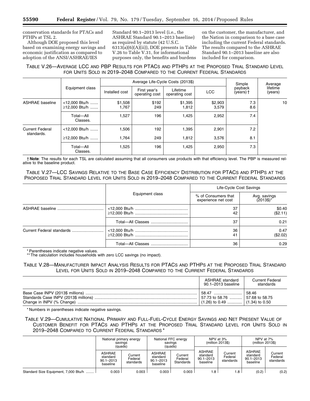conservation standards for PTACs and PTHPs at TSL 2.

Although DOE proposed this level based on examining energy savings and economic justification as compared to adoption of the ANSI/ASHRAE/IES

Standard 90.1–2013 level (i.e., the ASHRAE Standard 90.1–2013 baseline) as required by statute (42 U.S.C. 6313(a)(6)(A)(ii)), DOE presents in Table V.26 to Table V.31, for informational purposes only, the benefits and burdens

on the customer, the manufacturer, and the Nation in comparison to a base case including the current Federal standards. The results compared to the ASHRAE Standard 90.1–2013 baseline are also included for comparison.

## TABLE V.26—AVERAGE LCC AND PBP RESULTS FOR PTACS AND PTHPS AT THE PROPOSED TRIAL STANDARD LEVEL FOR UNITS SOLD IN 2019–2048 COMPARED TO THE CURRENT FEDERAL STANDARDS

|                        |                                | Average Life-Cycle Costs (2013\$)<br>Simple |                                |                            |                  |                        | Average             |
|------------------------|--------------------------------|---------------------------------------------|--------------------------------|----------------------------|------------------|------------------------|---------------------|
|                        | Equipment class                | Installed cost                              | First year's<br>operating cost | Lifetime<br>operating cost | <b>LCC</b>       | payback<br>$(years)$ † | lifetime<br>(years) |
| <b>ASHRAE</b> baseline | <12,000 Btu/h<br>≥12,000 Btu/h | \$1,508<br>1,767                            | \$192<br>249                   | \$1,395<br>1,812           | \$2,903<br>3,579 | 7.3<br>8.6             | 10                  |
|                        | Total-All<br>Classes.          | 1,527                                       | 196                            | 1,425                      | 2,952            | 7.4                    |                     |
| <b>Current Federal</b> | <12,000 Btu/h                  | 1,506                                       | 192                            | 1,395                      | 2,901            | 7.2                    |                     |
| standards.             | ≥12,000 Btu/h                  | 1.764                                       | 249                            | 1,812                      | 3,576            | 8.1                    |                     |
|                        | Total-All<br>Classes.          | 1,525                                       | 196                            | 1,425                      | 2,950            | 7.3                    |                     |

† **Note**: The results for each TSL are calculated assuming that all consumers use products with that efficiency level. The PBP is measured relative to the baseline product.

TABLE V.27—LCC SAVINGS RELATIVE TO THE BASE CASE EFFICIENCY DISTRIBUTION FOR PTACS AND PTHPS AT THE PROPOSED TRIAL STANDARD LEVEL FOR UNITS SOLD IN 2019–2048 COMPARED TO THE CURRENT FEDERAL STANDARDS

|                           |                 | Life-Cycle Cost Savings                    |                                       |
|---------------------------|-----------------|--------------------------------------------|---------------------------------------|
|                           | Equipment class | % of Consumers that<br>experience net cost | Avg. savings<br>$(2013\$ <sup>*</sup> |
|                           |                 | 37<br>42                                   | \$0.40<br>(\$2.11)                    |
|                           |                 | 37                                         | 0.21                                  |
| Current Federal standards |                 | 36<br>41                                   | 0.47<br>(\$2.02)                      |
|                           |                 | 36                                         | 0.29                                  |

\* Parentheses indicate negative values.

\*\* The calculation includes households with zero LCC savings (no impact).

## TABLE V.28—MANUFACTURER IMPACT ANALYSIS RESULTS FOR PTACS AND PTHPS AT THE PROPOSED TRIAL STANDARD LEVEL FOR UNITS SOLD IN 2019–2048 COMPARED TO THE CURRENT FEDERAL STANDARDS

| ASHRAE standard<br>90.1–2013 baseline                                       | <b>Current Federal</b><br>standards |
|-----------------------------------------------------------------------------|-------------------------------------|
| <u>57.73 to 58.76  57.68 to 58.75</u> ∃<br>$(1.26)$ to 0.49  (1.34) to 0.50 | 58.46                               |

\* Numbers in parentheses indicate negative savings.

TABLE V.29—CUMULATIVE NATIONAL PRIMARY AND FULL-FUEL-CYCLE ENERGY SAVINGS AND NET PRESENT VALUE OF CUSTOMER BENEFIT FOR PTACS AND PTHPS AT THE PROPOSED TRIAL STANDARD LEVEL FOR UNITS SOLD IN 2019–2048 COMPARED TO CURRENT FEDERAL STANDARDS \*

|                                      | National primary energy<br>savings<br>(quads)          |                                 | National FFC energy<br>savings<br>(quads)       |                                 | NPV at 3%<br>(million 2013\$)                   |                                 | NPV at 7%<br>(million 2013\$)                          |                                 |
|--------------------------------------|--------------------------------------------------------|---------------------------------|-------------------------------------------------|---------------------------------|-------------------------------------------------|---------------------------------|--------------------------------------------------------|---------------------------------|
|                                      | <b>ASHRAE</b><br>standard<br>$90.1 - 2013$<br>baseline | Current<br>Federal<br>standards | ASHRAE<br>standard<br>$90.1 - 2013$<br>baseline | Current<br>Federal<br>Standards | ASHRAE<br>standard<br>$90.1 - 2013$<br>baseline | Current<br>Federal<br>standards | <b>ASHRAE</b><br>standard<br>$90.1 - 2013$<br>baseline | Current<br>Federal<br>standards |
| Standard Size Equipment, 7,000 Btu/h | 0.003                                                  | 0.003                           | 0.003                                           | 0.003                           | $1.8$ .                                         | 1.8                             | (0.2)                                                  | (0.2)                           |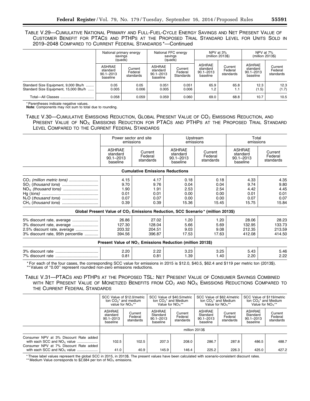TABLE V.29—CUMULATIVE NATIONAL PRIMARY AND FULL-FUEL-CYCLE ENERGY SAVINGS AND NET PRESENT VALUE OF CUSTOMER BENEFIT FOR PTACS AND PTHPS AT THE PROPOSED TRIAL STANDARD LEVEL FOR UNITS SOLD IN 2019–2048 COMPARED TO CURRENT FEDERAL STANDARDS \*—Continued

|                                                                               | National primary energy<br>savings<br>(quads)   |                                 | National FFC energy<br>savings<br>(quads)       |                                 | NPV at 3%<br>(million 2013\$)                   |                                 | NPV at 7%<br>(million 2013\$)                          |                                 |
|-------------------------------------------------------------------------------|-------------------------------------------------|---------------------------------|-------------------------------------------------|---------------------------------|-------------------------------------------------|---------------------------------|--------------------------------------------------------|---------------------------------|
|                                                                               | ASHRAE<br>standard<br>$90.1 - 2013$<br>baseline | Current<br>Federal<br>standards | ASHRAE<br>standard<br>$90.1 - 2013$<br>baseline | Current<br>Federal<br>Standards | ASHRAE<br>standard<br>$90.1 - 2013$<br>baseline | Current<br>Federal<br>standards | <b>ASHRAE</b><br>standard<br>$90.1 - 2013$<br>baseline | Current<br>Federal<br>standards |
| Standard Size Equipment, 9,000 Btu/h<br>Standard Size Equipment, 15,000 Btu/h | 0.05<br>0.005                                   | 0.05<br>0.006                   | 0.051<br>0.005                                  | 0.051<br>0.006                  | 65.9<br>1.2                                     | 65.8<br>1.1                     | 12.3<br>(1.5)                                          | 12.3<br>(1.7)                   |
|                                                                               | 0.058                                           | 0.059                           | 0.059                                           | 0.060                           | 69.0                                            | 68.8                            | 10.7                                                   | 10.5                            |

\* Parentheses indicate negative values.

**Note**: Components may not sum to total due to rounding.

TABLE V.30-CUMULATIVE EMISSIONS REDUCTION, GLOBAL PRESENT VALUE OF CO<sub>2</sub> EMISSIONS REDUCTION, AND PRESENT VALUE OF  $NO_X$  EMISSIONS REDUCTION FOR PTACS AND PTHPS AT THE PROPOSED TRIAL STANDARD LEVEL COMPARED TO THE CURRENT FEDERAL STANDARDS

|                                   | Power sector and site<br>emissions                     |                                        | Upstream<br>emissions                                                                       |                                 | Total<br>emissions                                     |                                 |
|-----------------------------------|--------------------------------------------------------|----------------------------------------|---------------------------------------------------------------------------------------------|---------------------------------|--------------------------------------------------------|---------------------------------|
|                                   | <b>ASHRAE</b><br>standard<br>$90.1 - 2013$<br>baseline | Current<br>Federal<br>standards        | <b>ASHRAE</b><br>standard<br>$90.1 - 2013$<br>baseline                                      | Current<br>Federal<br>standards | <b>ASHRAE</b><br>standard<br>$90.1 - 2013$<br>baseline | Current<br>Federal<br>standards |
|                                   |                                                        | <b>Cumulative Emissions Reductions</b> |                                                                                             |                                 |                                                        |                                 |
|                                   | 4.15                                                   | 4.17                                   | 0.18                                                                                        | 0.18                            | 4.33                                                   | 4.35                            |
|                                   | 9.70                                                   | 9.76                                   | 0.04                                                                                        | 0.04                            | 9.74                                                   | 9.80                            |
|                                   | 1.90                                                   | 1.91                                   | 2.53                                                                                        | 2.54                            | 4.42                                                   | 4.45                            |
|                                   | 0.01                                                   | 0.01                                   | 0.00                                                                                        | 0.00                            | 0.01                                                   | 0.01                            |
|                                   | 0.07                                                   | 0.07                                   | 0.00                                                                                        | 0.00                            | 0.07                                                   | 0.07                            |
|                                   | 0.39                                                   | 0.39                                   | 15.36                                                                                       | 15.45                           | 15.75                                                  | 15.84                           |
|                                   |                                                        |                                        | Global Present Value of CO <sub>2</sub> Emissions Reduction, SCC Scenario* (million 2013\$) |                                 |                                                        |                                 |
|                                   | 26.86                                                  | 27.02                                  | 1.20                                                                                        | 1.20                            | 28.06                                                  | 28.23                           |
|                                   | 127.30                                                 | 128.04                                 | 5.66                                                                                        | 5.69                            | 132.95                                                 | 133.73                          |
| 2.5% discount rate, average       | 203.32                                                 | 204.51                                 | 9.03                                                                                        | 9.08                            | 212.35                                                 | 213.59                          |
| 3% discount rate, 95th percentile | 394.56                                                 | 396.87                                 | 17.53                                                                                       | 17.63                           | 412.08                                                 | 414.50                          |

| Present Value of $NO_x$ Emissions Reduction (million 2013\$) |      |      |      |       |      |      |  |  |  |
|--------------------------------------------------------------|------|------|------|-------|------|------|--|--|--|
|                                                              | 2.20 | 2.22 | 3.23 | 3.25  | 5.43 | 5.46 |  |  |  |
| 7% discount rate                                             | 0.81 | 0.81 | .39  | . .40 | 2.20 | 2.22 |  |  |  |

\* For each of the four cases, the corresponding SCC value for emissions in 2015 is \$12.0, \$40.5, \$62.4 and \$119 per metric ton (2013\$). \*\* Values of ''0.00'' represent rounded non-zero emissions reductions.

## TABLE V.31—PTACS AND PTHPS AT THE PROPOSED TSL: NET PRESENT VALUE OF CONSUMER SAVINGS COMBINED WITH NET PRESENT VALUE OF MONETIZED BENEFITS FROM  $CO<sub>2</sub>$  and  $NO<sub>X</sub>$  Emissions Reductions Compared to THE CURRENT FEDERAL STANDARDS

|                                                                                                                                                      | SCC Value of \$12.0/metric<br>ton $CO2$ * and medium<br>value for $NO_x$ ** |                                 | SCC Value of \$40.5/metric<br>ton $CO2$ * and Medium<br>Value for $NOx**$ |                                 | SCC Value of \$62.4/metric<br>ton $CO2$ * and Medium<br>Value for $NOx**$ |                                 | SCC Value of \$119/metric<br>ton $CO2$ * and Medium<br>Value for $NOx**$ |                                 |
|------------------------------------------------------------------------------------------------------------------------------------------------------|-----------------------------------------------------------------------------|---------------------------------|---------------------------------------------------------------------------|---------------------------------|---------------------------------------------------------------------------|---------------------------------|--------------------------------------------------------------------------|---------------------------------|
|                                                                                                                                                      | <b>ASHRAE</b><br>standard<br>$90.1 - 2013$<br>baseline                      | Current<br>Federal<br>standards | <b>ASHRAE</b><br>Standard<br>$90.1 - 2013$<br>baseline                    | Current<br>Federal<br>standards | <b>ASHRAE</b><br>Standard<br>$90.1 - 2013$<br>baseline                    | Current<br>Federal<br>standards | <b>ASHRAE</b><br>Standard<br>$90.1 - 2013$<br>baseline                   | Current<br>Federal<br>standards |
|                                                                                                                                                      | million 2013\$                                                              |                                 |                                                                           |                                 |                                                                           |                                 |                                                                          |                                 |
| Consumer NPV at 3% Discount Rate added<br>with each SCC and $NO_x$ value<br>Consumer NPV at 7% Discount Rate added<br>with each SCC and $NO_x$ value | 102.5<br>41.0                                                               | 102.5<br>40.9                   | 207.3<br>145.9                                                            | 208.0<br>146.4                  | 286.7<br>225.2                                                            | 287.8<br>226.3                  | 486.5<br>425.0                                                           | 488.7<br>427.2                  |

\*These label values represent the global SCC in 2015, in 2013\$. The present values have been calculated with scenario-consistent discount rates.<br>\*\*Medium Value corresponds to \$2,684 per ton of NO<sub>x</sub> emissions.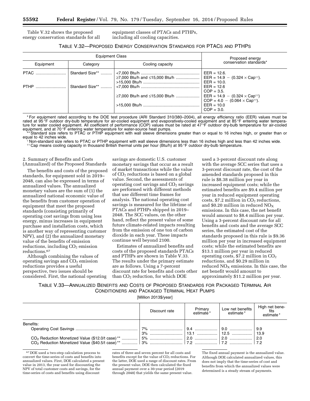Table V.32 shows the proposed energy conservation standards for all equipment classes of PTACs and PTHPs, including all cooling capacities.

| TABLE V.32—PROPOSED ENERGY CONSERVATION STANDARDS FOR PTACS AND PTHPS |  |  |
|-----------------------------------------------------------------------|--|--|
|-----------------------------------------------------------------------|--|--|

|             | <b>Equipment Class</b> | Proposed energy<br>conservation standards* |                                                                                                                                                             |  |
|-------------|------------------------|--------------------------------------------|-------------------------------------------------------------------------------------------------------------------------------------------------------------|--|
| Equipment   | Category               | Cooling capacity                           |                                                                                                                                                             |  |
| <b>PTAC</b> |                        |                                            | $EER = 12.6$ .<br>EER = 14.9 - $(0.324 \times Cap^{\dagger})$ .<br>$EER = 10.0$ .                                                                           |  |
|             | Standard Size**        | ≥7,000 Btu/h and ≤15,000 Btu/h             | $EER = 12.6$<br>$COP = 3.5.$<br>EER = $14.9 - (0.324 \times Cap^{\dagger})$<br>$COP = 4.0 - (0.064 \times Cap^{\dagger})$ .<br>$EER = 10.0$<br>$COP = 3.0.$ |  |

\* For equipment rated according to the DOE test procedure (ARI Standard 310/380–2004), all energy efficiency ratio (EER) values must be rated at 95 °F outdoor dry-bulb temperature for air-cooled equipment and evaporatively-cooled equipment and at 85 °F entering water temperature for water cooled equipment. All coefficient of performance (COP) values must be rated at 47 °F outdoor dry-bulb temperature for air-cooled equipment, and at 70 °F entering water temperature for water-source heat pumps.

\*\* Standard size refers to PTAC or PTHP equipment with wall sleeve dimensions greater than or equal to 16 inches high, or greater than or equal to 42 inches wide.

Non-standard size refers to PTAC or PTHP equipment with wall sleeve dimensions less than 16 inches high and less than 42 inches wide. †† Cap means cooling capacity in thousand British thermal units per hour (Btu/h) at 95 °F outdoor dry-bulb temperature.

## 2. Summary of Benefits and Costs (Annualized) of the Proposed Standards

The benefits and costs of the proposed standards, for equipment sold in 2019– 2048, can also be expressed in terms of annualized values. The annualized monetary values are the sum of (1) the annualized national economic value of the benefits from customer operation of equipment that meet the proposed standards (consisting primarily of operating cost savings from using less energy, minus increases in equipment purchase and installation costs, which is another way of representing customer NPV), and (2) the annualized monetary value of the benefits of emission  $reductions, including  $CO<sub>2</sub>$  emission$ reductions.67

Although combining the values of operating savings and  $CO<sub>2</sub>$  emission reductions provides a useful perspective, two issues should be considered. First, the national operating

savings are domestic U.S. customer monetary savings that occur as a result of market transactions while the value of CO2 reductions is based on a global value. Second, the assessments of operating cost savings and  $CO<sub>2</sub>$  savings are performed with different methods that use different time frames for analysis. The national operating cost savings is measured for the lifetime of PTACs and PTHPs shipped in 2019– 2048. The SCC values, on the other hand, reflect the present value of some future climate-related impacts resulting from the emission of one ton of carbon dioxide in each year. These impacts continue well beyond 2100.

Estimates of annualized benefits and costs of the proposed standards PTACs and PTHPs are shown in Table V.33. The results under the primary estimate are as follows. Using a 7-percent discount rate for benefits and costs other than  $CO<sub>2</sub>$  reduction, for which DOE

used a 3-percent discount rate along with the average SCC series that uses a 3-percent discount rate, the cost of the amended standards proposed in this rule is \$8.38 million per year in increased equipment costs; while the estimated benefits are \$9.4 million per year in reduced equipment operating costs, \$7.2 million in  $CO<sub>2</sub>$  reductions, and \$0.20 million in reduced  $NO<sub>X</sub>$ emissions. In this case, the net benefit would amount to \$8.4 million per year. Using a 3-percent discount rate for all benefits and costs and the average SCC series, the estimated cost of the standards proposed in this rule is \$9.36 million per year in increased equipment costs; while the estimated benefits are \$13.1 million per year in reduced operating costs,  $$7.2$  million in  $CO<sub>2</sub>$ reductions, and \$0.29 million in reduced  $NO<sub>X</sub>$  emissions. In this case, the net benefit would amount to approximately \$11.2 million per year.

TABLE V.33—ANNUALIZED BENEFITS AND COSTS OF PROPOSED STANDARDS FOR PACKAGED TERMINAL AIR CONDITIONERS AND PACKAGED TERMINAL HEAT PUMPS

[Million 2013\$/year]

|           | Discount rate | Primary<br>estimate <sup>*</sup> | Low net benefits<br>estimate* | High net bene-<br>fits<br>estimate* |
|-----------|---------------|----------------------------------|-------------------------------|-------------------------------------|
| Benefits: |               |                                  |                               |                                     |
|           |               |                                  |                               | 9.9                                 |
|           |               |                                  |                               | 13.9                                |
|           |               |                                  |                               | 2.0                                 |
|           |               |                                  |                               |                                     |
|           |               |                                  |                               |                                     |

67 DOE used a two-step calculation process to convert the time-series of costs and benefits into annualized values. First, DOE calculated a present value in 2013, the year used for discounting the NPV of total customer costs and savings, for the time-series of costs and benefits using discount

rates of three and seven percent for all costs and benefits except for the value of  $CO<sub>2</sub>$  reductions. For the latter, DOE used a range of discount rates. From the present value, DOE then calculated the fixed annual payment over a 30-year period (2019 through 2048) that yields the same present value.

The fixed annual payment is the annualized value. Although DOE calculated annualized values, this does not imply that the time-series of cost and benefits from which the annualized values were determined is a steady stream of payments.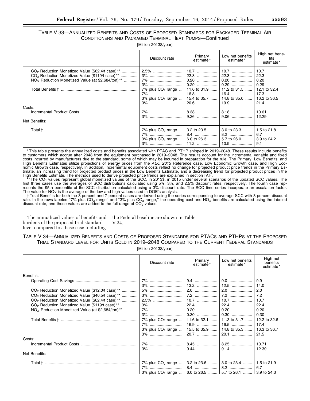## TABLE V.33—ANNUALIZED BENEFITS AND COSTS OF PROPOSED STANDARDS FOR PACKAGED TERMINAL AIR CONDITIONERS AND PACKAGED TERMINAL HEAT PUMPS—Continued

[Million 2013\$/year]

|                                                                                                                                                                                    | Discount rate                                                                                                                                   | Primary<br>estimate* | Low net benefits<br>estimate* | High net bene-<br>fits<br>estimate*          |
|------------------------------------------------------------------------------------------------------------------------------------------------------------------------------------|-------------------------------------------------------------------------------------------------------------------------------------------------|----------------------|-------------------------------|----------------------------------------------|
| $CO2$ Reduction Monetized Value (\$62.4/t case) **<br>CO <sub>2</sub> Reduction Monetized Value (\$119/t case) <sup>**</sup><br>$NOx$ Reduction Monetized Value (at \$2,684/ton)** | 7% plus $CO_2$ range    11.6 to 31.9    11.2 to 31.5    12.1 to 32.4<br>3% plus $CO_2$ range    15.4 to 35.7    14.8 to 35.0    16.2 to 36.5    |                      |                               | 10.7<br>22.3<br>0.20<br>0.29<br>17.3<br>21.4 |
| Costs:<br>Net Benefits:                                                                                                                                                            |                                                                                                                                                 |                      | $ 9.06$                       | 10.61<br>12.29                               |
| Total † ……………………………………………………………………                                                                                                                                                 | 7% plus CO <sub>2</sub> range    3.2 to 23.5    3.0 to 23.3    1.5 to 21.8<br>3% plus $CO_2$ range    6.0 to 26.3    5.7 to 26.0    3.9 to 24.2 |                      |                               |                                              |

\* This table presents the annualized costs and benefits associated with PTAC and PTHP shipped in 2019–2048. These results include benefits to customers which accrue after 2048 from the equipment purchased in 2019–2048. The results account for the incremental variable and fixed costs incurred by manufacturers due to the standard, some of which may be incurred in preparation for the rule. The Primary, Low Benefits, and High Benefits Estimates utilize projections of energy prices from the *AEO 2013* Reference case, Low Economic Growth case, and High Economic Growth case, respectively. In addition, incremental equipment costs reflect no change for projected product price trends in the Primary Estimate, an increasing trend for projected product prices in the Low Benefits Estimate, and a decreasing trend for projected product prices in the

High Benefits Estimate. The methods used to derive projected price trends are explained in section IV.F.<br>\*\* The CO<sub>2</sub> values represent global monetized values of the SCC, in 2013\$, in 2015 under several scenarios of the up resents the 95th percentile of the SCC distribution calculated using a 3% discount rate. The SCC time series incorporate an escalation factor.

The value for NO<sub>X</sub> is the average of the low and high values used in DOE's analysis.<br>†Total Benefits for both the 3-percent and 7-percent cases are derived using the series corresponding to average SCC with 3-percent disc rate. In the rows labeled "7% plus CO<sub>2</sub> range" and "3% plus CO<sub>2</sub> range," the operating cost and NO<sub>X</sub> benefits are calculated using the labeled<br>discount rate, and those values are added to the full range of CO<sub>2</sub> values

The annualized values of benefits and burdens of the proposed trial standard level compared to a base case including

the Federal baseline are shown in Table V.34.

## TABLE V.34—ANNUALIZED BENEFITS AND COSTS OF PROPOSED STANDARDS FOR PTACS AND PTHPS AT THE PROPOSED TRIAL STANDARD LEVEL FOR UNITS SOLD IN 2019–2048 COMPARED TO THE CURRENT FEDERAL STANDARDS

[Million 2013\$/year]

|                                                                | Discount rate                                                                 | Primary<br>estimate* | Low net benefits<br>estimate* | High net<br>benefits<br>estimate* |
|----------------------------------------------------------------|-------------------------------------------------------------------------------|----------------------|-------------------------------|-----------------------------------|
| Benefits:                                                      |                                                                               |                      |                               |                                   |
|                                                                |                                                                               |                      |                               | 9.9                               |
|                                                                |                                                                               |                      |                               | 14.0                              |
| CO <sub>2</sub> Reduction Monetized Value (\$12.0/t case) **   |                                                                               |                      |                               | 2.0                               |
| CO <sub>2</sub> Reduction Monetized Value (\$40.5/t case) **   |                                                                               |                      |                               | 7.2                               |
| $CO2$ Reduction Monetized Value (\$62.4/t case) **             |                                                                               |                      |                               | 10.7                              |
| CO <sub>2</sub> Reduction Monetized Value (\$119/t case)**     |                                                                               |                      |                               | 22.4                              |
| $NOx$ Reduction Monetized Value (at \$2,684/ton) <sup>**</sup> |                                                                               |                      |                               | 0.20                              |
|                                                                |                                                                               |                      |                               | 0.30                              |
|                                                                |                                                                               |                      |                               |                                   |
|                                                                | 7% plus CO <sub>2</sub> range    11.6 to 32.1    11.3 to 31.7    12.2 to 32.6 |                      |                               |                                   |
|                                                                |                                                                               |                      |                               | 17.4                              |
|                                                                | 3% plus $CO_2$ range    15.5 to 35.9    14.8 to 35.3                          |                      |                               | 16.3 to 36.7                      |
|                                                                |                                                                               |                      |                               | 21.5                              |
| Costs:                                                         |                                                                               |                      |                               |                                   |
|                                                                |                                                                               |                      |                               | 10.71                             |
|                                                                |                                                                               |                      |                               | 12.39                             |
| Net Benefits:                                                  |                                                                               |                      |                               |                                   |
| Total † ……………………………………………………………………                             | 7% plus $CO_2$ range    3.2 to 23.6    3.0 to 23.4    1.5 to 21.9             |                      |                               |                                   |
|                                                                |                                                                               |                      |                               | 6.7                               |
|                                                                |                                                                               |                      |                               |                                   |
|                                                                | 3% plus CO <sub>2</sub> range    6.0 to 26.5    5.7 to 26.1    3.9 to 24.3    |                      |                               |                                   |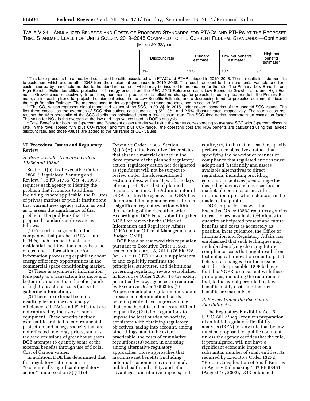TABLE V.34—ANNUALIZED BENEFITS AND COSTS OF PROPOSED STANDARDS FOR PTACS AND PTHPS AT THE PROPOSED TRIAL STANDARD LEVEL FOR UNITS SOLD IN 2019–2048 COMPARED TO THE CURRENT FEDERAL STANDARDS—Continued

[Million 2013\$/year]

| Discount rate | Primary<br>estimate <sup>*</sup> | Low net benefits<br>estimate* | High net<br>benefits<br>estimate* |
|---------------|----------------------------------|-------------------------------|-----------------------------------|
| 3%<br>        | 11 O<br>ن. ا<br>                 | 10.9<br>                      | 9.1                               |

\* This table presents the annualized costs and benefits associated with PTAC and PTHP shipped in 2019–2048. These results include benefits to customers which accrue after 2048 from the equipment purchased in 2019–2048. The results account for the incremental variable and fixed costs incurred by manufacturers due to the standard, some of which may be incurred in preparation for the rule. The Primary, Low Benefits, and High Benefits Estimates utilize projections of energy prices from the *AEO 2013* Reference case, Low Economic Growth case, and High Economic Growth case, respectively. In addition, incremental product costs reflect no change for projected product price trends in the Primary Estimate, an increasing trend for projected equipment prices in the Low Benefits Estimate, and a decreasing trend for projected equipment prices in

the High Benefits Estimate. The methods used to derive projected price trends are explained in section IV.F.<br>\*\* The CO<sub>2</sub> values represent global monetized values of the SCC, in 2013\$, in 2015 under several scenarios of th resents the 95th percentile of the SCC distribution calculated using a 3% discount rate. The SCC time series incorporate an escalation factor. The value for  $NO<sub>X</sub>$  is the average of the low and high values used in DOE's analysis.

† Total Benefits for both the 3-percent and 7-percent cases are derived using the series corresponding to average SCC with 3-percent discount rate. In the rows labeled "7% plus CO<sub>2</sub> range" and "3% plus CO<sub>2</sub> range," the operating cost and NO<sub>X</sub> benefits are calculated using the labeled discount rate, and those values are added to the full range of  $CO<sub>2</sub>$  values.

#### **VI. Procedural Issues and Regulatory Review**

#### *A. Review Under Executive Orders 12866 and 13563*

Section 1(b)(1) of Executive Order 12866, ''Regulatory Planning and Review,'' 58 FR 51735 (Oct. 4, 1993), requires each agency to identify the problem that it intends to address, including, where applicable, the failures of private markets or public institutions that warrant new agency action, as well as to assess the significance of that problem. The problems that the proposed standards address are as follows:

(1) For certain segments of the companies that purchase PTACs and PTHPs, such as small hotels and residential facilities, there may be a lack of customer information and/or information processing capability about energy efficiency opportunities in the commercial space conditioning market.

(2) There is asymmetric information (one party to a transaction has more and better information than the other) and/ or high transactions costs (costs of gathering information).

(3) There are external benefits resulting from improved energy efficiency of PTACs and PTHPs that are not captured by the users of such equipment. These benefits include externalities related to environmental protection and energy security that are not reflected in energy prices, such as reduced emissions of greenhouse gases. DOE attempts to quantify some of the external benefits through use of Social Cost of Carbon values.

In addition, DOE has determined that this regulatory action is not an ''economically significant regulatory action'' under section 3(f)(1) of

Executive Order 12866. Section 6(a)(3)(A) of the Executive Order states that absent a material change in the development of the planned regulatory action, regulatory action not designated as significant will not be subject to review under the aforementioned section unless, within 10 working days of receipt of DOE's list of planned regulatory actions, the Administrator of OIRA notifies the agency that OIRA has determined that a planned regulation is a significant regulatory action within the meaning of the Executive order. Accordingly, DOE is not submitting this NOPR for review by the Office of Information and Regulatory Affairs (OIRA) in the Office of Management and Budget (OMB).

DOE has also reviewed this regulation pursuant to Executive Order 13563, issued on January 18, 2011. (76 FR 3281, Jan. 21, 2011) EO 13563 is supplemental to and explicitly reaffirms the principles, structures, and definitions governing regulatory review established in Executive Order 12866. To the extent permitted by law, agencies are required by Executive Order 13563 to: (1) Propose or adopt a regulation only upon a reasoned determination that its benefits justify its costs (recognizing that some benefits and costs are difficult to quantify); (2) tailor regulations to impose the least burden on society, consistent with obtaining regulatory objectives, taking into account, among other things, and to the extent practicable, the costs of cumulative regulations; (3) select, in choosing among alternative regulatory approaches, those approaches that maximize net benefits (including potential economic, environmental, public health and safety, and other advantages; distributive impacts; and

equity); (4) to the extent feasible, specify performance objectives, rather than specifying the behavior or manner of compliance that regulated entities must adopt; and (5) identify and assess available alternatives to direct regulation, including providing economic incentives to encourage the desired behavior, such as user fees or marketable permits, or providing information upon which choices can be made by the public.

DOE emphasizes as well that Executive Order 13563 requires agencies to use the best available techniques to quantify anticipated present and future benefits and costs as accurately as possible. In its guidance, the Office of Information and Regulatory Affairs has emphasized that such techniques may include identifying changing future compliance costs that might result from technological innovation or anticipated behavioral changes. For the reasons stated in the preamble, DOE believes that this NOPR is consistent with these principles, including the requirement that, to the extent permitted by law, benefits justify costs and that net benefits are maximized.

## *B. Review Under the Regulatory Flexibility Act*

The Regulatory Flexibility Act (5 U.S.C. 601 *et seq.*) requires preparation of an initial regulatory flexibility analysis (IRFA) for any rule that by law must be proposed for public comment, unless the agency certifies that the rule, if promulgated, will not have a significant economic impact on a substantial number of small entities. As required by Executive Order 13272, ''Proper Consideration of Small Entities in Agency Rulemaking,'' 67 FR 53461 (August 16, 2002), DOE published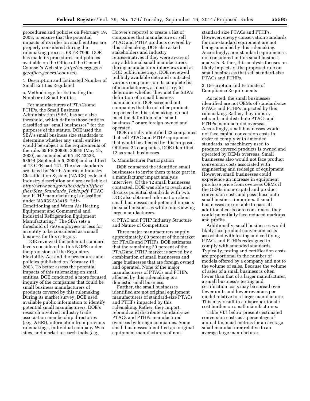procedures and policies on February 19, 2003, to ensure that the potential impacts of its rules on small entities are properly considered during the rulemaking process. 68 FR 7990. DOE has made its procedures and policies available on the Office of the General Counsel's Web site (*[http://energy.gov/](http://energy.gov/gc/office-general-counsel) [gc/office-general-counsel](http://energy.gov/gc/office-general-counsel)*).

1. Description and Estimated Number of Small Entities Regulated

#### a. Methodology for Estimating the Number of Small Entities

For manufacturers of PTACs and PTHPs, the Small Business Administration (SBA) has set a size threshold, which defines those entities classified as ''small businesses'' for the purposes of the statute. DOE used the SBA's small business size standards to determine whether any small entities would be subject to the requirements of the rule. 65 FR 30836, 30848 (May 15, 2000), as amended at 65 FR 53533, 53544 (September 5, 2000) and codified at 13 CFR part 121. The size standards are listed by North American Industry Classification System (NAICS) code and industry description and are available at *[http://www.sba.gov/sites/default/files/](http://www.sba.gov/sites/default/files/files/Size_Standards_Table.pdf)  files/Size*\_*Standards*\_*[Table.pdf.](http://www.sba.gov/sites/default/files/files/Size_Standards_Table.pdf)* PTAC and PTHP manufacturing is classified under NAICS 333415, ''Air-Conditioning and Warm Air Heating Equipment and Commercial and Industrial Refrigeration Equipment Manufacturing.'' The SBA sets a threshold of 750 employees or less for an entity to be considered as a small business for this category.

DOE reviewed the potential standard levels considered in this NOPR under the provisions of the Regulatory Flexibility Act and the procedures and policies published on February 19, 2003. To better assess the potential impacts of this rulemaking on small entities, DOE conducted a more focused inquiry of the companies that could be small business manufacturers of products covered by this rulemaking. During its market survey, DOE used available public information to identify potential small manufacturers. DOE's research involved industry trade association membership directories (*e.g.,* AHRI), information from previous rulemakings, individual company Web sites, and market research tools (*e.g.,* 

Hoover's reports) to create a list of companies that manufacture or sell PTAC and PTHP products covered by this rulemaking. DOE also asked stakeholders and industry representatives if they were aware of any additional small manufacturers during manufacturer interviews and at DOE public meetings. DOE reviewed publicly available data and contacted various companies on its complete list of manufacturers, as necessary, to determine whether they met the SBA's definition of a small business manufacturer. DOE screened out companies that do not offer products impacted by this rulemaking, do not meet the definition of a ''small business,'' or are foreign owned and operated.

DOE initially identified 22 companies that sell PTAC and PTHP equipment that would be affected by this proposal. Of these 22 companies, DOE identified 12 as small businesses.

#### b. Manufacturer Participation

DOE contacted the identified small businesses to invite them to take part in a manufacturer impact analysis interview. Of the 12 small businesses contacted, DOE was able to reach and discuss potential standards with two. DOE also obtained information about small businesses and potential impacts on small businesses while interviewing large manufacturers.

## c. PTAC and PTHP Industry Structure and Nature of Competition

Three major manufacturers supply approximately 80 percent of the market for PTACs and PTHPs. DOE estimates that the remaining 20 percent of the PTAC and PTHP market is served by a combination of small businesses and large businesses that are foreign owned and operated. None of the major manufacturers of PTACs and PTHPs affected by this rulemaking is a domestic small business.

Further, the small businesses identified are not original equipment manufacturers of standard-size PTACs and PTHPs impacted by this rulemaking. Rather, they import, rebrand, and distribute standard-size PTACs and PTHPs manufactured overseas by foreign companies. Some small businesses identified are original equipment manufacturers of non-

standard size PTACs and PTHPs. However, energy conservation standards for non-standard equipment are not being amended by this rulemaking. Accordingly, non-standard equipment is not considered in this small business analysis. Rather, this analysis focuses on likely impacts of the proposed rule on small businesses that sell standard-size PTACs and PTHPs.

#### 2. Description and Estimate of Compliance Requirements

As noted, the small businesses identified are not OEMs of standard-size PTACs and PTHPs impacted by this rulemaking. Rather, they import, rebrand, and distribute PTACs and PTHPs manufactured overseas. Accordingly, small businesses would not face capital conversion costs in order to comply with amended standards, as machinery used to produce covered products is owned and operated by OEMs overseas. Small businesses also would not face product conversion costs associated with engineering and redesign of equipment. However, small businesses could experience an increase in equipment purchase price from overseas OEMs if the OEMs incur capital and product conversion costs and pass those onto small business importers. If small businesses are not able to pass all additional costs onto consumers, they could potentially face reduced markups and profits.

Additionally, small businesses would likely face product conversion costs associated with testing and certifying PTACs and PTHPs redesigned to comply with amended standards. Typically, testing and certification costs are proportional to the number of models offered by a company and not to the volume of sales. Because the volume of sales of a small business is often lower than that of a larger manufacturer, a small business's testing and certification costs may be spread over fewer units and lower revenues per model relative to a larger manufacturer. This may result in a disproportionate cost burden on small manufacturers.

Table VI.1 below presents estimated conversion costs as a percentage of annual financial metrics for an average small manufacturer relative to an average large manufacturer.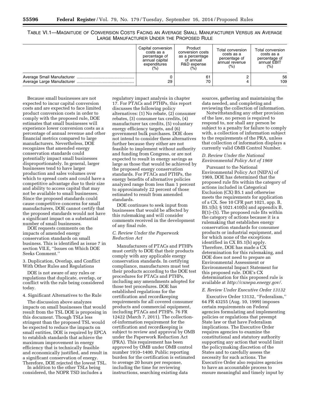| TABLE VI.1—MAGNITUDE OF CONVERSION COSTS FACING AN AVERAGE SMALL MANUFACTURER VERSUS AN AVERAGE |                                            |  |  |  |
|-------------------------------------------------------------------------------------------------|--------------------------------------------|--|--|--|
|                                                                                                 | LARGE MANUFACTURER UNDER THE PROPOSED RULE |  |  |  |

| Capital conversion<br>costs as a<br>percentage of<br>annual capital<br>expenditures<br>$(\% )$ | Product<br>conversion costs<br>as a percentage<br>of annual<br>R&D expense<br>(%) | Total conversion<br>costs as a<br>percentage of<br>annual revenue<br>(%) | Total conversion<br>costs as a<br>percentage of<br>annual EBIT<br>$(\% )$ |
|------------------------------------------------------------------------------------------------|-----------------------------------------------------------------------------------|--------------------------------------------------------------------------|---------------------------------------------------------------------------|
| 29                                                                                             | 61<br>70                                                                          |                                                                          | 56<br>109                                                                 |

Because small businesses are not expected to incur capital conversion costs and are expected to face limited product conversion costs in order to comply with the proposed rule, DOE estimates that small businesses will experience lower conversion costs as a percentage of annual revenue and other financial metrics compared to large manufacturers. Nevertheless, DOE recognizes that amended energy conservation standards could potentially impact small businesses disproportionately. In general, larger businesses tend to have larger production and sales volumes over which to spread costs and could have a competitive advantage due to their size and ability to access capital that may not be available to small businesses. Since the proposed standards could cause competitive concerns for small manufacturers, DOE cannot certify that the proposed standards would not have a significant impact on a substantial number of small businesses.

DOE requests comments on the impacts of amended energy conservation standards on small business. This is identified as issue 7 in section VII.E, ''Issues on Which DOE Seeks Comment.''

3. Duplication, Overlap, and Conflict With Other Rules and Regulations

DOE is not aware of any rules or regulations that duplicate, overlap, or conflict with the rule being considered today.

## 4. Significant Alternatives to the Rule

The discussion above analyzes impacts on small businesses that would result from the TSL DOE is proposing in this document. Though TSLs less stringent than the proposed TSL would be expected to reduce the impacts on small entities, DOE is required by EPCA to establish standards that achieve the maximum improvement in energy efficiency that is technically feasible and economically justified, and result in a significant conservation of energy. Therefore, DOE rejected the lowest TSL.

In addition to the other TSLs being considered, the NOPR TSD includes a

regulatory impact analysis in chapter 17. For PTACs and PTHPs, this report discusses the following policy alternatives: (1) No rebate, (2) consumer rebates, (3) consumer tax credits, (4) manufacturer tax credits, (5) voluntary energy efficiency targets, and (6) government bulk purchases. DOE does not intend to consider these alternatives further because they either are not feasible to implement without authority and funding from Congress, or are not expected to result in energy savings as large as those that would be achieved by the proposed energy conservation standards. For PTACs and PTHPs, the energy benefits of alternative policies analyzed range from less than 1 percent to approximately 22 percent of those estimated to result from amended standards.

DOE continues to seek input from businesses that would be affected by this rulemaking and will consider comments received in the development of any final rule.

## *C. Review Under the Paperwork Reduction Act*

Manufacturers of PTACs and PTHPs must certify to DOE that their products comply with any applicable energy conservation standards. In certifying compliance, manufacturers must test their products according to the DOE test procedures for PTACs and PTHPs, including any amendments adopted for those test procedures. DOE has established regulations for the certification and recordkeeping requirements for all covered consumer products and commercial equipment, including PTACs and PTHPs. 76 FR 12422 (March 7, 2011). The collectionof-information requirement for the certification and recordkeeping is subject to review and approval by OMB under the Paperwork Reduction Act (PRA). This requirement has been approved by OMB under OMB control number 1910–1400. Public reporting burden for the certification is estimated to average 20 hours per response, including the time for reviewing instructions, searching existing data

sources, gathering and maintaining the data needed, and completing and reviewing the collection of information.

Notwithstanding any other provision of the law, no person is required to respond to, nor shall any person be subject to a penalty for failure to comply with, a collection of information subject to the requirements of the PRA, unless that collection of information displays a currently valid OMB Control Number.

## *D. Review Under the National Environmental Policy Act of 1969*

Pursuant to the National Environmental Policy Act (NEPA) of 1969, DOE has determined that the proposed rule fits within the category of actions included in Categorical Exclusion (CX) B5.1 and otherwise meets the requirements for application of a CX. See 10 CFR part 1021, app. B, B5.1(b); § 1021.410(b) and appendix B, B(1)–(5). The proposed rule fits within the category of actions because it is a rulemaking that establishes energy conservation standards for consumer products or industrial equipment, and for which none of the exceptions identified in CX B5.1(b) apply. Therefore, DOE has made a CX determination for this rulemaking, and DOE does not need to prepare an Environmental Assessment or Environmental Impact Statement for this proposed rule. DOE's CX determination for this proposed rule is available at *[http://cxnepa.energy.gov/.](http://cxnepa.energy.gov/)* 

#### *E. Review Under Executive Order 13132*

Executive Order 13132, ''Federalism,'' 64 FR 43255 (Aug. 10, 1999) imposes certain requirements on Federal agencies formulating and implementing policies or regulations that preempt State law or that have Federalism implications. The Executive Order requires agencies to examine the constitutional and statutory authority supporting any action that would limit the policymaking discretion of the States and to carefully assess the necessity for such actions. The Executive Order also requires agencies to have an accountable process to ensure meaningful and timely input by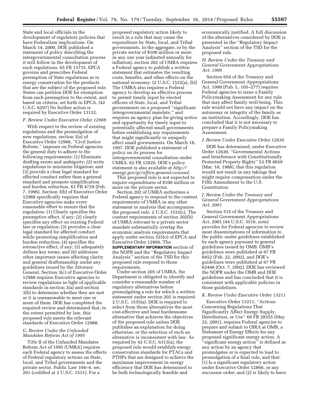State and local officials in the development of regulatory policies that have Federalism implications. On March 14, 2000, DOE published a statement of policy describing the intergovernmental consultation process it will follow in the development of such regulations. 65 FR 13735. EPCA governs and prescribes Federal preemption of State regulations as to energy conservation for the products that are the subject of the proposed rule. States can petition DOE for exemption from such preemption to the extent, and based on criteria, set forth in EPCA. (42 U.S.C. 6297) No further action is required by Executive Order 13132.

#### *F. Review Under Executive Order 12988*

With respect to the review of existing regulations and the promulgation of new regulations, section 3(a) of Executive Order 12988, ''Civil Justice Reform,'' imposes on Federal agencies the general duty to adhere to the following requirements: (1) Eliminate drafting errors and ambiguity; (2) write regulations to minimize litigation; and (3) provide a clear legal standard for affected conduct rather than a general standard and promote simplification and burden reduction. 61 FR 4729 (Feb. 7, 1996). Section 3(b) of Executive Order 12988 specifically requires that Executive agencies make every reasonable effort to ensure that the regulation: (1) Clearly specifies the preemptive effect, if any; (2) clearly specifies any effect on existing Federal law or regulation; (3) provides a clear legal standard for affected conduct while promoting simplification and burden reduction; (4) specifies the retroactive effect, if any; (5) adequately defines key terms; and (6) addresses other important issues affecting clarity and general draftsmanship under any guidelines issued by the Attorney General. Section 3(c) of Executive Order 12988 requires Executive agencies to review regulations in light of applicable standards in section 3(a) and section 3(b) to determine whether they are met or it is unreasonable to meet one or more of them. DOE has completed the required review and determined that, to the extent permitted by law, this proposed rule meets the relevant standards of Executive Order 12988.

## *G. Review Under the Unfunded Mandates Reform Act of 1995*

Title II of the Unfunded Mandates Reform Act of 1995 (UMRA) requires each Federal agency to assess the effects of Federal regulatory actions on State, local, and Tribal governments and the private sector. Public Law 104–4, sec. 201 (codified at 2 U.S.C. 1531). For a

proposed regulatory action likely to result in a rule that may cause the expenditure by State, local, and Tribal governments, in the aggregate, or by the private sector of \$100 million or more in any one year (adjusted annually for inflation), section 202 of UMRA requires a Federal agency to publish a written statement that estimates the resulting costs, benefits, and other effects on the national economy. (2 U.S.C. 1532(a), (b)) The UMRA also requires a Federal agency to develop an effective process to permit timely input by elected officers of State, local, and Tribal governments on a proposed ''significant intergovernmental mandate,'' and requires an agency plan for giving notice and opportunity for timely input to potentially affected small governments before establishing any requirements that might significantly or uniquely affect small governments. On March 18, 1997, DOE published a statement of policy on its process for intergovernmental consultation under UMRA. 62 FR 12820. DOE's policy statement is also available at *[http://](http://energy.gov/gc/office-general-counsel) [energy.gov/gc/office-general-counsel.](http://energy.gov/gc/office-general-counsel)* 

This proposed rule is not expected to require expenditures of \$100 million or more on the private sector.

Section 202 of UMRA authorizes a Federal agency to respond to the content requirements of UMRA in any other statement or analysis that accompanies the proposed rule. 2 U.S.C. 1532(c). The content requirements of section 202(b) of UMRA relevant to a private sector mandate substantially overlap the economic analysis requirements that apply under section 325(o) of EPCA and Executive Order 12866. The **SUPPLEMENTARY INFORMATION** section of the NOPR and the ''Regulatory Impact Analysis'' section of the TSD for this proposed rule respond to those requirements.

Under section 205 of UMRA, the Department is obligated to identify and consider a reasonable number of regulatory alternatives before promulgating a rule for which a written statement under section 202 is required. 2 U.S.C. 1535(a). DOE is required to select from those alternatives the most cost-effective and least burdensome alternative that achieves the objectives of the proposed rule unless DOE publishes an explanation for doing otherwise, or the selection of such an alternative is inconsistent with law. As required by 42 U.S.C. 6313(a), the proposed rule would establish energy conservation standards for PTACs and PTHPs that are designed to achieve the maximum improvement in energy efficiency that DOE has determined to be both technologically feasible and

economically justified. A full discussion of the alternatives considered by DOE is presented in the ''Regulatory Impact Analysis'' section of the TSD for the proposed rule.

#### *H. Review Under the Treasury and General Government Appropriations Act, 1999*

Section 654 of the Treasury and General Government Appropriations Act, 1999 (Pub. L. 105–277) requires Federal agencies to issue a Family Policymaking Assessment for any rule that may affect family well-being. This rule would not have any impact on the autonomy or integrity of the family as an institution. Accordingly, DOE has concluded that it is not necessary to prepare a Family Policymaking Assessment.

#### *I. Review Under Executive Order 12630*

DOE has determined, under Executive Order 12630, ''Governmental Actions and Interference with Constitutionally Protected Property Rights'' 53 FR 8859 (Mar. 18, 1988), that this regulation would not result in any takings that might require compensation under the Fifth Amendment to the U.S. Constitution.

#### *J. Review Under the Treasury and General Government Appropriations Act, 2001*

Section 515 of the Treasury and General Government Appropriations Act, 2001 (44 U.S.C. 3516, note) provides for Federal agencies to review most disseminations of information to the public under guidelines established by each agency pursuant to general guidelines issued by OMB. OMB's guidelines were published at 67 FR 8452 (Feb. 22, 2002), and DOE's guidelines were published at 67 FR 62446 (Oct. 7, 2002). DOE has reviewed the NOPR under the OMB and DOE guidelines and has concluded that it is consistent with applicable policies in those guidelines.

#### *K. Review Under Executive Order 13211*

Executive Order 13211, ''Actions Concerning Regulations That Significantly Affect Energy Supply, Distribution, or Use'' 66 FR 28355 (May 22, 2001), requires Federal agencies to prepare and submit to OIRA at OMB, a Statement of Energy Effects for any proposed significant energy action. A "significant energy action" is defined as any action by an agency that promulgates or is expected to lead to promulgation of a final rule, and that: (1) Is a significant regulatory action under Executive Order 12866, or any successor order; and (2) is likely to have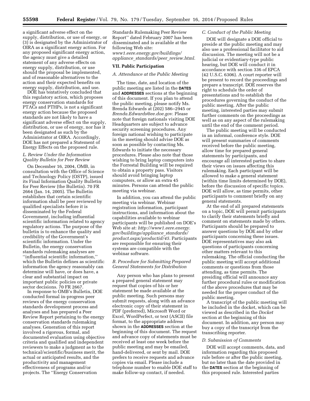a significant adverse effect on the supply, distribution, or use of energy, or (3) is designated by the Administrator of OIRA as a significant energy action. For any proposed significant energy action, the agency must give a detailed statement of any adverse effects on energy supply, distribution, or use should the proposal be implemented, and of reasonable alternatives to the action and their expected benefits on energy supply, distribution, and use.

DOE has tentatively concluded that this regulatory action, which proposes energy conservation standards for PTACs and PTHPs, is not a significant energy action because the proposed standards are not likely to have a significant adverse effect on the supply, distribution, or use of energy, nor has it been designated as such by the Administrator at OIRA. Accordingly, DOE has not prepared a Statement of Energy Effects on the proposed rule.

## *L. Review Under the Information Quality Bulletin for Peer Review*

On December 16, 2004, OMB, in consultation with the Office of Science and Technology Policy (OSTP), issued its Final Information Quality Bulletin for Peer Review (the Bulletin). 70 FR 2664 (Jan. 14, 2005). The Bulletin establishes that certain scientific information shall be peer reviewed by qualified specialists before it is disseminated by the Federal Government, including influential scientific information related to agency regulatory actions. The purpose of the bulletin is to enhance the quality and credibility of the Government's scientific information. Under the Bulletin, the energy conservation standards rulemaking analyses are ''influential scientific information,'' which the Bulletin defines as scientific information the agency reasonably can determine will have, or does have, a clear and substantial impact on important public policies or private sector decisions. 70 FR 2667.

In response to OMB's Bulletin, DOE conducted formal in-progress peer reviews of the energy conservation standards development process and analyses and has prepared a Peer Review Report pertaining to the energy conservation standards rulemaking analyses. Generation of this report involved a rigorous, formal, and documented evaluation using objective criteria and qualified and independent reviewers to make a judgment as to the technical/scientific/business merit, the actual or anticipated results, and the productivity and management effectiveness of programs and/or projects. The ''Energy Conservation

Standards Rulemaking Peer Review Report'' dated February 2007 has been disseminated and is available at the following Web site: *[www1.eere.energy.gov/buildings/](http://www1.eere.energy.gov/buildings/appliance_standards/peer_review.html) appliance*\_*[standards/peer](http://www1.eere.energy.gov/buildings/appliance_standards/peer_review.html)*\_*review.html.* 

## **VII. Public Participation**

## *A. Attendance at the Public Meeting*

The time, date, and location of the public meeting are listed in the **DATES** and **ADDRESSES** sections at the beginning of this document. If you plan to attend the public meeting, please notify Ms. Brenda Edwards at (202) 586–2945 or *[Brenda.Edwards@ee.doe.gov.](mailto:Brenda.Edwards@ee.doe.gov)* Please note that foreign nationals visiting DOE Headquarters are subject to advance security screening procedures. Any foreign national wishing to participate in the meeting should advise DOE as soon as possible by contacting Ms. Edwards to initiate the necessary procedures. Please also note that those wishing to bring laptop computers into the Forrestal Building will be required to obtain a property pass. Visitors should avoid bringing laptop computers, or allow an extra 45 minutes. Persons can attend the public meeting via webinar.

In addition, you can attend the public meeting via webinar. Webinar registration information, participant instructions, and information about the capabilities available to webinar participants will be published on DOE's Web site at: *[http://www1.eere.energy.](http://www1.eere.energy.gov/buildings/appliance_standards/product.aspx/productid/45) [gov/buildings/appliance](http://www1.eere.energy.gov/buildings/appliance_standards/product.aspx/productid/45)*\_*standards/ [product.aspx/productid/45.](http://www1.eere.energy.gov/buildings/appliance_standards/product.aspx/productid/45)* Participants are responsible for ensuring their systems are compatible with the webinar software.

#### *B. Procedure for Submitting Prepared General Statements for Distribution*

Any person who has plans to present a prepared general statement may request that copies of his or her statement be made available at the public meeting. Such persons may submit requests, along with an advance electronic copy of their statement in PDF (preferred), Microsoft Word or Excel, WordPerfect, or text (ASCII) file format, to the appropriate address shown in the **ADDRESSES** section at the beginning of this document. The request and advance copy of statements must be received at least one week before the public meeting and may be emailed, hand-delivered, or sent by mail. DOE prefers to receive requests and advance copies via email. Please include a telephone number to enable DOE staff to make follow-up contact, if needed.

#### *C. Conduct of the Public Meeting*

DOE will designate a DOE official to preside at the public meeting and may also use a professional facilitator to aid discussion. The meeting will not be a judicial or evidentiary-type public hearing, but DOE will conduct it in accordance with section 336 of EPCA (42 U.S.C. 6306). A court reporter will be present to record the proceedings and prepare a transcript. DOE reserves the right to schedule the order of presentations and to establish the procedures governing the conduct of the public meeting. After the public meeting, interested parties may submit further comments on the proceedings as well as on any aspect of the rulemaking until the end of the comment period.

The public meeting will be conducted in an informal, conference style. DOE will present summaries of comments received before the public meeting, allow time for prepared general statements by participants, and encourage all interested parties to share their views on issues affecting this rulemaking. Each participant will be allowed to make a general statement (within time limits determined by DOE), before the discussion of specific topics. DOE will allow, as time permits, other participants to comment briefly on any general statements.

At the end of all prepared statements on a topic, DOE will permit participants to clarify their statements briefly and comment on statements made by others. Participants should be prepared to answer questions by DOE and by other participants concerning these issues. DOE representatives may also ask questions of participants concerning other matters relevant to this rulemaking. The official conducting the public meeting will accept additional comments or questions from those attending, as time permits. The presiding official will announce any further procedural rules or modification of the above procedures that may be needed for the proper conduct of the public meeting.

A transcript of the public meeting will be included in the docket, which can be viewed as described in the *Docket*  section at the beginning of this document. In addition, any person may buy a copy of the transcript from the transcribing reporter.

#### *D. Submission of Comments*

DOE will accept comments, data, and information regarding this proposed rule before or after the public meeting, but no later than the date provided in the **DATES** section at the beginning of this proposed rule. Interested parties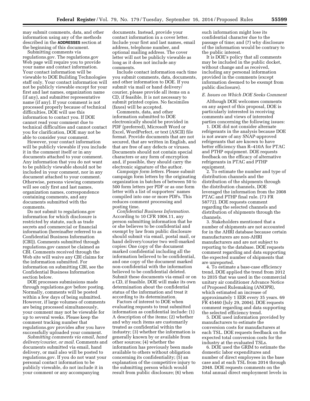may submit comments, data, and other information using any of the methods described in the **ADDRESSES** section at the beginning of this document.

Submitting comments via regulations.gov. The regulations.gov Web page will require you to provide your name and contact information. Your contact information will be viewable to DOE Building Technologies staff only. Your contact information will not be publicly viewable except for your first and last names, organization name (if any), and submitter representative name (if any). If your comment is not processed properly because of technical difficulties, DOE will use this information to contact you. If DOE cannot read your comment due to technical difficulties and cannot contact you for clarification, DOE may not be able to consider your comment.

However, your contact information will be publicly viewable if you include it in the comment itself or in any documents attached to your comment. Any information that you do not want to be publicly viewable should not be included in your comment, nor in any document attached to your comment. Otherwise, persons viewing comments will see only first and last names, organization names, correspondence containing comments, and any documents submitted with the comments.

Do not submit to regulations.gov information for which disclosure is restricted by statute, such as trade secrets and commercial or financial information (hereinafter referred to as Confidential Business Information (CBI)). Comments submitted through regulations.gov cannot be claimed as CBI. Comments received through the Web site will waive any CBI claims for the information submitted. For information on submitting CBI, see the Confidential Business Information section below.

DOE processes submissions made through regulations.gov before posting. Normally, comments will be posted within a few days of being submitted. However, if large volumes of comments are being processed simultaneously, your comment may not be viewable for up to several weeks. Please keep the comment tracking number that regulations.gov provides after you have successfully uploaded your comment.

*Submitting comments via email, hand delivery/courier, or mail.* Comments and documents submitted via email, hand delivery, or mail also will be posted to regulations.gov. If you do not want your personal contact information to be publicly viewable, do not include it in your comment or any accompanying

documents. Instead, provide your contact information in a cover letter. Include your first and last names, email address, telephone number, and optional mailing address. The cover letter will not be publicly viewable as long as it does not include any comments.

Include contact information each time you submit comments, data, documents, and other information to DOE. If you submit via mail or hand delivery/ courier, please provide all items on a CD, if feasible. It is not necessary to submit printed copies. No facsimiles (faxes) will be accepted.

Comments, data, and other information submitted to DOE electronically should be provided in PDF (preferred), Microsoft Word or Excel, WordPerfect, or text (ASCII) file format. Provide documents that are not secured, that are written in English, and that are free of any defects or viruses. Documents should not contain special characters or any form of encryption and, if possible, they should carry the electronic signature of the author.

*Campaign form letters.* Please submit campaign form letters by the originating organization in batches of between 50 to 500 form letters per PDF or as one form letter with a list of supporters' names compiled into one or more PDFs. This reduces comment processing and posting time.

*Confidential Business Information.*  According to 10 CFR 1004.11, any person submitting information that he or she believes to be confidential and exempt by law from public disclosure should submit via email, postal mail, or hand delivery/courier two well-marked copies: One copy of the document marked confidential including all the information believed to be confidential, and one copy of the document marked non-confidential with the information believed to be confidential deleted. Submit these documents via email or on a CD, if feasible. DOE will make its own determination about the confidential status of the information and treat it according to its determination.

Factors of interest to DOE when evaluating requests to treat submitted information as confidential include: (1) A description of the items; (2) whether and why such items are customarily treated as confidential within the industry; (3) whether the information is generally known by or available from other sources; (4) whether the information has previously been made available to others without obligation concerning its confidentiality; (5) an explanation of the competitive injury to the submitting person which would result from public disclosure; (6) when

such information might lose its confidential character due to the passage of time; and (7) why disclosure of the information would be contrary to the public interest.

It is DOE's policy that all comments may be included in the public docket, without change and as received, including any personal information provided in the comments (except information deemed to be exempt from public disclosure).

## *E. Issues on Which DOE Seeks Comment*

Although DOE welcomes comments on any aspect of this proposal, DOE is particularly interested in receiving comments and views of interested parties concerning the following issues:

1. DOE did not consider alternate refrigerants in the analysis because DOE is not aware of any SNAP-approved refrigerants that are known to have better efficiency than R–410A for PTAC and PTHP equipment. DOE requests feedback on the efficacy of alternative refrigerants in PTAC and PTHP equipment.

2. To estimate the number and type of distribution channels and the distribution of the shipments through the distribution channels, DOE leveraged the information from the 2008 PTAC and PTHP final rule. (73 FR 58772). DOE requests comment regarding the selected channels and distribution of shipments through the channels.

3. Stakeholders mentioned that a number of shipments are not accounted for in the AHRI database because certain manufacturers are non-AHRI manufacturers and are not subject to reporting to the database. DOE requests comment regarding and data supporting the expected number of shipments that are unreported.

4. To estimate a base-case efficiency trend, DOE applied the trend from 2012 to 2035 that was used in the commercial unitary air conditioner Advance Notice of Proposed Rulemaking (ANOPR), which estimated an increase of approximately 1 EER every 35 years. 69 FR 45460 (July 29, 2004). DOE requests comment regarding and data supporting the selected efficiency trend.

5. DOE used information provided by manufacturers to estimate the conversion costs for manufacturers at each TSL. DOE requests feedback on the expected total conversion costs for the industry at the evaluated TSLs.

6. DOE used the GRIM to estimate the domestic labor expenditures and number of direct employees in the base case and at each TSL from 2014 through 2048. DOE requests comments on the total annual direct employment levels in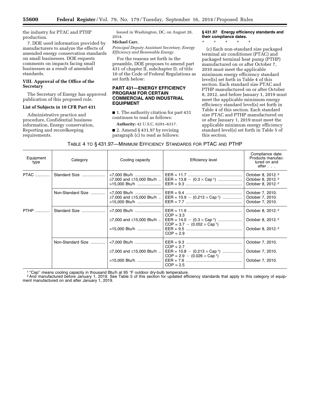the industry for PTAC and PTHP production.

7. DOE used information provided by manufacturers to analyze the effects of amended energy conservation standards on small businesses. DOE requests comments on impacts facing small businesses as a result of amended standards.

## **VIII. Approval of the Office of the Secretary**

The Secretary of Energy has approved publication of this proposed rule.

#### **List of Subjects in 10 CFR Part 431**

Administrative practice and procedure, Confidential business information, Energy conservation, Reporting and recordkeeping requirements.

Issued in Washington, DC, on August 28, 2014.

## **Michael Carr,**

*Principal Deputy Assistant Secretary, Energy Efficiency and Renewable Energy.* 

For the reasons set forth in the preamble, DOE proposes to amend part 431 of chapter II, subchapter D, of title 10 of the Code of Federal Regulations as set forth below:

#### **PART 431—ENERGY EFFICIENCY PROGRAM FOR CERTAIN COMMERCIAL AND INDUSTRIAL EQUIPMENT**

■ 1. The authority citation for part 431 continues to read as follows:

**Authority:** 42 U.S.C. 6291–6317.

■ 2. Amend § 431.97 by revising paragraph (c) to read as follows:

**§ 431.97 Energy efficiency standards and their compliance dates.** 

\* \* \* \* \*

(c) Each non-standard size packaged terminal air conditioner (PTAC) and packaged terminal heat pump (PTHP) manufactured on or after October 7, 2010 must meet the applicable minimum energy efficiency standard level(s) set forth in Table 4 of this section. Each standard size PTAC and PTHP manufactured on or after October 8, 2012, and before January 1, 2019 must meet the applicable minimum energy efficiency standard level(s) set forth in Table 4 of this section. Each standard size PTAC and PTHP manufactured on or after January 1, 2019 must meet the applicable minimum energy efficiency standard level(s) set forth in Table 5 of this section.

| TABLE 4 TO § 431.97—MINIMUM EFFICIENCY STANDARDS FOR PTAC AND PTHP |  |  |
|--------------------------------------------------------------------|--|--|
|--------------------------------------------------------------------|--|--|

| Equipment<br>type | Category          | Cooling capacity                                          | <b>Efficiency level</b>                                                                                       | Compliance date:<br>Products manufac-<br>tured on and<br>after                                  |
|-------------------|-------------------|-----------------------------------------------------------|---------------------------------------------------------------------------------------------------------------|-------------------------------------------------------------------------------------------------|
| <b>PTAC</b>       | Standard Size     | ≥7,000 and ≤15,000 Btu/h<br>>15,000 Btu/h                 | EER = $13.8 - (0.3 \times \text{Cap}^1)$                                                                      | October 8, 2012. <sup>2</sup><br>October 8, 2012. <sup>2</sup><br>October 8, 2012. <sup>2</sup> |
|                   | Non-Standard Size | <7,000 Btu/h<br>≥7,000 and ≤15,000 Btu/h<br>>15,000 Btu/h | EER = $10.9 - (0.213 \times Cap^{-1})$                                                                        | October 7, 2010.<br>October 7, 2010.<br>October 7, 2010.                                        |
| <b>PTHP</b>       | Standard Size     | <7,000 Btu/h<br>≥7,000 and ≤15,000 Btu/h<br>>15,000 Btu/h | $COP = 3.3$<br>EER = $14.0 - (0.3 \times Cap^1)$<br>$COP = 3.7 - (0.052 \times Cap^{-1})$<br>$COP = 2.9$      | October 8, 2012. <sup>2</sup><br>October 8, 2012. <sup>2</sup><br>October 8, 2012. <sup>2</sup> |
|                   | Non-Standard Size | <7,000 Btu/h<br>≥7,000 and ≤15,000 Btu/h<br>>15,000 Btu/h | $COP = 2.7$<br>EER = $10.8 - (0.213 \times Cap^{-1})$<br>$COP = 2.9 - (0.026 \times Cap^{-1})$<br>$COP = 2.5$ | October 7, 2010.<br>October 7, 2010.<br>October 7, 2010.                                        |

<sup>1</sup> "Cap" means cooling capacity in thousand Btu/h at 95 °F outdoor dry-bulb temperature.<br><sup>2</sup> And manufactured before January 1, 2019. See Table 5 of this section for updated efficiency standards that apply to this categor ment manufactured on and after January 1, 2019.